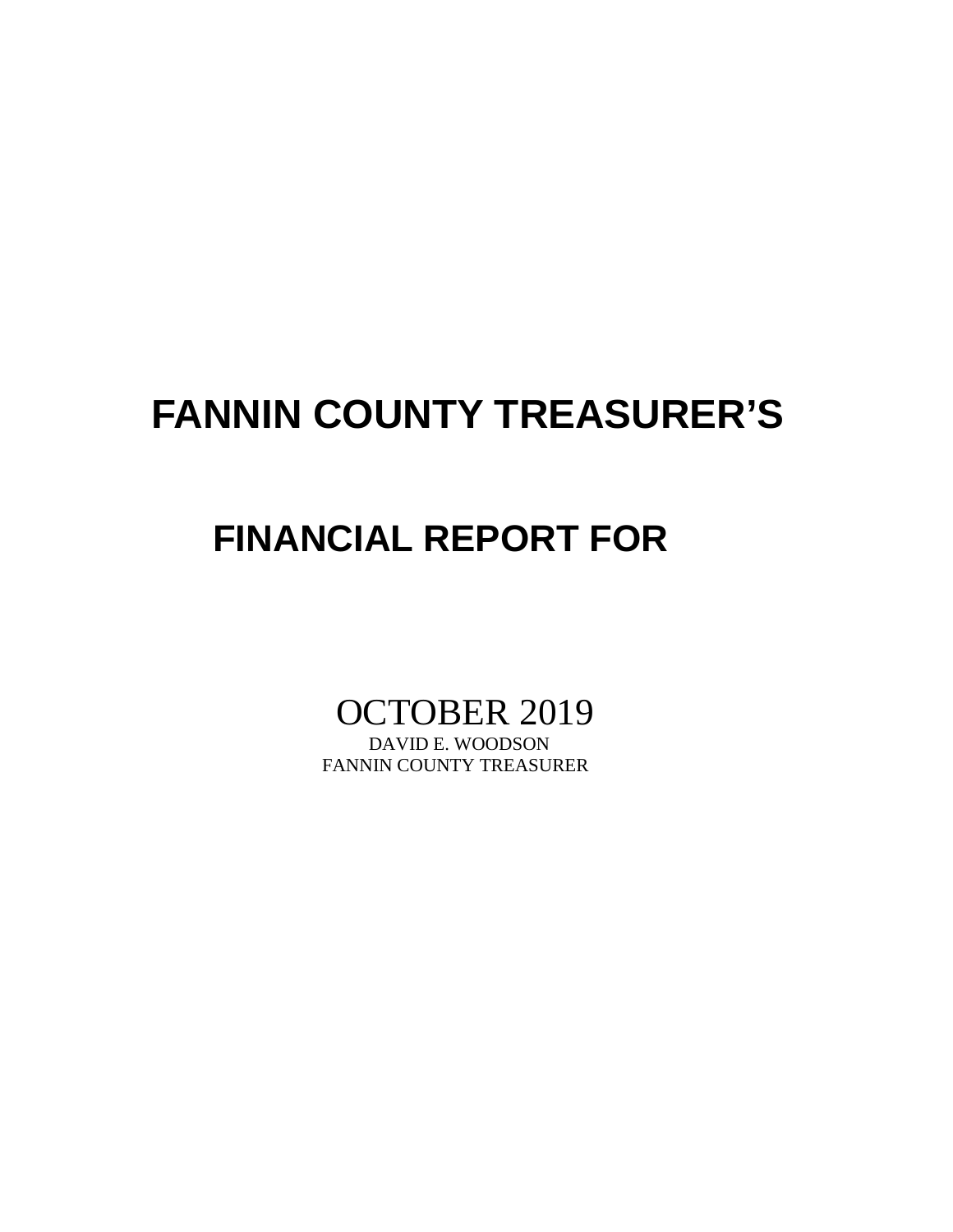## **FANNIN COUNTY TREASURER'S**

## **FINANCIAL REPORT FOR**

# OCTOBER 2019

FANNIN COUNTY TREASURER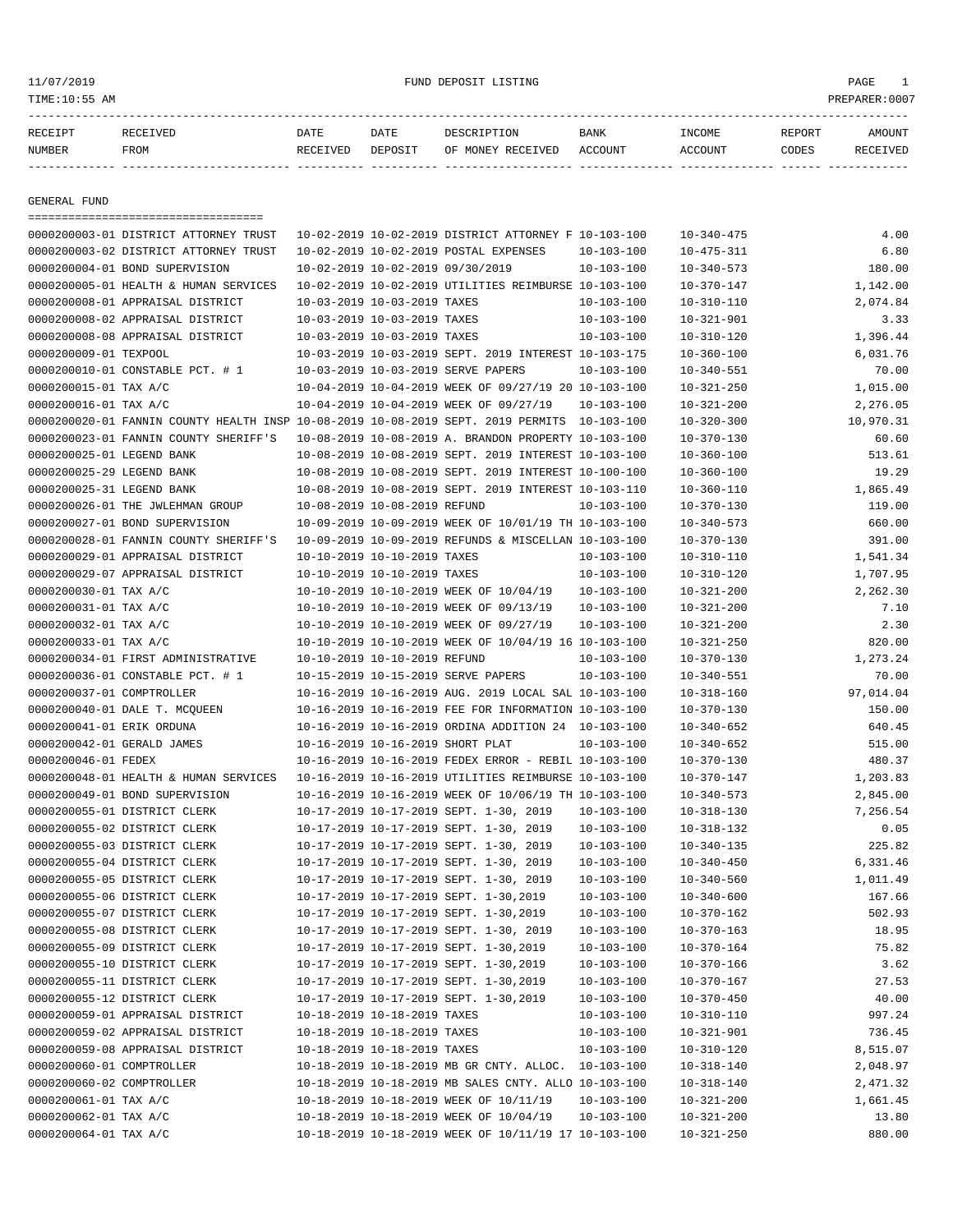#### 11/07/2019 FUND DEPOSIT LISTING PAGE 1

| RECEIPT | <b>RECEIVED</b> | DATE     | DATE    | DESCRIPTION       | BANK    | <b>NCOME</b> | REPORT | AMOUNT          |
|---------|-----------------|----------|---------|-------------------|---------|--------------|--------|-----------------|
| NUMBER  | FROM            | RECEIVED | DEPOSIT | OF MONEY RECEIVED | ACCOUNT | ACCOUNT      | CODES  | <b>RECEIVED</b> |
|         |                 |          |         |                   |         |              |        |                 |

GENERAL FUND

|                            | =====================================                                                       |                              |                                  |                                                                                                |                  |                  |           |
|----------------------------|---------------------------------------------------------------------------------------------|------------------------------|----------------------------------|------------------------------------------------------------------------------------------------|------------------|------------------|-----------|
|                            | 0000200003-01 DISTRICT ATTORNEY TRUST                                                       |                              |                                  | 10-02-2019 10-02-2019 DISTRICT ATTORNEY F 10-103-100                                           |                  | $10 - 340 - 475$ | 4.00      |
|                            | 0000200003-02 DISTRICT ATTORNEY TRUST                                                       |                              |                                  | 10-02-2019 10-02-2019 POSTAL EXPENSES                                                          | $10 - 103 - 100$ | $10 - 475 - 311$ | 6.80      |
|                            | 0000200004-01 BOND SUPERVISION                                                              |                              | 10-02-2019 10-02-2019 09/30/2019 |                                                                                                | $10 - 103 - 100$ | $10 - 340 - 573$ | 180.00    |
|                            | 0000200005-01 HEALTH & HUMAN SERVICES                                                       |                              |                                  | 10-02-2019 10-02-2019 UTILITIES REIMBURSE 10-103-100                                           |                  | $10 - 370 - 147$ | 1,142.00  |
|                            | 0000200008-01 APPRAISAL DISTRICT                                                            |                              | 10-03-2019 10-03-2019 TAXES      |                                                                                                | $10 - 103 - 100$ | $10 - 310 - 110$ | 2,074.84  |
|                            | 0000200008-02 APPRAISAL DISTRICT                                                            |                              | 10-03-2019 10-03-2019 TAXES      |                                                                                                | $10 - 103 - 100$ | $10 - 321 - 901$ | 3.33      |
|                            | 0000200008-08 APPRAISAL DISTRICT                                                            |                              | 10-03-2019 10-03-2019 TAXES      |                                                                                                | $10 - 103 - 100$ | $10 - 310 - 120$ | 1,396.44  |
| 0000200009-01 TEXPOOL      |                                                                                             |                              |                                  | 10-03-2019 10-03-2019 SEPT. 2019 INTEREST 10-103-175                                           |                  | $10 - 360 - 100$ | 6,031.76  |
|                            | 0000200010-01 CONSTABLE PCT. # 1                                                            |                              |                                  | 10-03-2019 10-03-2019 SERVE PAPERS                                                             | $10 - 103 - 100$ | $10 - 340 - 551$ | 70.00     |
| 0000200015-01 TAX A/C      |                                                                                             |                              |                                  | 10-04-2019 10-04-2019 WEEK OF 09/27/19 20 10-103-100                                           |                  | $10 - 321 - 250$ | 1,015.00  |
| 0000200016-01 TAX A/C      |                                                                                             |                              |                                  | 10-04-2019 10-04-2019 WEEK OF 09/27/19                                                         | $10 - 103 - 100$ | $10 - 321 - 200$ | 2,276.05  |
|                            | 0000200020-01 FANNIN COUNTY HEALTH INSP 10-08-2019 10-08-2019 SEPT. 2019 PERMITS 10-103-100 |                              |                                  |                                                                                                |                  | $10 - 320 - 300$ | 10,970.31 |
|                            | 0000200023-01 FANNIN COUNTY SHERIFF'S                                                       |                              |                                  | 10-08-2019 10-08-2019 A. BRANDON PROPERTY 10-103-100                                           |                  | $10 - 370 - 130$ | 60.60     |
| 0000200025-01 LEGEND BANK  |                                                                                             |                              |                                  | 10-08-2019 10-08-2019 SEPT. 2019 INTEREST 10-103-100                                           |                  | $10 - 360 - 100$ | 513.61    |
| 0000200025-29 LEGEND BANK  |                                                                                             |                              |                                  | 10-08-2019 10-08-2019 SEPT. 2019 INTEREST 10-100-100                                           |                  | $10 - 360 - 100$ | 19.29     |
| 0000200025-31 LEGEND BANK  |                                                                                             |                              |                                  | 10-08-2019 10-08-2019 SEPT. 2019 INTEREST 10-103-110                                           |                  | $10 - 360 - 110$ | 1,865.49  |
|                            | 0000200026-01 THE JWLEHMAN GROUP                                                            |                              | 10-08-2019 10-08-2019 REFUND     |                                                                                                | $10 - 103 - 100$ | $10 - 370 - 130$ | 119.00    |
|                            | 0000200027-01 BOND SUPERVISION                                                              |                              |                                  | 10-09-2019 10-09-2019 WEEK OF 10/01/19 TH 10-103-100                                           |                  | $10 - 340 - 573$ | 660.00    |
|                            | 0000200028-01 FANNIN COUNTY SHERIFF'S                                                       |                              |                                  | 10-09-2019 10-09-2019 REFUNDS & MISCELLAN 10-103-100                                           |                  | $10 - 370 - 130$ | 391.00    |
|                            | 0000200029-01 APPRAISAL DISTRICT                                                            |                              | 10-10-2019 10-10-2019 TAXES      |                                                                                                | $10 - 103 - 100$ | $10 - 310 - 110$ | 1,541.34  |
|                            | 0000200029-07 APPRAISAL DISTRICT                                                            |                              | 10-10-2019 10-10-2019 TAXES      |                                                                                                | $10 - 103 - 100$ | $10 - 310 - 120$ | 1,707.95  |
| 0000200030-01 TAX A/C      |                                                                                             |                              |                                  | 10-10-2019 10-10-2019 WEEK OF 10/04/19                                                         | 10-103-100       | $10 - 321 - 200$ | 2,262.30  |
| 0000200031-01 TAX A/C      |                                                                                             |                              |                                  | 10-10-2019 10-10-2019 WEEK OF 09/13/19                                                         | $10 - 103 - 100$ | $10 - 321 - 200$ | 7.10      |
| 0000200032-01 TAX A/C      |                                                                                             |                              |                                  | 10-10-2019 10-10-2019 WEEK OF 09/27/19                                                         | $10 - 103 - 100$ | $10 - 321 - 200$ | 2.30      |
| 0000200033-01 TAX A/C      |                                                                                             |                              |                                  | 10-10-2019 10-10-2019 WEEK OF 10/04/19 16 10-103-100                                           |                  | $10 - 321 - 250$ | 820.00    |
|                            | 0000200034-01 FIRST ADMINISTRATIVE                                                          | 10-10-2019 10-10-2019 REFUND |                                  |                                                                                                | $10 - 103 - 100$ | $10 - 370 - 130$ | 1,273.24  |
|                            | 0000200036-01 CONSTABLE PCT. # 1                                                            |                              |                                  | 10-15-2019 10-15-2019 SERVE PAPERS                                                             | $10 - 103 - 100$ | $10 - 340 - 551$ | 70.00     |
| 0000200037-01 COMPTROLLER  |                                                                                             |                              |                                  | 10-16-2019 10-16-2019 AUG. 2019 LOCAL SAL 10-103-100                                           |                  | $10 - 318 - 160$ | 97,014.04 |
|                            | 0000200040-01 DALE T. MCQUEEN                                                               |                              |                                  | 10-16-2019 10-16-2019 FEE FOR INFORMATION 10-103-100                                           |                  | $10 - 370 - 130$ | 150.00    |
| 0000200041-01 ERIK ORDUNA  |                                                                                             |                              |                                  | 10-16-2019 10-16-2019 ORDINA ADDITION 24 10-103-100                                            |                  | $10 - 340 - 652$ | 640.45    |
| 0000200042-01 GERALD JAMES |                                                                                             |                              | 10-16-2019 10-16-2019 SHORT PLAT |                                                                                                | $10 - 103 - 100$ | $10 - 340 - 652$ | 515.00    |
| 0000200046-01 FEDEX        |                                                                                             |                              |                                  | 10-16-2019 10-16-2019 FEDEX ERROR - REBIL 10-103-100                                           |                  | $10 - 370 - 130$ | 480.37    |
|                            | 0000200048-01 HEALTH & HUMAN SERVICES                                                       |                              |                                  | 10-16-2019 10-16-2019 UTILITIES REIMBURSE 10-103-100                                           |                  | $10 - 370 - 147$ | 1,203.83  |
|                            | 0000200049-01 BOND SUPERVISION                                                              |                              |                                  | 10-16-2019 10-16-2019 WEEK OF 10/06/19 TH 10-103-100                                           |                  | $10 - 340 - 573$ | 2,845.00  |
|                            | 0000200055-01 DISTRICT CLERK                                                                |                              |                                  | 10-17-2019 10-17-2019 SEPT. 1-30, 2019                                                         | 10-103-100       | $10 - 318 - 130$ | 7,256.54  |
|                            | 0000200055-02 DISTRICT CLERK                                                                |                              |                                  | 10-17-2019 10-17-2019 SEPT. 1-30, 2019                                                         | $10 - 103 - 100$ | $10 - 318 - 132$ | 0.05      |
|                            | 0000200055-03 DISTRICT CLERK                                                                |                              |                                  | 10-17-2019 10-17-2019 SEPT. 1-30, 2019                                                         | $10 - 103 - 100$ | $10 - 340 - 135$ | 225.82    |
|                            | 0000200055-04 DISTRICT CLERK                                                                |                              |                                  | 10-17-2019 10-17-2019 SEPT. 1-30, 2019                                                         | $10 - 103 - 100$ | $10 - 340 - 450$ | 6,331.46  |
|                            | 0000200055-05 DISTRICT CLERK                                                                |                              |                                  | 10-17-2019 10-17-2019 SEPT. 1-30, 2019                                                         | 10-103-100       | $10 - 340 - 560$ | 1,011.49  |
|                            | 0000200055-06 DISTRICT CLERK                                                                |                              |                                  | 10-17-2019 10-17-2019 SEPT. 1-30,2019                                                          | $10 - 103 - 100$ | $10 - 340 - 600$ | 167.66    |
|                            | 0000200055-07 DISTRICT CLERK                                                                |                              |                                  | 10-17-2019 10-17-2019 SEPT. 1-30,2019                                                          | $10 - 103 - 100$ | $10 - 370 - 162$ | 502.93    |
|                            | 0000200055-08 DISTRICT CLERK                                                                |                              |                                  | 10-17-2019 10-17-2019 SEPT. 1-30, 2019                                                         | $10 - 103 - 100$ | $10 - 370 - 163$ | 18.95     |
|                            | 0000200055-09 DISTRICT CLERK                                                                |                              |                                  | 10-17-2019 10-17-2019 SEPT. 1-30,2019                                                          | $10 - 103 - 100$ | $10 - 370 - 164$ | 75.82     |
|                            | 0000200055-10 DISTRICT CLERK                                                                |                              |                                  | 10-17-2019 10-17-2019 SEPT. 1-30,2019                                                          | 10-103-100       | $10 - 370 - 166$ | 3.62      |
|                            | 0000200055-11 DISTRICT CLERK                                                                |                              |                                  | 10-17-2019 10-17-2019 SEPT. 1-30,2019                                                          | $10 - 103 - 100$ |                  | 27.53     |
|                            | 0000200055-12 DISTRICT CLERK                                                                |                              |                                  | 10-17-2019 10-17-2019 SEPT. 1-30,2019                                                          |                  | $10 - 370 - 167$ |           |
|                            | 0000200059-01 APPRAISAL DISTRICT                                                            |                              | 10-18-2019 10-18-2019 TAXES      |                                                                                                | 10-103-100       | $10 - 370 - 450$ | 40.00     |
|                            | 0000200059-02 APPRAISAL DISTRICT                                                            |                              | 10-18-2019 10-18-2019 TAXES      |                                                                                                | $10 - 103 - 100$ | $10 - 310 - 110$ | 997.24    |
|                            |                                                                                             |                              |                                  |                                                                                                | $10 - 103 - 100$ | $10 - 321 - 901$ | 736.45    |
|                            | 0000200059-08 APPRAISAL DISTRICT                                                            |                              | 10-18-2019 10-18-2019 TAXES      |                                                                                                | $10 - 103 - 100$ | $10 - 310 - 120$ | 8,515.07  |
| 0000200060-01 COMPTROLLER  |                                                                                             |                              |                                  | 10-18-2019 10-18-2019 MB GR CNTY. ALLOC. 10-103-100                                            |                  | $10 - 318 - 140$ | 2,048.97  |
| 0000200060-02 COMPTROLLER  |                                                                                             |                              |                                  | 10-18-2019 10-18-2019 MB SALES CNTY. ALLO 10-103-100<br>10-18-2019 10-18-2019 WEEK OF 10/11/19 |                  | $10 - 318 - 140$ | 2,471.32  |
| 0000200061-01 TAX A/C      |                                                                                             |                              |                                  |                                                                                                | 10-103-100       | $10 - 321 - 200$ | 1,661.45  |
| 0000200062-01 TAX A/C      |                                                                                             |                              |                                  | 10-18-2019 10-18-2019 WEEK OF 10/04/19                                                         | $10 - 103 - 100$ | $10 - 321 - 200$ | 13.80     |
| 0000200064-01 TAX A/C      |                                                                                             |                              |                                  | 10-18-2019 10-18-2019 WEEK OF 10/11/19 17 10-103-100                                           |                  | $10 - 321 - 250$ | 880.00    |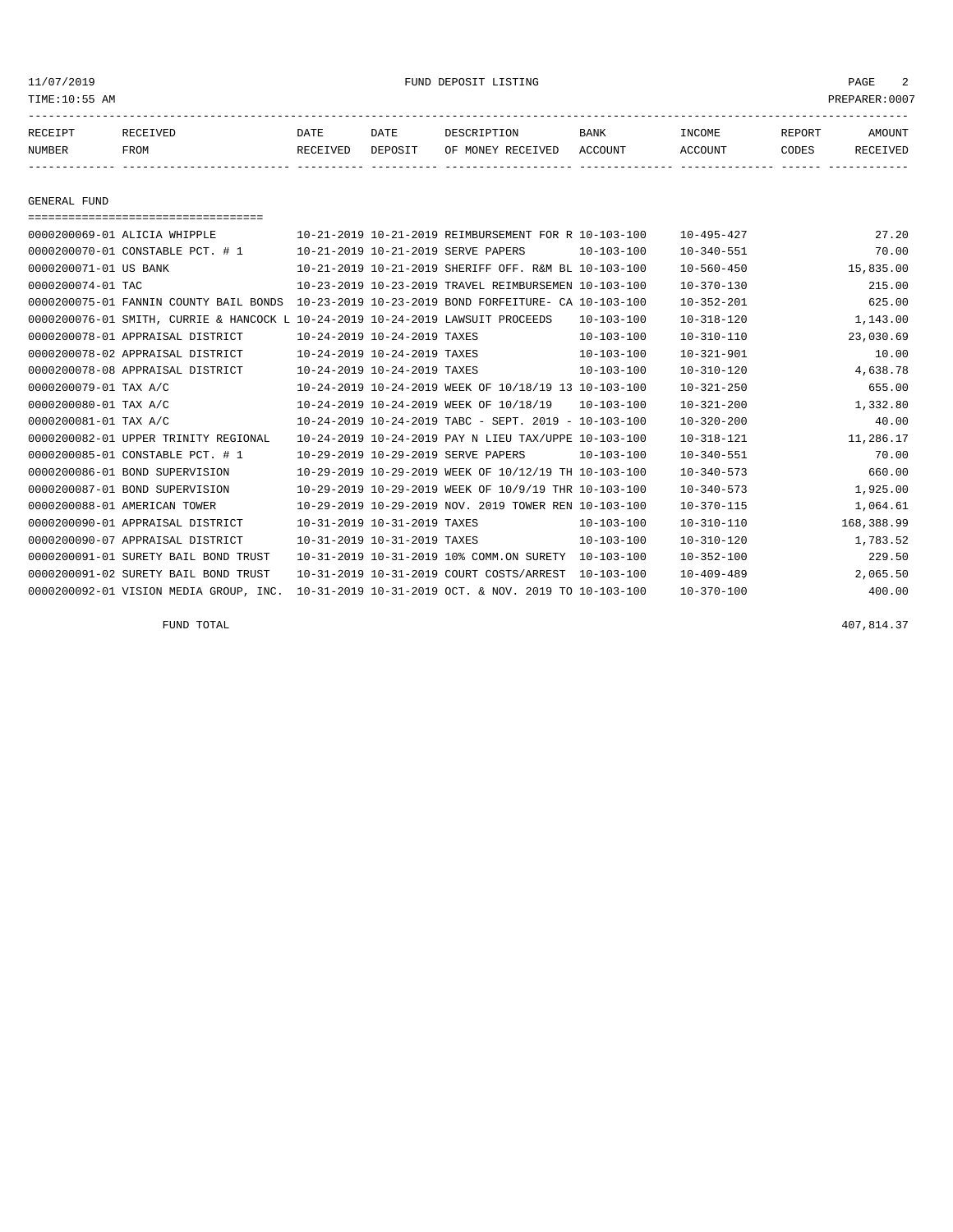#### 11/07/2019 FUND DEPOSIT LISTING PAGE 2

| RECEIPT | <b>RECEIVED</b> | DATE     | DATE    | DESCRIPTION       | BANK    | <b>INCOME</b> | REPORT | <b>AMOUNT</b> |
|---------|-----------------|----------|---------|-------------------|---------|---------------|--------|---------------|
| NUMBER  | FROM            | RECEIVED | DEPOSIT | OF MONEY RECEIVED | ACCOUNT | ACCOUNT       | CODES  | RECEIVEL      |
|         |                 |          |         |                   |         |               |        |               |

GENERAL FUND

| -------------------------------------   |                             |                             |                                                              |                  |                  |            |
|-----------------------------------------|-----------------------------|-----------------------------|--------------------------------------------------------------|------------------|------------------|------------|
| 0000200069-01 ALICIA WHIPPLE            |                             |                             | 10-21-2019 10-21-2019 REIMBURSEMENT FOR R 10-103-100         |                  | $10 - 495 - 427$ | 27.20      |
| 0000200070-01 CONSTABLE PCT. # 1        |                             |                             | 10-21-2019 10-21-2019 SERVE PAPERS                           | 10-103-100       | $10 - 340 - 551$ | 70.00      |
| 0000200071-01 US BANK                   |                             |                             | 10-21-2019 10-21-2019 SHERIFF OFF. R&M BL 10-103-100         |                  | $10 - 560 - 450$ | 15,835.00  |
| 0000200074-01 TAC                       |                             |                             | 10-23-2019 10-23-2019 TRAVEL REIMBURSEMEN 10-103-100         |                  | $10 - 370 - 130$ | 215.00     |
| 0000200075-01 FANNIN COUNTY BAIL BONDS  |                             |                             | 10-23-2019 10-23-2019 BOND FORFEITURE- CA 10-103-100         |                  | $10 - 352 - 201$ | 625.00     |
| 0000200076-01 SMITH, CURRIE & HANCOCK L |                             |                             | 10-24-2019 10-24-2019 LAWSUIT PROCEEDS                       | $10 - 103 - 100$ | $10 - 318 - 120$ | 1,143.00   |
| 0000200078-01 APPRAISAL DISTRICT        |                             | 10-24-2019 10-24-2019 TAXES |                                                              | $10 - 103 - 100$ | $10 - 310 - 110$ | 23,030.69  |
| 0000200078-02 APPRAISAL DISTRICT        | 10-24-2019 10-24-2019 TAXES |                             |                                                              | $10 - 103 - 100$ | $10 - 321 - 901$ | 10.00      |
| 0000200078-08 APPRAISAL DISTRICT        | 10-24-2019 10-24-2019 TAXES |                             |                                                              | $10 - 103 - 100$ | $10 - 310 - 120$ | 4,638.78   |
| 0000200079-01 TAX A/C                   |                             |                             | 10-24-2019 10-24-2019 WEEK OF 10/18/19 13 10-103-100         |                  | $10 - 321 - 250$ | 655.00     |
| 0000200080-01 TAX A/C                   |                             |                             | 10-24-2019 10-24-2019 WEEK OF 10/18/19                       | $10 - 103 - 100$ | $10 - 321 - 200$ | 1,332.80   |
| 0000200081-01 TAX A/C                   |                             |                             | $10-24-2019$ $10-24-2019$ TABC - SEPT, $2019$ - $10-103-100$ |                  | $10 - 320 - 200$ | 40.00      |
| 0000200082-01 UPPER TRINITY REGIONAL    |                             |                             | 10-24-2019 10-24-2019 PAY N LIEU TAX/UPPE 10-103-100         |                  | $10 - 318 - 121$ | 11,286.17  |
| 0000200085-01 CONSTABLE PCT. # 1        |                             |                             | 10-29-2019 10-29-2019 SERVE PAPERS                           | $10 - 103 - 100$ | $10 - 340 - 551$ | 70.00      |
| 0000200086-01 BOND SUPERVISION          |                             |                             | 10-29-2019 10-29-2019 WEEK OF 10/12/19 TH 10-103-100         |                  | $10 - 340 - 573$ | 660.00     |
| 0000200087-01 BOND SUPERVISION          |                             |                             | 10-29-2019 10-29-2019 WEEK OF 10/9/19 THR 10-103-100         |                  | $10 - 340 - 573$ | 1,925.00   |
| 0000200088-01 AMERICAN TOWER            |                             |                             | 10-29-2019 10-29-2019 NOV, 2019 TOWER REN 10-103-100         |                  | $10 - 370 - 115$ | 1,064.61   |
| 0000200090-01 APPRAISAL DISTRICT        |                             | 10-31-2019 10-31-2019 TAXES |                                                              | $10 - 103 - 100$ | $10 - 310 - 110$ | 168,388.99 |
| 0000200090-07 APPRAISAL DISTRICT        |                             | 10-31-2019 10-31-2019 TAXES |                                                              | $10 - 103 - 100$ | $10 - 310 - 120$ | 1,783.52   |
| 0000200091-01 SURETY BAIL BOND TRUST    |                             |                             | 10-31-2019 10-31-2019 10% COMM.ON SURETY                     | $10 - 103 - 100$ | $10 - 352 - 100$ | 229.50     |
| 0000200091-02 SURETY BAIL BOND TRUST    |                             |                             | 10-31-2019 10-31-2019 COURT COSTS/ARREST                     | $10 - 103 - 100$ | $10 - 409 - 489$ | 2,065.50   |
| 0000200092-01 VISION MEDIA GROUP, INC.  |                             |                             | 10-31-2019 10-31-2019 OCT. & NOV. 2019 TO 10-103-100         |                  | $10 - 370 - 100$ | 400.00     |

FUND TOTAL  $407,814.37$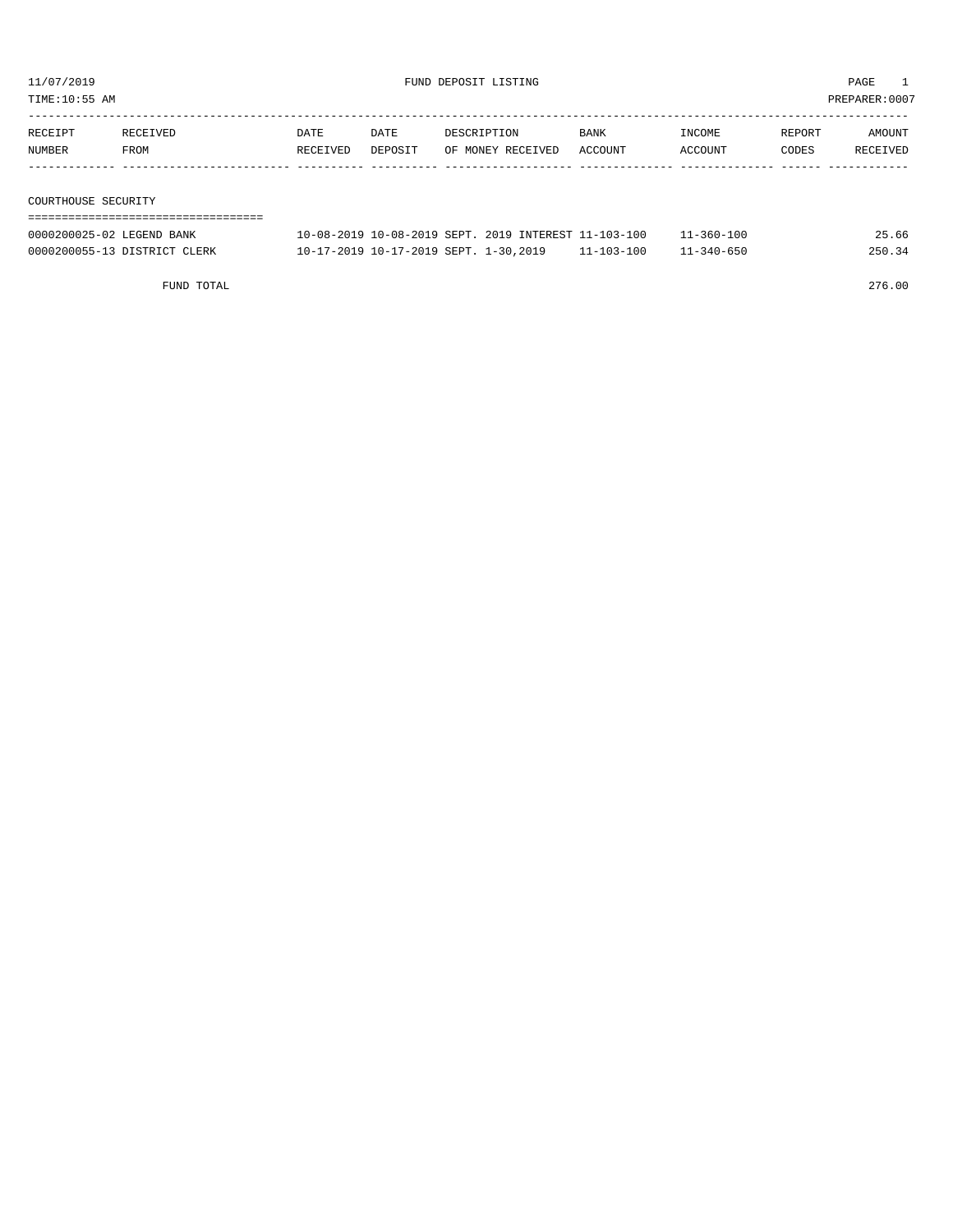TIME:10:55 AM PREPARER:0007

| RECEIPT | RECEIVED | DATE     | DATE    | DESCRIPTION       | <b>BANK</b> | INCOME  | REPORT | AMOUNT   |
|---------|----------|----------|---------|-------------------|-------------|---------|--------|----------|
| NUMBER  | FROM     | RECEIVED | DEPOSIT | OF MONEY RECEIVED | ACCOUNT     | ACCOUNT | CODES  | RECEIVED |
|         |          |          |         |                   |             |         |        |          |
|         |          |          |         |                   |             |         |        |          |

COURTHOUSE SECURITY

| 0000200025-02 LEGEND BANK    | 10-08-2019 10-08-2019 SEPT, 2019 INTEREST 11-103-100 |                  | $11 - 360 - 100$ | 25.66  |
|------------------------------|------------------------------------------------------|------------------|------------------|--------|
| 0000200055-13 DISTRICT CLERK | 10-17-2019 10-17-2019 SEPT. 1-30,2019                | $11 - 103 - 100$ | $11 - 340 - 650$ | 250.34 |

FUND TOTAL 276.00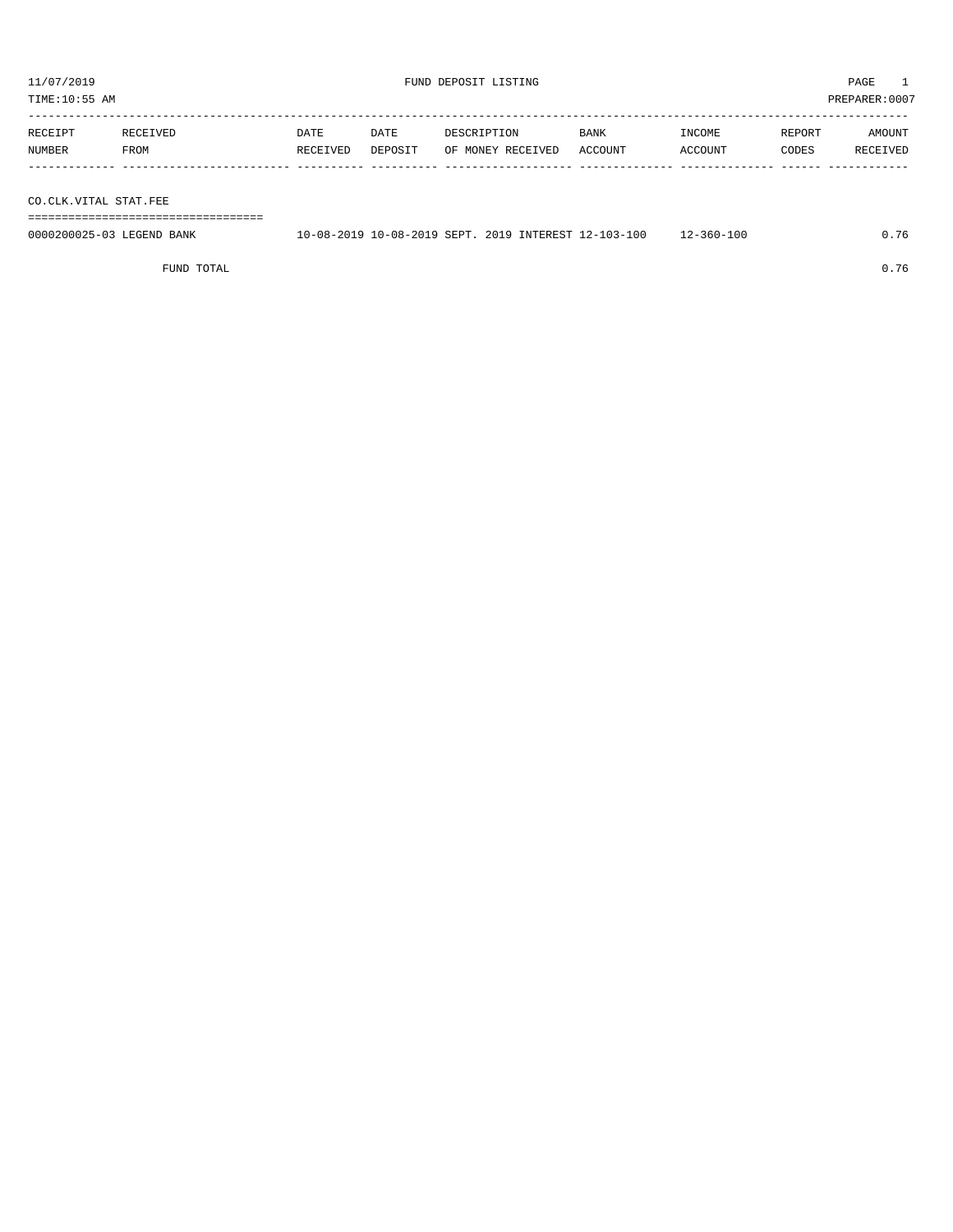| PREPARER: 0007<br>TIME:10:55 AM |                  |                  |                 |                                  |                 |                   |                 |                    |  |
|---------------------------------|------------------|------------------|-----------------|----------------------------------|-----------------|-------------------|-----------------|--------------------|--|
| RECEIPT<br>NUMBER               | RECEIVED<br>FROM | DATE<br>RECEIVED | DATE<br>DEPOSIT | DESCRIPTION<br>OF MONEY RECEIVED | BANK<br>ACCOUNT | INCOME<br>ACCOUNT | REPORT<br>CODES | AMOUNT<br>RECEIVED |  |
|                                 |                  |                  |                 |                                  |                 |                   |                 |                    |  |

CO.CLK.VITAL STAT.FEE

===================================

| 0000200025-03 LEGEND BANK | 10-08-2019 10-08-2019 SEPT, 2019 INTEREST 12-103-100 |  |  | $12 - 360 - 100$ | .76 |
|---------------------------|------------------------------------------------------|--|--|------------------|-----|
|                           |                                                      |  |  |                  |     |

FUND TOTAL 0.76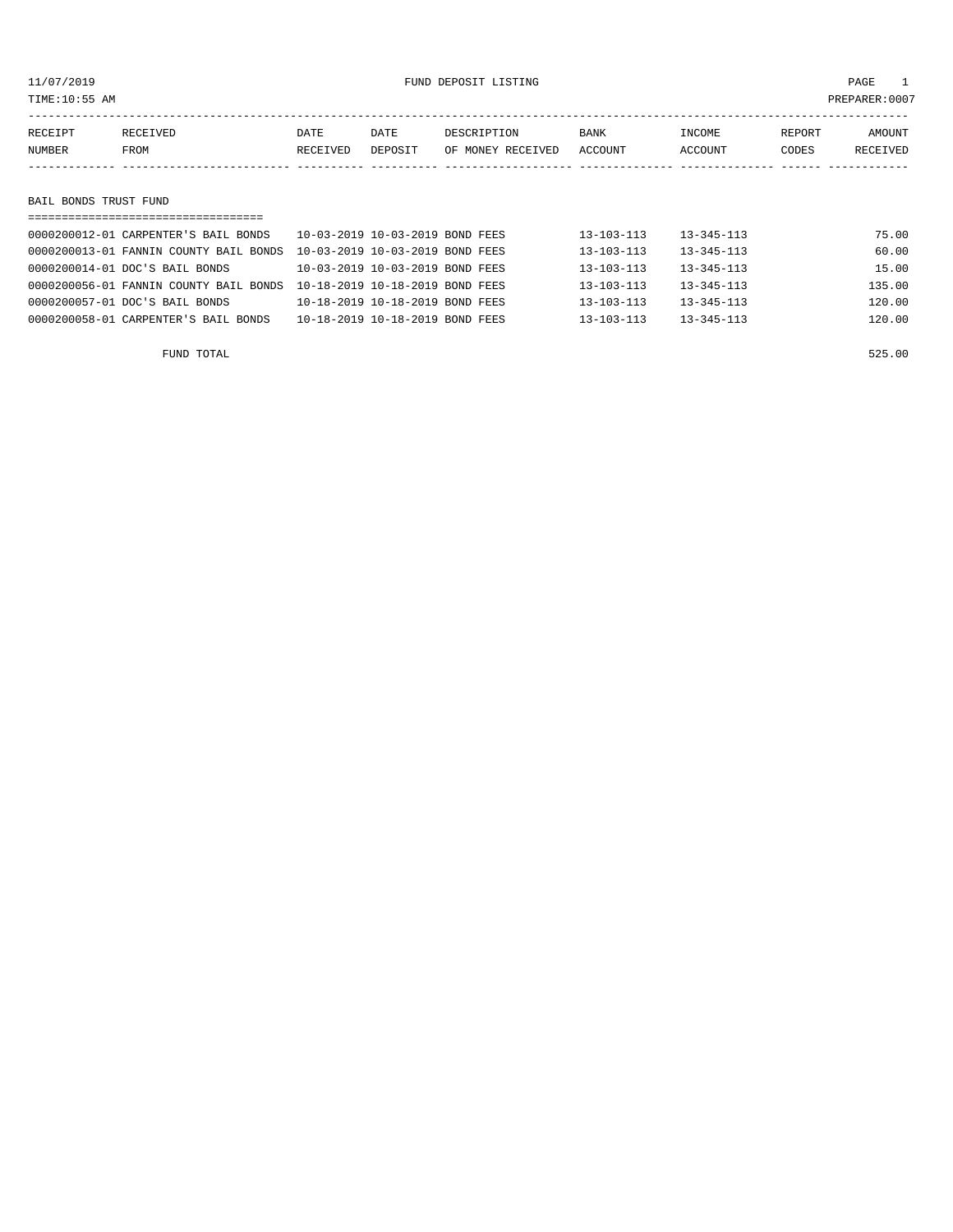| TIME:10:55 AM<br>PREPARER:0007 |                                      |          |                                 |                   |                  |                  |        |          |  |
|--------------------------------|--------------------------------------|----------|---------------------------------|-------------------|------------------|------------------|--------|----------|--|
|                                |                                      |          |                                 |                   |                  |                  |        |          |  |
| RECEIPT                        | RECEIVED                             | DATE     | DATE                            | DESCRIPTION       | <b>BANK</b>      | INCOME           | REPORT | AMOUNT   |  |
| NUMBER                         | FROM                                 | RECEIVED | DEPOSIT                         | OF MONEY RECEIVED | ACCOUNT          | ACCOUNT          | CODES  | RECEIVED |  |
|                                |                                      |          |                                 |                   |                  |                  |        |          |  |
|                                |                                      |          |                                 |                   |                  |                  |        |          |  |
| BAIL BONDS TRUST FUND          |                                      |          |                                 |                   |                  |                  |        |          |  |
|                                |                                      |          |                                 |                   |                  |                  |        |          |  |
|                                | 0000200012-01 CARPENTER'S BAIL BONDS |          | 10-03-2019 10-03-2019 BOND FEES |                   | $13 - 103 - 113$ | $13 - 345 - 113$ |        | 75.00    |  |
|                                |                                      |          |                                 |                   |                  |                  |        |          |  |

| FUND TOTAL                                                                      |                                 |  |                  |                  | 525.00 |
|---------------------------------------------------------------------------------|---------------------------------|--|------------------|------------------|--------|
| 0000200058-01 CARPENTER'S BAIL BONDS                                            | 10-18-2019 10-18-2019 BOND FEES |  | $13 - 103 - 113$ | $13 - 345 - 113$ | 120.00 |
| 0000200057-01 DOC'S BAIL BONDS                                                  | 10-18-2019 10-18-2019 BOND FEES |  | $13 - 103 - 113$ | $13 - 345 - 113$ | 120.00 |
| 0000200056-01 FANNIN COUNTY BAIL BONDS    10-18-2019    10-18-2019    BOND FEES |                                 |  | $13 - 103 - 113$ | $13 - 345 - 113$ | 135.00 |
| 0000200014-01 DOC'S BAIL BONDS                                                  | 10-03-2019 10-03-2019 BOND FEES |  | $13 - 103 - 113$ | $13 - 345 - 113$ | 15.00  |
| 0000200013-01 FANNIN COUNTY BAIL BONDS  10-03-2019 10-03-2019 BOND FEES         |                                 |  | $13 - 103 - 113$ | $13 - 345 - 113$ | 60.00  |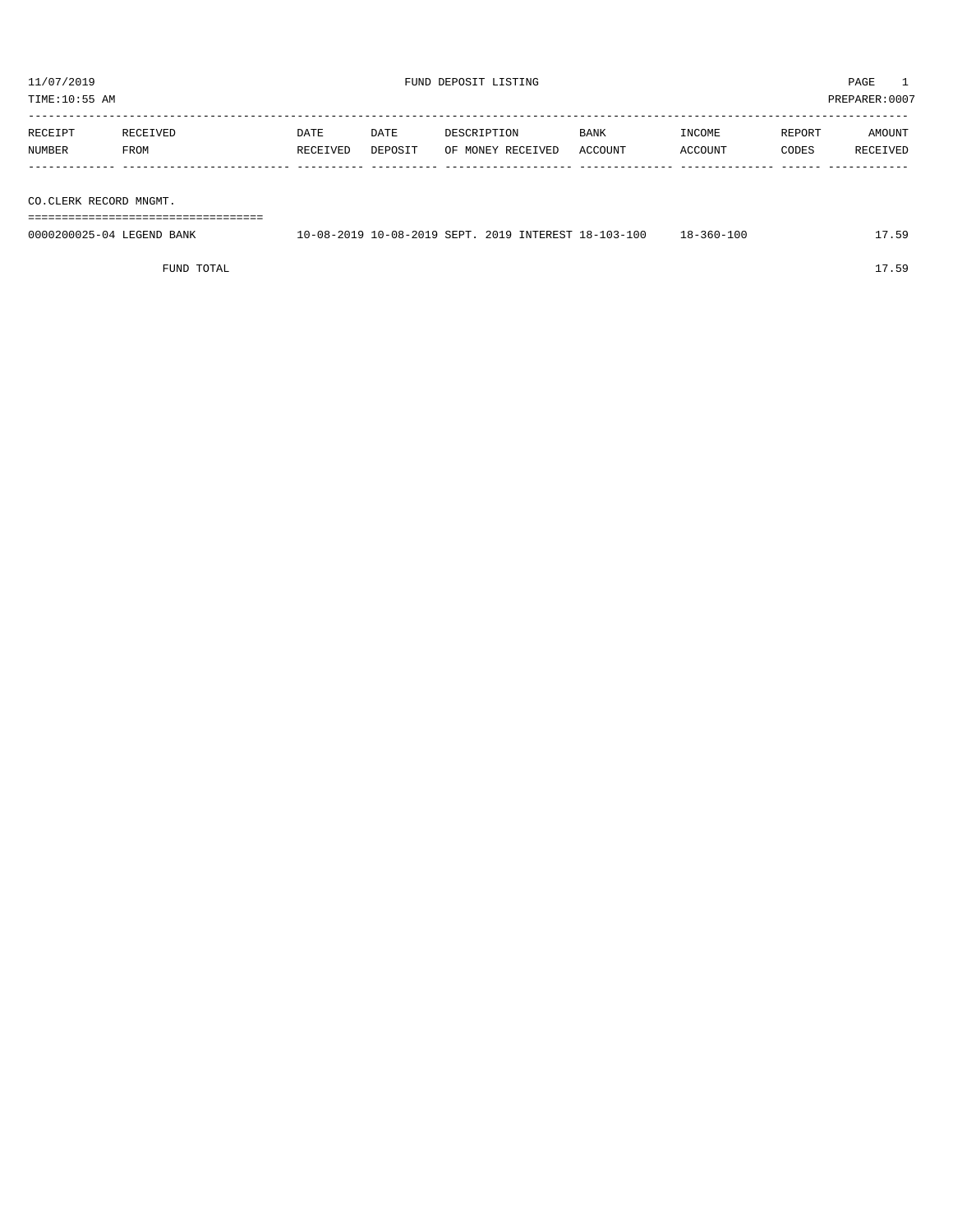| 11/07/2019<br>TIME:10:55 AM |                                    |                  | FUND DEPOSIT LISTING | PAGE<br>PREPARER: 0007           |                 |                   |                 |                    |
|-----------------------------|------------------------------------|------------------|----------------------|----------------------------------|-----------------|-------------------|-----------------|--------------------|
| RECEIPT<br><b>NUMBER</b>    | RECEIVED<br>FROM                   | DATE<br>RECEIVED | DATE<br>DEPOSIT      | DESCRIPTION<br>OF MONEY RECEIVED | BANK<br>ACCOUNT | INCOME<br>ACCOUNT | REPORT<br>CODES | AMOUNT<br>RECEIVED |
| CO.CLERK RECORD MNGMT.      | __________________________________ |                  |                      |                                  |                 |                   |                 |                    |

0000200025-04 LEGEND BANK 10-08-2019 10-08-2019 SEPT. 2019 INTEREST 18-103-100 18-360-100 17.59

FUND TOTAL 17.59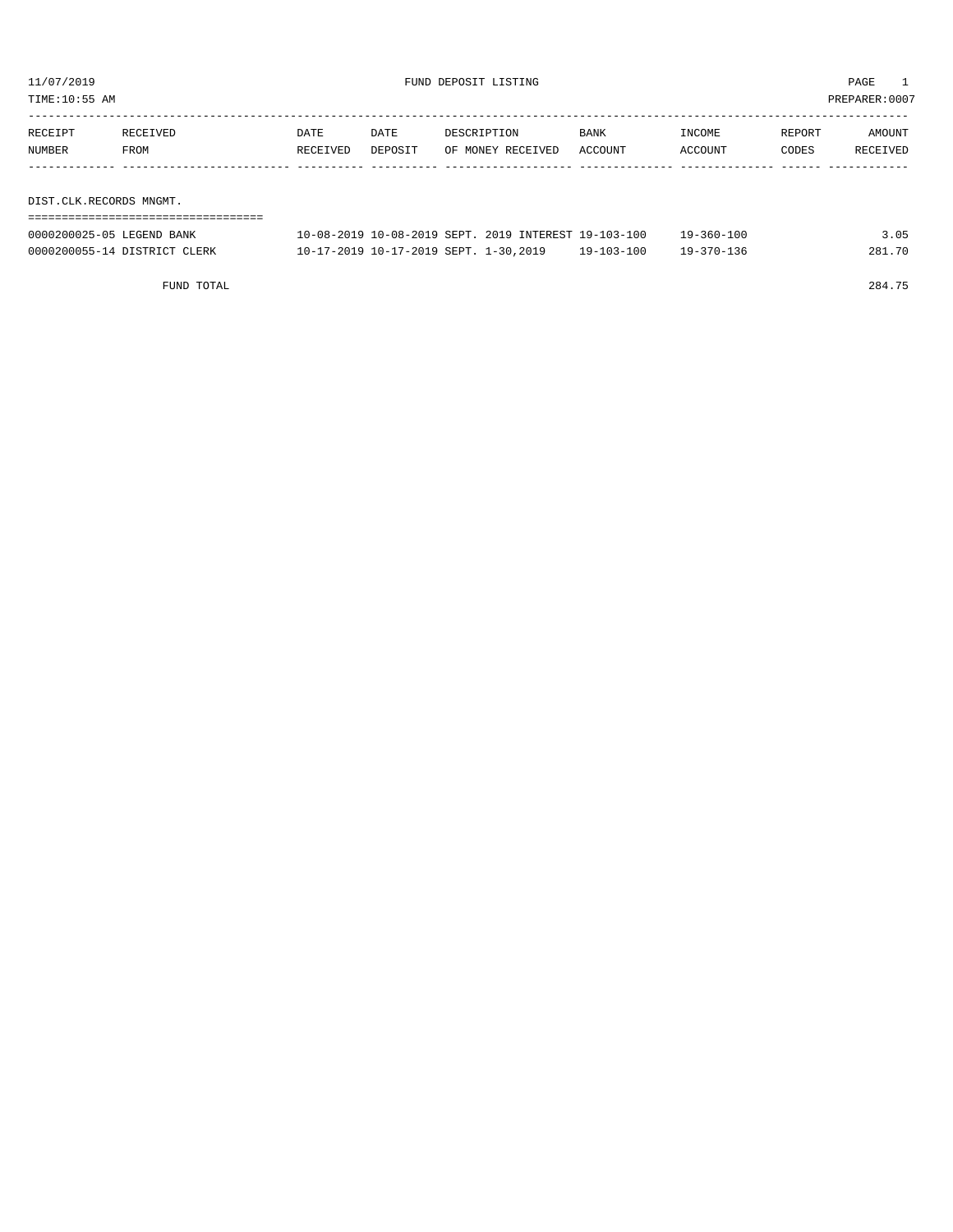TIME:10:55 AM PREPARER:0007

| RECEIPT                 | RECEIVED | DATE     | DATE    | DESCRIPTION       | BANK    | INCOME  | REPORT | AMOUNT   |  |
|-------------------------|----------|----------|---------|-------------------|---------|---------|--------|----------|--|
| NUMBER                  | FROM     | RECEIVED | DEPOSIT | OF MONEY RECEIVED | ACCOUNT | ACCOUNT | CODES  | RECEIVED |  |
|                         |          |          |         |                   |         |         |        |          |  |
|                         |          |          |         |                   |         |         |        |          |  |
| DIST.CLK.RECORDS MNGMT. |          |          |         |                   |         |         |        |          |  |
|                         |          |          |         |                   |         |         |        |          |  |

| 0000200025-05 LEGEND BANK    | 10-08-2019 10-08-2019 SEPT. 2019 INTEREST 19-103-100 |                  | 19-360-100 |        |
|------------------------------|------------------------------------------------------|------------------|------------|--------|
| 0000200055-14 DISTRICT CLERK | 10-17-2019 10-17-2019 SEPT. 1-30,2019                | $19 - 103 - 100$ | 19-370-136 | 281.70 |

FUND TOTAL 284.75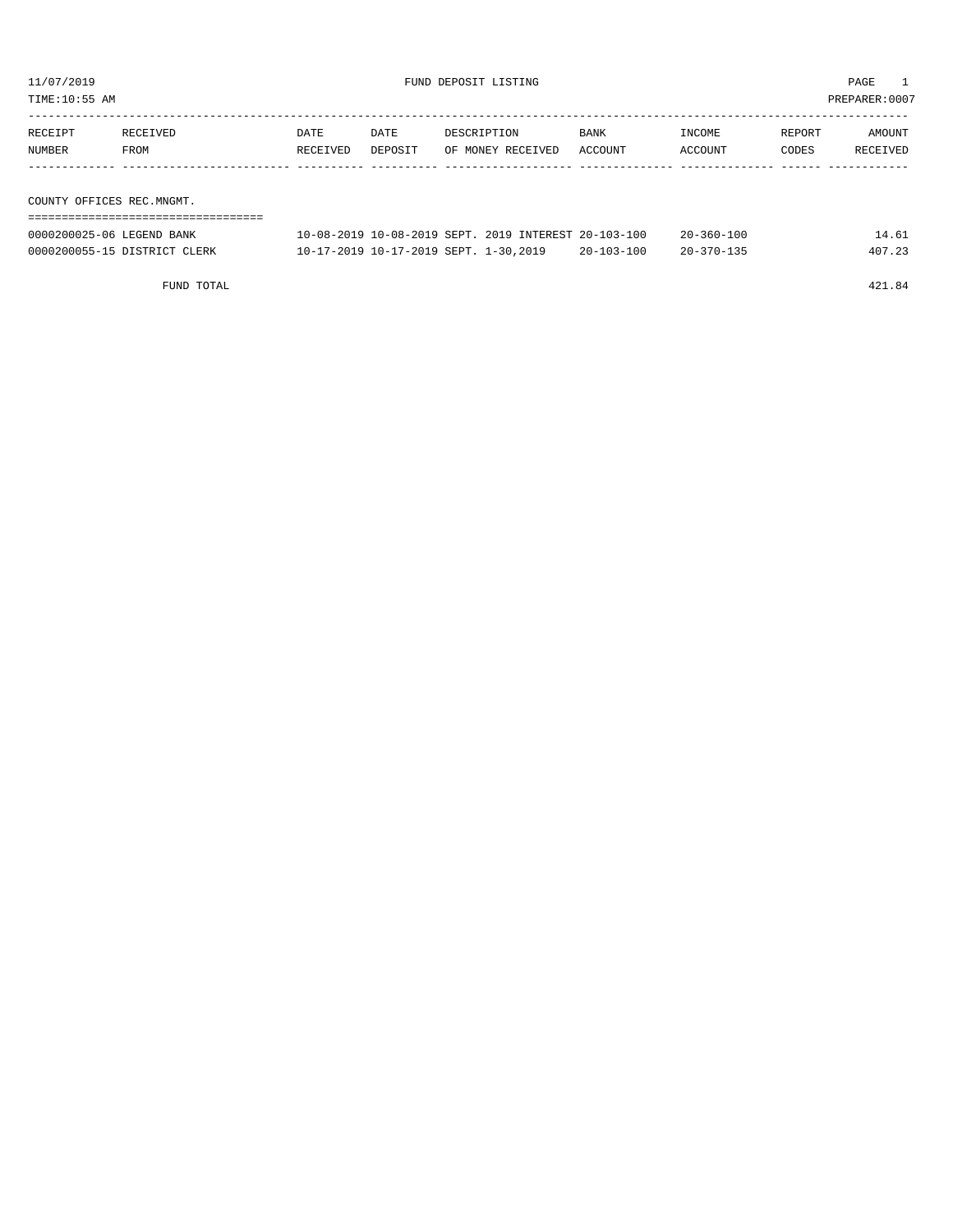TIME:10:55 AM PREPARER:0007

| RECEIPT                   | RECEIVED | DATE     | DATE    | DESCRIPTION       | BANK    | INCOME  | REPORT | AMOUNT   |
|---------------------------|----------|----------|---------|-------------------|---------|---------|--------|----------|
| NUMBER                    | FROM     | RECEIVED | DEPOSIT | OF MONEY RECEIVED | ACCOUNT | ACCOUNT | CODES  | RECEIVED |
|                           |          |          |         |                   |         |         |        |          |
|                           |          |          |         |                   |         |         |        |          |
| COUNTY OFFICES REC.MNGMT. |          |          |         |                   |         |         |        |          |

| ================================= |                                                      |                  |                  |        |
|-----------------------------------|------------------------------------------------------|------------------|------------------|--------|
| 0000200025-06 LEGEND BANK         | 10-08-2019 10-08-2019 SEPT, 2019 INTEREST 20-103-100 |                  | $20 - 360 - 100$ | 14.61  |
| 0000200055-15 DISTRICT CLERK      | 10-17-2019 10-17-2019 SEPT. 1-30,2019                | $20 - 103 - 100$ | $20 - 370 - 135$ | 407.23 |

FUND TOTAL 421.84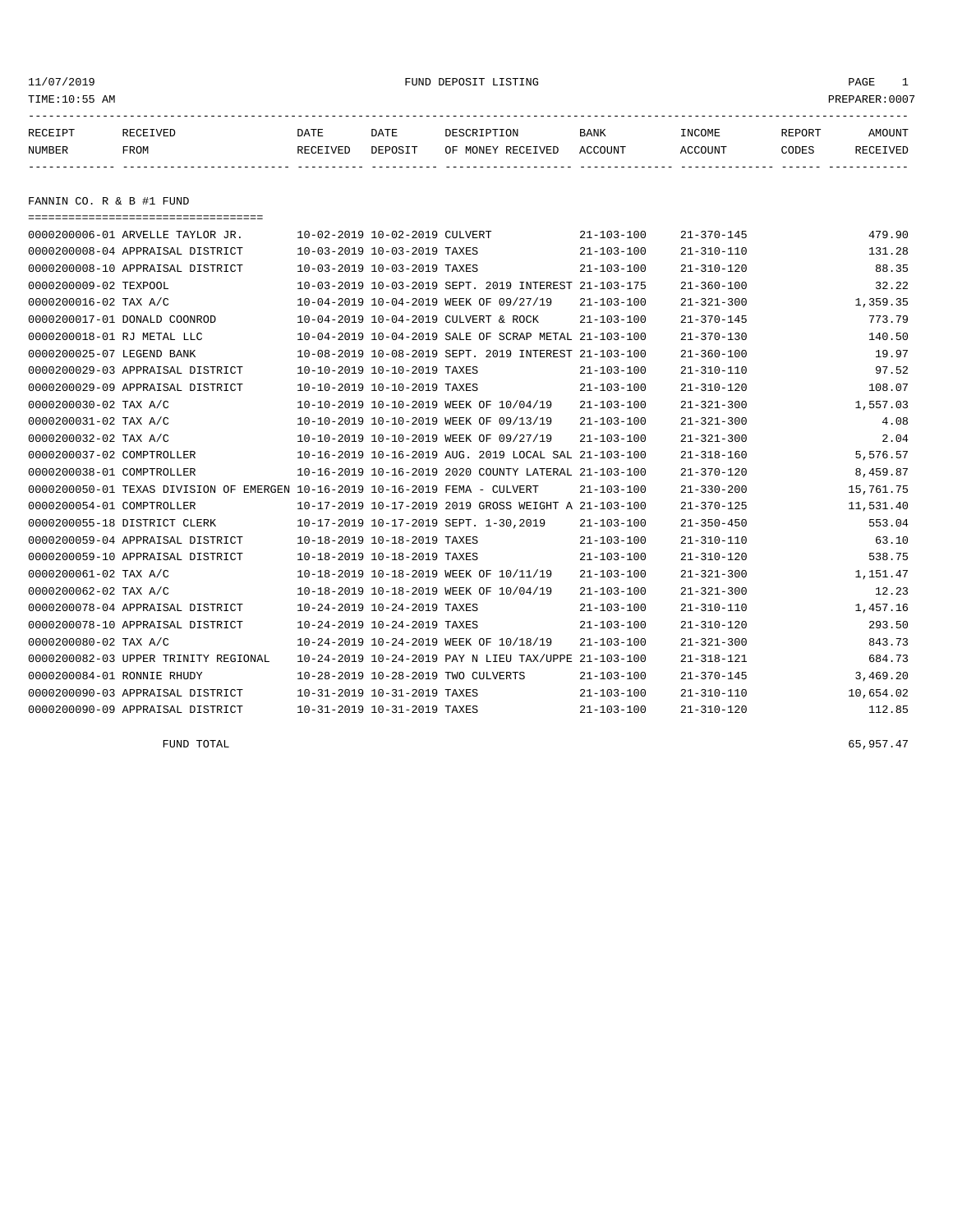#### 11/07/2019 FUND DEPOSIT LISTING PAGE 1

| RECEIPT | <b>RECEIVED</b> | DATE     | DATE    | DESCRIPTION       | BANK    | <b>INCOME</b> | REPORT | <b>AMOUNT</b> |
|---------|-----------------|----------|---------|-------------------|---------|---------------|--------|---------------|
| NUMBER  | FROM            | RECEIVED | DEPOSIT | OF MONEY RECEIVED | ACCOUNT | ACCOUNT       | CODES  | RECEIVEL      |
|         |                 |          |         |                   |         |               |        |               |

FANNIN CO. R & B #1 FUND

| ======================================                                       |                               |                                                      |                  |                  |           |
|------------------------------------------------------------------------------|-------------------------------|------------------------------------------------------|------------------|------------------|-----------|
| 0000200006-01 ARVELLE TAYLOR JR.                                             | 10-02-2019 10-02-2019 CULVERT |                                                      | $21 - 103 - 100$ | $21 - 370 - 145$ | 479.90    |
| 0000200008-04 APPRAISAL DISTRICT                                             | 10-03-2019 10-03-2019 TAXES   |                                                      | $21 - 103 - 100$ | $21 - 310 - 110$ | 131.28    |
| 0000200008-10 APPRAISAL DISTRICT                                             | 10-03-2019 10-03-2019 TAXES   |                                                      | $21 - 103 - 100$ | $21 - 310 - 120$ | 88.35     |
| 0000200009-02 TEXPOOL                                                        |                               | 10-03-2019 10-03-2019 SEPT. 2019 INTEREST 21-103-175 |                  | $21 - 360 - 100$ | 32.22     |
| 0000200016-02 TAX A/C                                                        |                               | 10-04-2019 10-04-2019 WEEK OF 09/27/19               | $21 - 103 - 100$ | $21 - 321 - 300$ | 1,359.35  |
| 0000200017-01 DONALD COONROD                                                 |                               | 10-04-2019 10-04-2019 CULVERT & ROCK                 | 21-103-100       | $21 - 370 - 145$ | 773.79    |
| 0000200018-01 RJ METAL LLC                                                   |                               | 10-04-2019 10-04-2019 SALE OF SCRAP METAL 21-103-100 |                  | $21 - 370 - 130$ | 140.50    |
| 0000200025-07 LEGEND BANK                                                    |                               | 10-08-2019 10-08-2019 SEPT. 2019 INTEREST 21-103-100 |                  | $21 - 360 - 100$ | 19.97     |
| 0000200029-03 APPRAISAL DISTRICT                                             | 10-10-2019 10-10-2019 TAXES   |                                                      | $21 - 103 - 100$ | $21 - 310 - 110$ | 97.52     |
| 0000200029-09 APPRAISAL DISTRICT                                             | 10-10-2019 10-10-2019 TAXES   |                                                      | $21 - 103 - 100$ | $21 - 310 - 120$ | 108.07    |
| 0000200030-02 TAX A/C                                                        |                               | 10-10-2019 10-10-2019 WEEK OF 10/04/19               | $21 - 103 - 100$ | $21 - 321 - 300$ | 1,557.03  |
| 0000200031-02 TAX A/C                                                        |                               | 10-10-2019 10-10-2019 WEEK OF 09/13/19               | $21 - 103 - 100$ | $21 - 321 - 300$ | 4.08      |
| 0000200032-02 TAX A/C                                                        |                               | 10-10-2019 10-10-2019 WEEK OF 09/27/19               | $21 - 103 - 100$ | $21 - 321 - 300$ | 2.04      |
| 0000200037-02 COMPTROLLER                                                    |                               | 10-16-2019 10-16-2019 AUG. 2019 LOCAL SAL 21-103-100 |                  | $21 - 318 - 160$ | 5,576.57  |
| 0000200038-01 COMPTROLLER                                                    |                               | 10-16-2019 10-16-2019 2020 COUNTY LATERAL 21-103-100 |                  | $21 - 370 - 120$ | 8,459.87  |
| 0000200050-01 TEXAS DIVISION OF EMERGEN 10-16-2019 10-16-2019 FEMA - CULVERT |                               |                                                      | 21-103-100       | $21 - 330 - 200$ | 15,761.75 |
| 0000200054-01 COMPTROLLER                                                    |                               | 10-17-2019 10-17-2019 2019 GROSS WEIGHT A 21-103-100 |                  | $21 - 370 - 125$ | 11,531.40 |
| 0000200055-18 DISTRICT CLERK                                                 |                               | 10-17-2019 10-17-2019 SEPT. 1-30,2019                | $21 - 103 - 100$ | $21 - 350 - 450$ | 553.04    |
| 0000200059-04 APPRAISAL DISTRICT                                             | 10-18-2019 10-18-2019 TAXES   |                                                      | $21 - 103 - 100$ | $21 - 310 - 110$ | 63.10     |
| 0000200059-10 APPRAISAL DISTRICT                                             | 10-18-2019 10-18-2019 TAXES   |                                                      | $21 - 103 - 100$ | $21 - 310 - 120$ | 538.75    |
| 0000200061-02 TAX A/C                                                        |                               | 10-18-2019 10-18-2019 WEEK OF 10/11/19               | $21 - 103 - 100$ | $21 - 321 - 300$ | 1,151.47  |
| 0000200062-02 TAX A/C                                                        |                               | 10-18-2019 10-18-2019 WEEK OF 10/04/19               | $21 - 103 - 100$ | $21 - 321 - 300$ | 12.23     |
| 0000200078-04 APPRAISAL DISTRICT                                             | 10-24-2019 10-24-2019 TAXES   |                                                      | $21 - 103 - 100$ | $21 - 310 - 110$ | 1,457.16  |
| 0000200078-10 APPRAISAL DISTRICT                                             | 10-24-2019 10-24-2019 TAXES   |                                                      | $21 - 103 - 100$ | $21 - 310 - 120$ | 293.50    |
| 0000200080-02 TAX A/C                                                        |                               | 10-24-2019 10-24-2019 WEEK OF 10/18/19               | $21 - 103 - 100$ | $21 - 321 - 300$ | 843.73    |
| 0000200082-03 UPPER TRINITY REGIONAL                                         |                               | 10-24-2019 10-24-2019 PAY N LIEU TAX/UPPE 21-103-100 |                  | $21 - 318 - 121$ | 684.73    |
| 0000200084-01 RONNIE RHUDY                                                   |                               | 10-28-2019 10-28-2019 TWO CULVERTS                   | $21 - 103 - 100$ | $21 - 370 - 145$ | 3,469.20  |
| 0000200090-03 APPRAISAL DISTRICT                                             | 10-31-2019 10-31-2019 TAXES   |                                                      | $21 - 103 - 100$ | $21 - 310 - 110$ | 10,654.02 |
| 0000200090-09 APPRAISAL DISTRICT                                             | 10-31-2019 10-31-2019 TAXES   |                                                      | $21 - 103 - 100$ | $21 - 310 - 120$ | 112.85    |

FUND TOTAL  $65,957.47$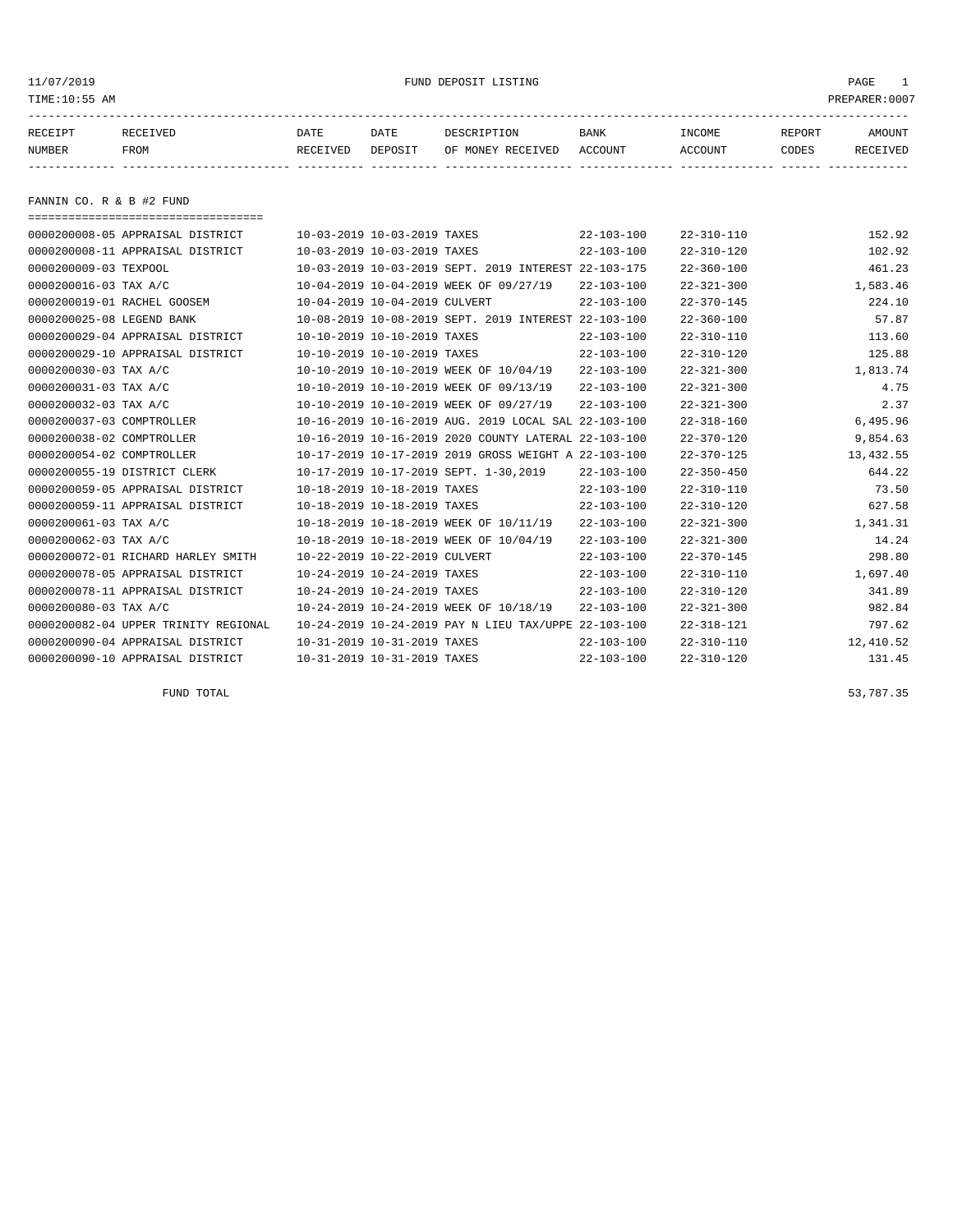#### 11/07/2019 FUND DEPOSIT LISTING PAGE 1

| RECEIPT | <b>RECEIVED</b> | DATE     | DATE    | DESCRIPTION          | <b>BANK</b>    | INCOME  | <b>REPORT</b> | AMOUNT          |
|---------|-----------------|----------|---------|----------------------|----------------|---------|---------------|-----------------|
| NUMBER  | FROM            | RECEIVED | DEPOSIT | RECEIVED<br>OF MONEY | <b>ACCOUNT</b> | ACCOUNT | CODES         | <b>RECEIVED</b> |
|         |                 |          |         |                      |                |         |               |                 |

FANNIN CO. R & B #2 FUND

| 0000200008-05 APPRAISAL DISTRICT<br>10-03-2019 10-03-2019 TAXES<br>$22 - 103 - 100$<br>$22 - 310 - 110$<br>0000200008-11 APPRAISAL DISTRICT<br>10-03-2019 10-03-2019 TAXES<br>$22 - 103 - 100$<br>$22 - 310 - 120$<br>0000200009-03 TEXPOOL<br>10-03-2019 10-03-2019 SEPT, 2019 INTEREST 22-103-175<br>$22 - 360 - 100$<br>0000200016-03 TAX A/C<br>10-04-2019 10-04-2019 WEEK OF 09/27/19<br>$22 - 103 - 100$<br>$22 - 321 - 300$<br>10-04-2019 10-04-2019 CULVERT<br>$22 - 103 - 100$<br>0000200019-01 RACHEL GOOSEM<br>$22 - 370 - 145$<br>0000200025-08 LEGEND BANK<br>10-08-2019 10-08-2019 SEPT. 2019 INTEREST 22-103-100<br>$22 - 360 - 100$<br>10-10-2019 10-10-2019 TAXES<br>$22 - 310 - 110$<br>0000200029-04 APPRAISAL DISTRICT<br>$22 - 103 - 100$<br>0000200029-10 APPRAISAL DISTRICT<br>10-10-2019 10-10-2019 TAXES<br>$22 - 103 - 100$<br>$22 - 310 - 120$<br>0000200030-03 TAX A/C<br>10-10-2019 10-10-2019 WEEK OF 10/04/19<br>$22 - 103 - 100$<br>$22 - 321 - 300$<br>0000200031-03 TAX A/C<br>10-10-2019 10-10-2019 WEEK OF 09/13/19<br>$22 - 103 - 100$<br>$22 - 321 - 300$<br>0000200032-03 TAX A/C<br>10-10-2019 10-10-2019 WEEK OF 09/27/19<br>$22 - 103 - 100$<br>$22 - 321 - 300$<br>0000200037-03 COMPTROLLER<br>10-16-2019 10-16-2019 AUG. 2019 LOCAL SAL 22-103-100<br>$22 - 318 - 160$<br>10-16-2019 10-16-2019 2020 COUNTY LATERAL 22-103-100<br>$22 - 370 - 120$<br>0000200038-02 COMPTROLLER<br>0000200054-02 COMPTROLLER<br>10-17-2019 10-17-2019 2019 GROSS WEIGHT A 22-103-100<br>$22 - 370 - 125$<br>0000200055-19 DISTRICT CLERK<br>10-17-2019 10-17-2019 SEPT. 1-30,2019<br>$22 - 350 - 450$<br>$22 - 103 - 100$<br>10-18-2019 10-18-2019 TAXES<br>$22 - 310 - 110$<br>0000200059-05 APPRAISAL DISTRICT<br>$22 - 103 - 100$<br>10-18-2019 10-18-2019 TAXES<br>$22 - 103 - 100$<br>$22 - 310 - 120$<br>0000200059-11 APPRAISAL DISTRICT<br>0000200061-03 TAX A/C<br>10-18-2019 10-18-2019 WEEK OF 10/11/19<br>$22 - 103 - 100$<br>$22 - 321 - 300$<br>10-18-2019 10-18-2019 WEEK OF 10/04/19<br>0000200062-03 TAX A/C<br>$22 - 103 - 100$<br>$22 - 321 - 300$<br>10-22-2019 10-22-2019 CULVERT<br>$22 - 103 - 100$<br>$22 - 370 - 145$<br>0000200072-01 RICHARD HARLEY SMITH<br>0000200078-05 APPRAISAL DISTRICT<br>10-24-2019 10-24-2019 TAXES<br>$22 - 103 - 100$<br>$22 - 310 - 110$<br>0000200078-11 APPRAISAL DISTRICT<br>10-24-2019 10-24-2019 TAXES<br>$22 - 103 - 100$<br>$22 - 310 - 120$<br>10-24-2019 10-24-2019 WEEK OF 10/18/19<br>$22 - 103 - 100$<br>0000200080-03 TAX A/C<br>$22 - 321 - 300$<br>10-24-2019 10-24-2019 PAY N LIEU TAX/UPPE 22-103-100<br>$22 - 318 - 121$<br>0000200082-04 UPPER TRINITY REGIONAL<br>10-31-2019 10-31-2019 TAXES<br>$22 - 103 - 100$<br>$22 - 310 - 110$<br>0000200090-04 APPRAISAL DISTRICT<br>10-31-2019 10-31-2019 TAXES<br>0000200090-10 APPRAISAL DISTRICT<br>$22 - 103 - 100$<br>$22 - 310 - 120$ | ===================================== |  |  |           |
|----------------------------------------------------------------------------------------------------------------------------------------------------------------------------------------------------------------------------------------------------------------------------------------------------------------------------------------------------------------------------------------------------------------------------------------------------------------------------------------------------------------------------------------------------------------------------------------------------------------------------------------------------------------------------------------------------------------------------------------------------------------------------------------------------------------------------------------------------------------------------------------------------------------------------------------------------------------------------------------------------------------------------------------------------------------------------------------------------------------------------------------------------------------------------------------------------------------------------------------------------------------------------------------------------------------------------------------------------------------------------------------------------------------------------------------------------------------------------------------------------------------------------------------------------------------------------------------------------------------------------------------------------------------------------------------------------------------------------------------------------------------------------------------------------------------------------------------------------------------------------------------------------------------------------------------------------------------------------------------------------------------------------------------------------------------------------------------------------------------------------------------------------------------------------------------------------------------------------------------------------------------------------------------------------------------------------------------------------------------------------------------------------------------------------------------------------------------------------------------------------------------------------------------------------------------------------------------------------------------------------------------------------------------------------------------------------------------------------------------------------------------------------------------------------------------------------------------------------------------------------------------------|---------------------------------------|--|--|-----------|
|                                                                                                                                                                                                                                                                                                                                                                                                                                                                                                                                                                                                                                                                                                                                                                                                                                                                                                                                                                                                                                                                                                                                                                                                                                                                                                                                                                                                                                                                                                                                                                                                                                                                                                                                                                                                                                                                                                                                                                                                                                                                                                                                                                                                                                                                                                                                                                                                                                                                                                                                                                                                                                                                                                                                                                                                                                                                                              |                                       |  |  | 152.92    |
|                                                                                                                                                                                                                                                                                                                                                                                                                                                                                                                                                                                                                                                                                                                                                                                                                                                                                                                                                                                                                                                                                                                                                                                                                                                                                                                                                                                                                                                                                                                                                                                                                                                                                                                                                                                                                                                                                                                                                                                                                                                                                                                                                                                                                                                                                                                                                                                                                                                                                                                                                                                                                                                                                                                                                                                                                                                                                              |                                       |  |  | 102.92    |
|                                                                                                                                                                                                                                                                                                                                                                                                                                                                                                                                                                                                                                                                                                                                                                                                                                                                                                                                                                                                                                                                                                                                                                                                                                                                                                                                                                                                                                                                                                                                                                                                                                                                                                                                                                                                                                                                                                                                                                                                                                                                                                                                                                                                                                                                                                                                                                                                                                                                                                                                                                                                                                                                                                                                                                                                                                                                                              |                                       |  |  | 461.23    |
|                                                                                                                                                                                                                                                                                                                                                                                                                                                                                                                                                                                                                                                                                                                                                                                                                                                                                                                                                                                                                                                                                                                                                                                                                                                                                                                                                                                                                                                                                                                                                                                                                                                                                                                                                                                                                                                                                                                                                                                                                                                                                                                                                                                                                                                                                                                                                                                                                                                                                                                                                                                                                                                                                                                                                                                                                                                                                              |                                       |  |  | 1,583.46  |
|                                                                                                                                                                                                                                                                                                                                                                                                                                                                                                                                                                                                                                                                                                                                                                                                                                                                                                                                                                                                                                                                                                                                                                                                                                                                                                                                                                                                                                                                                                                                                                                                                                                                                                                                                                                                                                                                                                                                                                                                                                                                                                                                                                                                                                                                                                                                                                                                                                                                                                                                                                                                                                                                                                                                                                                                                                                                                              |                                       |  |  | 224.10    |
|                                                                                                                                                                                                                                                                                                                                                                                                                                                                                                                                                                                                                                                                                                                                                                                                                                                                                                                                                                                                                                                                                                                                                                                                                                                                                                                                                                                                                                                                                                                                                                                                                                                                                                                                                                                                                                                                                                                                                                                                                                                                                                                                                                                                                                                                                                                                                                                                                                                                                                                                                                                                                                                                                                                                                                                                                                                                                              |                                       |  |  | 57.87     |
|                                                                                                                                                                                                                                                                                                                                                                                                                                                                                                                                                                                                                                                                                                                                                                                                                                                                                                                                                                                                                                                                                                                                                                                                                                                                                                                                                                                                                                                                                                                                                                                                                                                                                                                                                                                                                                                                                                                                                                                                                                                                                                                                                                                                                                                                                                                                                                                                                                                                                                                                                                                                                                                                                                                                                                                                                                                                                              |                                       |  |  | 113.60    |
|                                                                                                                                                                                                                                                                                                                                                                                                                                                                                                                                                                                                                                                                                                                                                                                                                                                                                                                                                                                                                                                                                                                                                                                                                                                                                                                                                                                                                                                                                                                                                                                                                                                                                                                                                                                                                                                                                                                                                                                                                                                                                                                                                                                                                                                                                                                                                                                                                                                                                                                                                                                                                                                                                                                                                                                                                                                                                              |                                       |  |  | 125.88    |
|                                                                                                                                                                                                                                                                                                                                                                                                                                                                                                                                                                                                                                                                                                                                                                                                                                                                                                                                                                                                                                                                                                                                                                                                                                                                                                                                                                                                                                                                                                                                                                                                                                                                                                                                                                                                                                                                                                                                                                                                                                                                                                                                                                                                                                                                                                                                                                                                                                                                                                                                                                                                                                                                                                                                                                                                                                                                                              |                                       |  |  | 1,813.74  |
|                                                                                                                                                                                                                                                                                                                                                                                                                                                                                                                                                                                                                                                                                                                                                                                                                                                                                                                                                                                                                                                                                                                                                                                                                                                                                                                                                                                                                                                                                                                                                                                                                                                                                                                                                                                                                                                                                                                                                                                                                                                                                                                                                                                                                                                                                                                                                                                                                                                                                                                                                                                                                                                                                                                                                                                                                                                                                              |                                       |  |  | 4.75      |
|                                                                                                                                                                                                                                                                                                                                                                                                                                                                                                                                                                                                                                                                                                                                                                                                                                                                                                                                                                                                                                                                                                                                                                                                                                                                                                                                                                                                                                                                                                                                                                                                                                                                                                                                                                                                                                                                                                                                                                                                                                                                                                                                                                                                                                                                                                                                                                                                                                                                                                                                                                                                                                                                                                                                                                                                                                                                                              |                                       |  |  | 2.37      |
|                                                                                                                                                                                                                                                                                                                                                                                                                                                                                                                                                                                                                                                                                                                                                                                                                                                                                                                                                                                                                                                                                                                                                                                                                                                                                                                                                                                                                                                                                                                                                                                                                                                                                                                                                                                                                                                                                                                                                                                                                                                                                                                                                                                                                                                                                                                                                                                                                                                                                                                                                                                                                                                                                                                                                                                                                                                                                              |                                       |  |  | 6,495.96  |
|                                                                                                                                                                                                                                                                                                                                                                                                                                                                                                                                                                                                                                                                                                                                                                                                                                                                                                                                                                                                                                                                                                                                                                                                                                                                                                                                                                                                                                                                                                                                                                                                                                                                                                                                                                                                                                                                                                                                                                                                                                                                                                                                                                                                                                                                                                                                                                                                                                                                                                                                                                                                                                                                                                                                                                                                                                                                                              |                                       |  |  | 9,854.63  |
|                                                                                                                                                                                                                                                                                                                                                                                                                                                                                                                                                                                                                                                                                                                                                                                                                                                                                                                                                                                                                                                                                                                                                                                                                                                                                                                                                                                                                                                                                                                                                                                                                                                                                                                                                                                                                                                                                                                                                                                                                                                                                                                                                                                                                                                                                                                                                                                                                                                                                                                                                                                                                                                                                                                                                                                                                                                                                              |                                       |  |  | 13,432.55 |
|                                                                                                                                                                                                                                                                                                                                                                                                                                                                                                                                                                                                                                                                                                                                                                                                                                                                                                                                                                                                                                                                                                                                                                                                                                                                                                                                                                                                                                                                                                                                                                                                                                                                                                                                                                                                                                                                                                                                                                                                                                                                                                                                                                                                                                                                                                                                                                                                                                                                                                                                                                                                                                                                                                                                                                                                                                                                                              |                                       |  |  | 644.22    |
|                                                                                                                                                                                                                                                                                                                                                                                                                                                                                                                                                                                                                                                                                                                                                                                                                                                                                                                                                                                                                                                                                                                                                                                                                                                                                                                                                                                                                                                                                                                                                                                                                                                                                                                                                                                                                                                                                                                                                                                                                                                                                                                                                                                                                                                                                                                                                                                                                                                                                                                                                                                                                                                                                                                                                                                                                                                                                              |                                       |  |  | 73.50     |
|                                                                                                                                                                                                                                                                                                                                                                                                                                                                                                                                                                                                                                                                                                                                                                                                                                                                                                                                                                                                                                                                                                                                                                                                                                                                                                                                                                                                                                                                                                                                                                                                                                                                                                                                                                                                                                                                                                                                                                                                                                                                                                                                                                                                                                                                                                                                                                                                                                                                                                                                                                                                                                                                                                                                                                                                                                                                                              |                                       |  |  | 627.58    |
|                                                                                                                                                                                                                                                                                                                                                                                                                                                                                                                                                                                                                                                                                                                                                                                                                                                                                                                                                                                                                                                                                                                                                                                                                                                                                                                                                                                                                                                                                                                                                                                                                                                                                                                                                                                                                                                                                                                                                                                                                                                                                                                                                                                                                                                                                                                                                                                                                                                                                                                                                                                                                                                                                                                                                                                                                                                                                              |                                       |  |  | 1,341.31  |
|                                                                                                                                                                                                                                                                                                                                                                                                                                                                                                                                                                                                                                                                                                                                                                                                                                                                                                                                                                                                                                                                                                                                                                                                                                                                                                                                                                                                                                                                                                                                                                                                                                                                                                                                                                                                                                                                                                                                                                                                                                                                                                                                                                                                                                                                                                                                                                                                                                                                                                                                                                                                                                                                                                                                                                                                                                                                                              |                                       |  |  | 14.24     |
|                                                                                                                                                                                                                                                                                                                                                                                                                                                                                                                                                                                                                                                                                                                                                                                                                                                                                                                                                                                                                                                                                                                                                                                                                                                                                                                                                                                                                                                                                                                                                                                                                                                                                                                                                                                                                                                                                                                                                                                                                                                                                                                                                                                                                                                                                                                                                                                                                                                                                                                                                                                                                                                                                                                                                                                                                                                                                              |                                       |  |  | 298.80    |
|                                                                                                                                                                                                                                                                                                                                                                                                                                                                                                                                                                                                                                                                                                                                                                                                                                                                                                                                                                                                                                                                                                                                                                                                                                                                                                                                                                                                                                                                                                                                                                                                                                                                                                                                                                                                                                                                                                                                                                                                                                                                                                                                                                                                                                                                                                                                                                                                                                                                                                                                                                                                                                                                                                                                                                                                                                                                                              |                                       |  |  | 1,697.40  |
|                                                                                                                                                                                                                                                                                                                                                                                                                                                                                                                                                                                                                                                                                                                                                                                                                                                                                                                                                                                                                                                                                                                                                                                                                                                                                                                                                                                                                                                                                                                                                                                                                                                                                                                                                                                                                                                                                                                                                                                                                                                                                                                                                                                                                                                                                                                                                                                                                                                                                                                                                                                                                                                                                                                                                                                                                                                                                              |                                       |  |  | 341.89    |
|                                                                                                                                                                                                                                                                                                                                                                                                                                                                                                                                                                                                                                                                                                                                                                                                                                                                                                                                                                                                                                                                                                                                                                                                                                                                                                                                                                                                                                                                                                                                                                                                                                                                                                                                                                                                                                                                                                                                                                                                                                                                                                                                                                                                                                                                                                                                                                                                                                                                                                                                                                                                                                                                                                                                                                                                                                                                                              |                                       |  |  | 982.84    |
|                                                                                                                                                                                                                                                                                                                                                                                                                                                                                                                                                                                                                                                                                                                                                                                                                                                                                                                                                                                                                                                                                                                                                                                                                                                                                                                                                                                                                                                                                                                                                                                                                                                                                                                                                                                                                                                                                                                                                                                                                                                                                                                                                                                                                                                                                                                                                                                                                                                                                                                                                                                                                                                                                                                                                                                                                                                                                              |                                       |  |  | 797.62    |
|                                                                                                                                                                                                                                                                                                                                                                                                                                                                                                                                                                                                                                                                                                                                                                                                                                                                                                                                                                                                                                                                                                                                                                                                                                                                                                                                                                                                                                                                                                                                                                                                                                                                                                                                                                                                                                                                                                                                                                                                                                                                                                                                                                                                                                                                                                                                                                                                                                                                                                                                                                                                                                                                                                                                                                                                                                                                                              |                                       |  |  | 12,410.52 |
|                                                                                                                                                                                                                                                                                                                                                                                                                                                                                                                                                                                                                                                                                                                                                                                                                                                                                                                                                                                                                                                                                                                                                                                                                                                                                                                                                                                                                                                                                                                                                                                                                                                                                                                                                                                                                                                                                                                                                                                                                                                                                                                                                                                                                                                                                                                                                                                                                                                                                                                                                                                                                                                                                                                                                                                                                                                                                              |                                       |  |  | 131.45    |

FUND TOTAL 53,787.35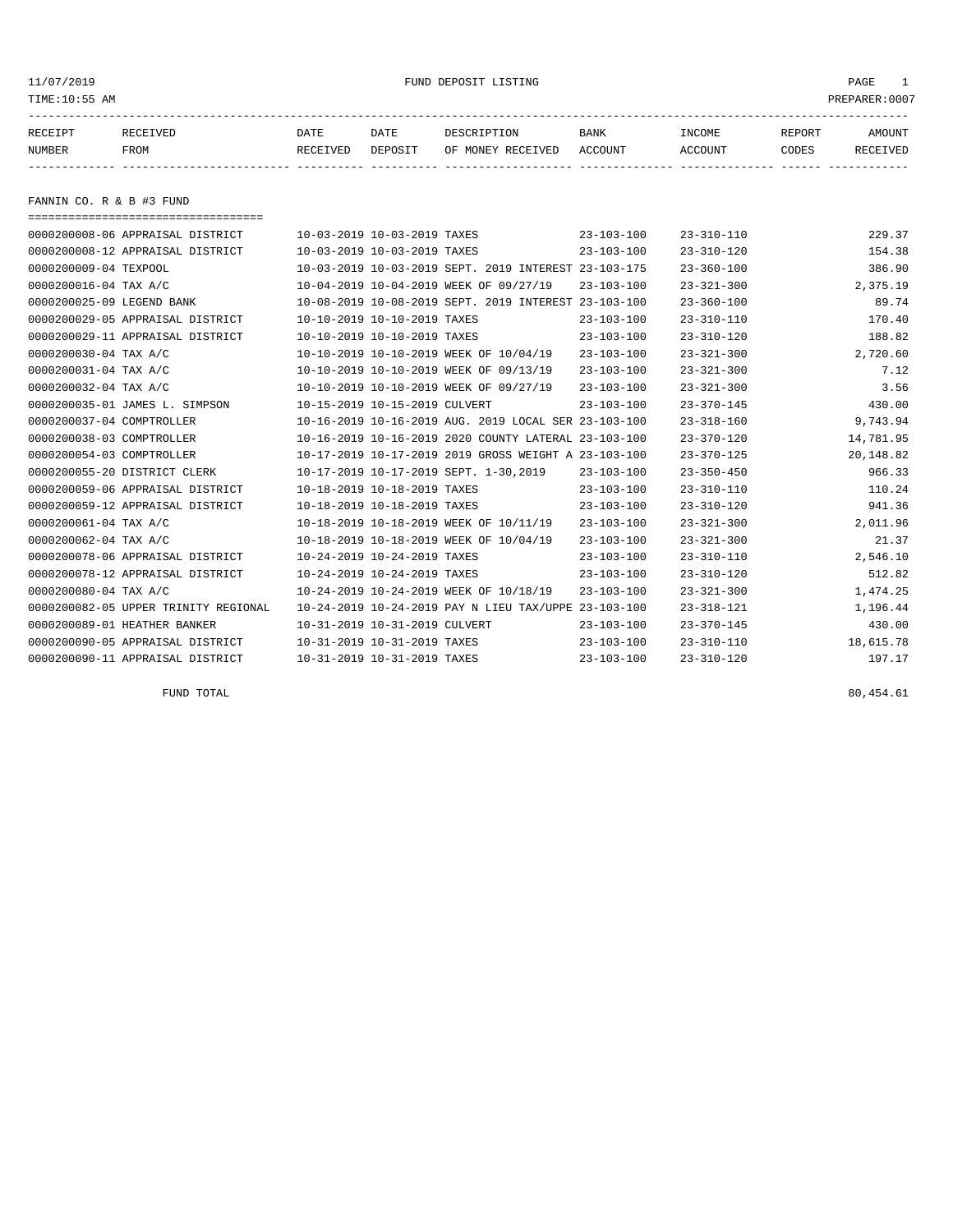#### 11/07/2019 FUND DEPOSIT LISTING PAGE 1

| RECEIPT | <b>RECEIVED</b> | DATE     | DATE    | DESCRIPTION       | BANK    | <b>INCOME</b> | REPORT | <b>AMOUNT</b> |
|---------|-----------------|----------|---------|-------------------|---------|---------------|--------|---------------|
| NUMBER  | FROM            | RECEIVED | DEPOSIT | OF MONEY RECEIVED | ACCOUNT | ACCOUNT       | CODES  | RECEIVED      |
|         |                 |          |         |                   |         |               |        |               |

FANNIN CO. R & B #3 FUND

| ====================================== |                               |                                                      |                  |                  |           |
|----------------------------------------|-------------------------------|------------------------------------------------------|------------------|------------------|-----------|
| 0000200008-06 APPRAISAL DISTRICT       | 10-03-2019 10-03-2019 TAXES   |                                                      | $23 - 103 - 100$ | $23 - 310 - 110$ | 229.37    |
| 0000200008-12 APPRAISAL DISTRICT       | 10-03-2019 10-03-2019 TAXES   |                                                      | $23 - 103 - 100$ | $23 - 310 - 120$ | 154.38    |
| 0000200009-04 TEXPOOL                  |                               | 10-03-2019 10-03-2019 SEPT. 2019 INTEREST 23-103-175 |                  | $23 - 360 - 100$ | 386.90    |
| 0000200016-04 TAX A/C                  |                               | 10-04-2019 10-04-2019 WEEK OF 09/27/19               | $23 - 103 - 100$ | $23 - 321 - 300$ | 2,375.19  |
| 0000200025-09 LEGEND BANK              |                               | 10-08-2019 10-08-2019 SEPT. 2019 INTEREST 23-103-100 |                  | $23 - 360 - 100$ | 89.74     |
| 0000200029-05 APPRAISAL DISTRICT       | 10-10-2019 10-10-2019 TAXES   |                                                      | $23 - 103 - 100$ | $23 - 310 - 110$ | 170.40    |
| 0000200029-11 APPRAISAL DISTRICT       | 10-10-2019 10-10-2019 TAXES   |                                                      | $23 - 103 - 100$ | $23 - 310 - 120$ | 188.82    |
| 0000200030-04 TAX A/C                  |                               | 10-10-2019 10-10-2019 WEEK OF 10/04/19               | $23 - 103 - 100$ | $23 - 321 - 300$ | 2,720.60  |
| 0000200031-04 TAX A/C                  |                               | 10-10-2019 10-10-2019 WEEK OF 09/13/19               | $23 - 103 - 100$ | $23 - 321 - 300$ | 7.12      |
| 0000200032-04 TAX A/C                  |                               | 10-10-2019 10-10-2019 WEEK OF 09/27/19               | $23 - 103 - 100$ | $23 - 321 - 300$ | 3.56      |
| 0000200035-01 JAMES L. SIMPSON         | 10-15-2019 10-15-2019 CULVERT |                                                      | $23 - 103 - 100$ | $23 - 370 - 145$ | 430.00    |
| 0000200037-04 COMPTROLLER              |                               | 10-16-2019 10-16-2019 AUG. 2019 LOCAL SER 23-103-100 |                  | $23 - 318 - 160$ | 9,743.94  |
| 0000200038-03 COMPTROLLER              |                               | 10-16-2019 10-16-2019 2020 COUNTY LATERAL 23-103-100 |                  | $23 - 370 - 120$ | 14,781.95 |
| 0000200054-03 COMPTROLLER              |                               | 10-17-2019 10-17-2019 2019 GROSS WEIGHT A 23-103-100 |                  | $23 - 370 - 125$ | 20,148.82 |
| 0000200055-20 DISTRICT CLERK           |                               | 10-17-2019 10-17-2019 SEPT. 1-30,2019                | $23 - 103 - 100$ | $23 - 350 - 450$ | 966.33    |
| 0000200059-06 APPRAISAL DISTRICT       | 10-18-2019 10-18-2019 TAXES   |                                                      | $23 - 103 - 100$ | $23 - 310 - 110$ | 110.24    |
| 0000200059-12 APPRAISAL DISTRICT       | 10-18-2019 10-18-2019 TAXES   |                                                      | $23 - 103 - 100$ | $23 - 310 - 120$ | 941.36    |
| 0000200061-04 TAX A/C                  |                               | 10-18-2019 10-18-2019 WEEK OF 10/11/19               | $23 - 103 - 100$ | $23 - 321 - 300$ | 2,011.96  |
| 0000200062-04 TAX A/C                  |                               | 10-18-2019 10-18-2019 WEEK OF 10/04/19               | $23 - 103 - 100$ | $23 - 321 - 300$ | 21.37     |
| 0000200078-06 APPRAISAL DISTRICT       | 10-24-2019 10-24-2019 TAXES   |                                                      | $23 - 103 - 100$ | $23 - 310 - 110$ | 2,546.10  |
| 0000200078-12 APPRAISAL DISTRICT       | 10-24-2019 10-24-2019 TAXES   |                                                      | $23 - 103 - 100$ | $23 - 310 - 120$ | 512.82    |
| 0000200080-04 TAX A/C                  |                               | 10-24-2019 10-24-2019 WEEK OF 10/18/19               | $23 - 103 - 100$ | $23 - 321 - 300$ | 1,474.25  |
| 0000200082-05 UPPER TRINITY REGIONAL   |                               | 10-24-2019 10-24-2019 PAY N LIEU TAX/UPPE 23-103-100 |                  | $23 - 318 - 121$ | 1,196.44  |
| 0000200089-01 HEATHER BANKER           | 10-31-2019 10-31-2019 CULVERT |                                                      | $23 - 103 - 100$ | $23 - 370 - 145$ | 430.00    |
| 0000200090-05 APPRAISAL DISTRICT       | 10-31-2019 10-31-2019 TAXES   |                                                      | $23 - 103 - 100$ | $23 - 310 - 110$ | 18,615.78 |
| 0000200090-11 APPRAISAL DISTRICT       | 10-31-2019 10-31-2019 TAXES   |                                                      | $23 - 103 - 100$ | $23 - 310 - 120$ | 197.17    |

FUND TOTAL  $80,454.61$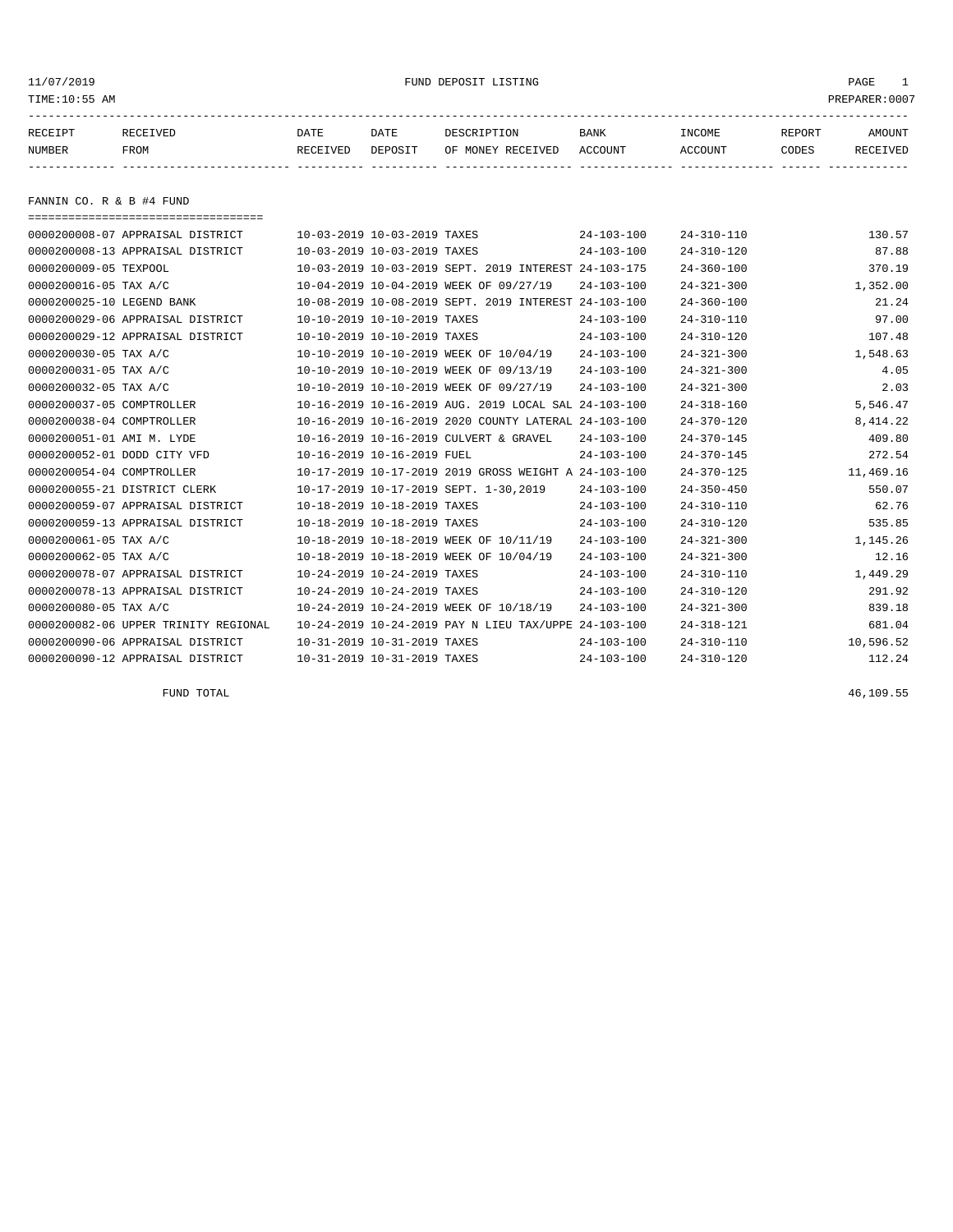#### 11/07/2019 FUND DEPOSIT LISTING PAGE 1

| RECEIPT | <b>RECEIVED</b> | DATE     | DATE    | DESCRIPTION       | <b>BANK</b> | INCOME  | <b>REPORT</b> | AMOUNT          |
|---------|-----------------|----------|---------|-------------------|-------------|---------|---------------|-----------------|
| NUMBER  | FROM            | RECEIVED | DEPOSIT | OF MONEY RECEIVED | ACCOUNT     | ACCOUNT | CODES         | <b>RECEIVED</b> |
|         |                 |          |         |                   |             |         |               |                 |

FANNIN CO. R & B #4 FUND

| ===================================== |                             |                             |                                                      |                  |                  |           |
|---------------------------------------|-----------------------------|-----------------------------|------------------------------------------------------|------------------|------------------|-----------|
| 0000200008-07 APPRAISAL DISTRICT      | 10-03-2019 10-03-2019 TAXES |                             |                                                      | $24 - 103 - 100$ | $24 - 310 - 110$ | 130.57    |
| 0000200008-13 APPRAISAL DISTRICT      | 10-03-2019 10-03-2019 TAXES |                             |                                                      | $24 - 103 - 100$ | $24 - 310 - 120$ | 87.88     |
| 0000200009-05 TEXPOOL                 |                             |                             | 10-03-2019 10-03-2019 SEPT. 2019 INTEREST 24-103-175 |                  | $24 - 360 - 100$ | 370.19    |
| 0000200016-05 TAX A/C                 |                             |                             | 10-04-2019 10-04-2019 WEEK OF 09/27/19               | $24 - 103 - 100$ | $24 - 321 - 300$ | 1,352.00  |
| 0000200025-10 LEGEND BANK             |                             |                             | 10-08-2019 10-08-2019 SEPT, 2019 INTEREST 24-103-100 |                  | $24 - 360 - 100$ | 21.24     |
| 0000200029-06 APPRAISAL DISTRICT      | 10-10-2019 10-10-2019 TAXES |                             |                                                      | $24 - 103 - 100$ | $24 - 310 - 110$ | 97.00     |
| 0000200029-12 APPRAISAL DISTRICT      | 10-10-2019 10-10-2019 TAXES |                             |                                                      | $24 - 103 - 100$ | $24 - 310 - 120$ | 107.48    |
| 0000200030-05 TAX A/C                 |                             |                             | 10-10-2019 10-10-2019 WEEK OF 10/04/19               | $24 - 103 - 100$ | $24 - 321 - 300$ | 1,548.63  |
| 0000200031-05 TAX A/C                 |                             |                             | 10-10-2019 10-10-2019 WEEK OF 09/13/19               | $24 - 103 - 100$ | $24 - 321 - 300$ | 4.05      |
| 0000200032-05 TAX A/C                 |                             |                             | 10-10-2019 10-10-2019 WEEK OF 09/27/19               | $24 - 103 - 100$ | $24 - 321 - 300$ | 2.03      |
| 0000200037-05 COMPTROLLER             |                             |                             | 10-16-2019 10-16-2019 AUG. 2019 LOCAL SAL 24-103-100 |                  | $24 - 318 - 160$ | 5,546.47  |
| 0000200038-04 COMPTROLLER             |                             |                             | 10-16-2019 10-16-2019 2020 COUNTY LATERAL 24-103-100 |                  | $24 - 370 - 120$ | 8, 414.22 |
| 0000200051-01 AMI M. LYDE             |                             |                             | 10-16-2019 10-16-2019 CULVERT & GRAVEL               | $24 - 103 - 100$ | $24 - 370 - 145$ | 409.80    |
| 0000200052-01 DODD CITY VFD           | 10-16-2019 10-16-2019 FUEL  |                             |                                                      | $24 - 103 - 100$ | $24 - 370 - 145$ | 272.54    |
| 0000200054-04 COMPTROLLER             |                             |                             | 10-17-2019 10-17-2019 2019 GROSS WEIGHT A 24-103-100 |                  | $24 - 370 - 125$ | 11,469.16 |
| 0000200055-21 DISTRICT CLERK          |                             |                             | 10-17-2019 10-17-2019 SEPT. 1-30,2019                | $24 - 103 - 100$ | $24 - 350 - 450$ | 550.07    |
| 0000200059-07 APPRAISAL DISTRICT      | 10-18-2019 10-18-2019 TAXES |                             |                                                      | $24 - 103 - 100$ | $24 - 310 - 110$ | 62.76     |
| 0000200059-13 APPRAISAL DISTRICT      | 10-18-2019 10-18-2019 TAXES |                             |                                                      | $24 - 103 - 100$ | $24 - 310 - 120$ | 535.85    |
| 0000200061-05 TAX A/C                 |                             |                             | 10-18-2019 10-18-2019 WEEK OF 10/11/19               | $24 - 103 - 100$ | $24 - 321 - 300$ | 1,145.26  |
| 0000200062-05 TAX A/C                 |                             |                             | 10-18-2019 10-18-2019 WEEK OF 10/04/19               | $24 - 103 - 100$ | $24 - 321 - 300$ | 12.16     |
| 0000200078-07 APPRAISAL DISTRICT      | 10-24-2019 10-24-2019 TAXES |                             |                                                      | $24 - 103 - 100$ | $24 - 310 - 110$ | 1,449.29  |
| 0000200078-13 APPRAISAL DISTRICT      | 10-24-2019 10-24-2019 TAXES |                             |                                                      | $24 - 103 - 100$ | $24 - 310 - 120$ | 291.92    |
| 0000200080-05 TAX A/C                 |                             |                             | 10-24-2019 10-24-2019 WEEK OF 10/18/19               | $24 - 103 - 100$ | $24 - 321 - 300$ | 839.18    |
| 0000200082-06 UPPER TRINITY REGIONAL  |                             |                             | 10-24-2019 10-24-2019 PAY N LIEU TAX/UPPE 24-103-100 |                  | $24 - 318 - 121$ | 681.04    |
| 0000200090-06 APPRAISAL DISTRICT      | 10-31-2019 10-31-2019 TAXES |                             |                                                      | $24 - 103 - 100$ | $24 - 310 - 110$ | 10,596.52 |
| 0000200090-12 APPRAISAL DISTRICT      |                             | 10-31-2019 10-31-2019 TAXES |                                                      | $24 - 103 - 100$ | $24 - 310 - 120$ | 112.24    |

FUND TOTAL  $46,109.55$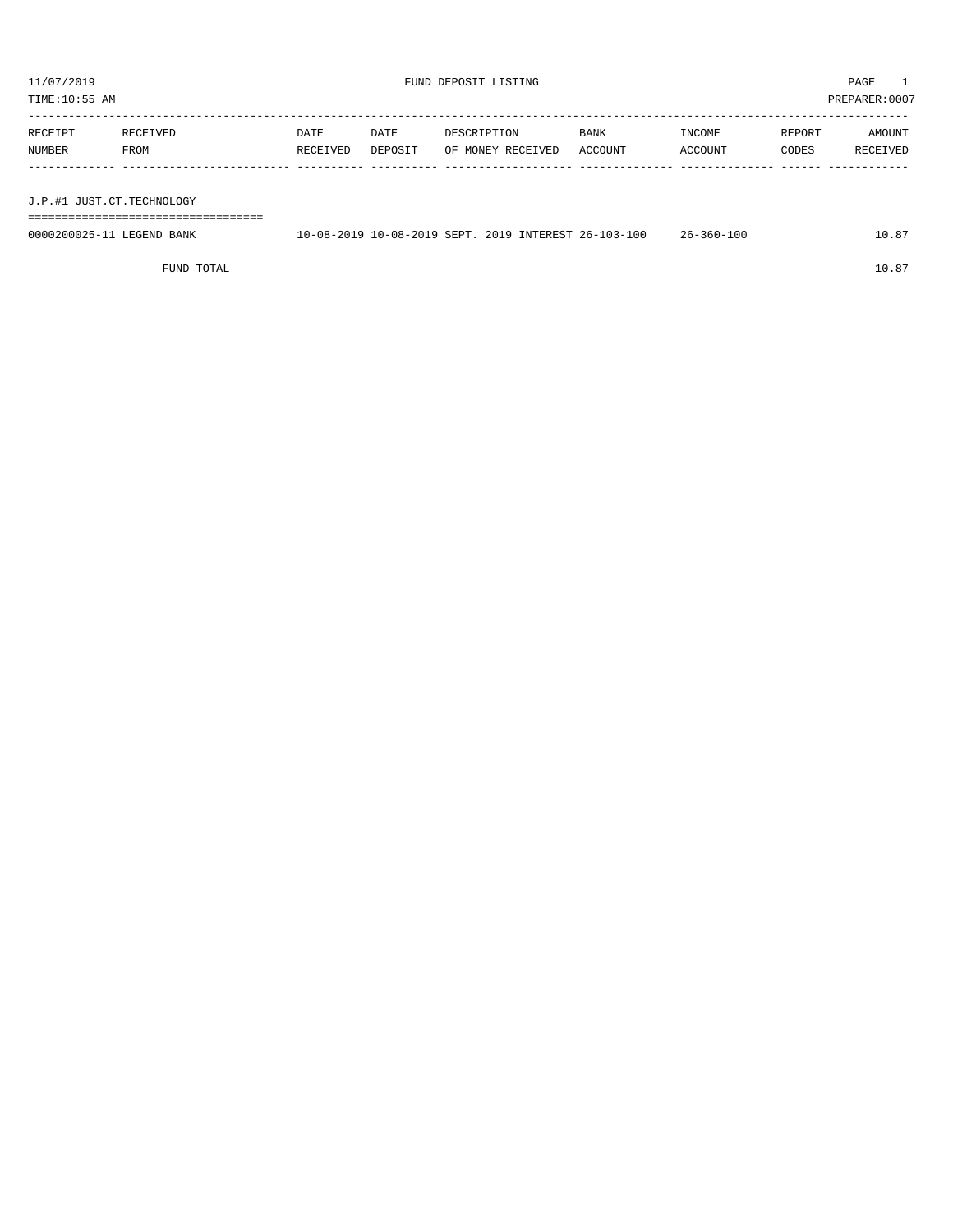TIME:10:55 AM PREPARER:0007

| RECEIPT                   | RECEIVED | DATE     | DATE    | DESCRIPTION       | <b>BANK</b> | INCOME  | REPORT | AMOUNT   |
|---------------------------|----------|----------|---------|-------------------|-------------|---------|--------|----------|
| NUMBER                    | FROM     | RECEIVED | DEPOSIT | OF MONEY RECEIVED | ACCOUNT     | ACCOUNT | CODES  | RECEIVED |
|                           |          |          |         |                   |             |         |        |          |
|                           |          |          |         |                   |             |         |        |          |
| J.P.#1 JUST.CT.TECHNOLOGY |          |          |         |                   |             |         |        |          |

| - - |  | ------------------------------- | ---------------------------------- |
|-----|--|---------------------------------|------------------------------------|
|     |  |                                 |                                    |

| 0000200025-11 LEGEND BANK |  |  | 10-08-2019 10-08-2019 SEPT, 2019 INTEREST 26-103-100 | $26 - 360 - 100$ | 10.87 |
|---------------------------|--|--|------------------------------------------------------|------------------|-------|
|                           |  |  |                                                      |                  |       |

FUND TOTAL  $10.87$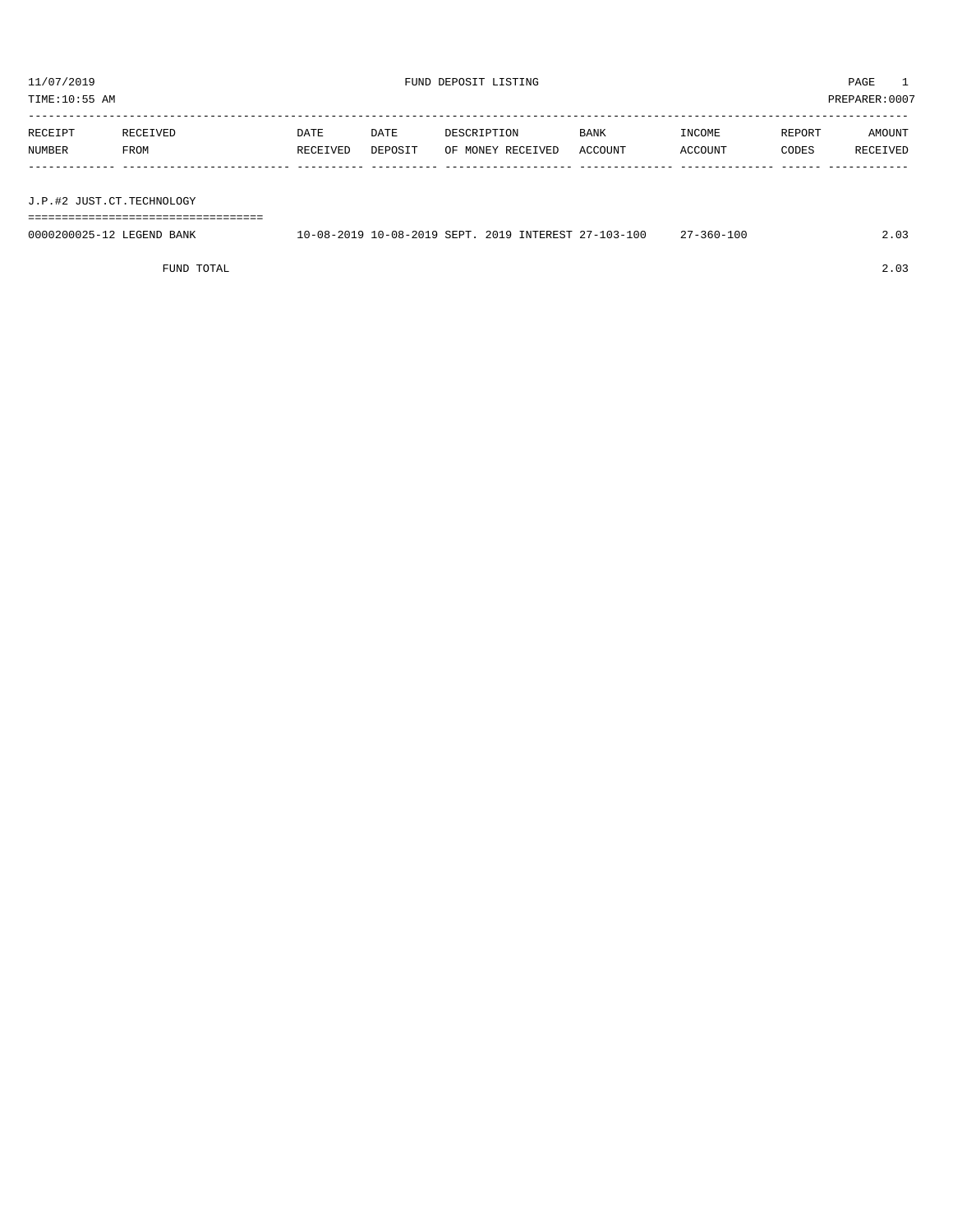${\rm FUND\ DEPOSIT\ LISTING} \begin{array}{l} {\rm FUND\ DEPOSIT\ LISTING} \end{array}$ 

TIME:10:55 AM PREPARER:0007 -----------------------------------------------------------------------------------------------------------------------------------

| RECEIPT | RECEIVED                                                                         | DATE     | DATE    | DESCRIPTION       | <b>BANK</b> | INCOME  | REPORT | AMOUNT   |
|---------|----------------------------------------------------------------------------------|----------|---------|-------------------|-------------|---------|--------|----------|
| NUMBER  | FROM                                                                             | RECEIVED | DEPOSIT | OF MONEY RECEIVED | ACCOUNT     | ACCOUNT | CODES  | RECEIVED |
|         |                                                                                  |          |         |                   |             |         |        |          |
|         |                                                                                  |          |         |                   |             |         |        |          |
|         | ,我们就是一个人的人,我们就是一个人的人,我们就是一个人的人,我们就是一个人的人,我们就是一个人的人,我们就是一个人的人,我们就是一个人的人,我们就是一个人的人 |          |         |                   |             |         |        |          |

J.P.#2 JUST.CT.TECHNOLOGY

===================================

| 0000200025-12 LEGEND BANK | 10-08-2019 10-08-2019 SEPT, 2019 INTEREST 27-103-100 |  |  | 27-360-100 | $\angle 0.02$ |
|---------------------------|------------------------------------------------------|--|--|------------|---------------|
|                           |                                                      |  |  |            |               |

FUND TOTAL 2.03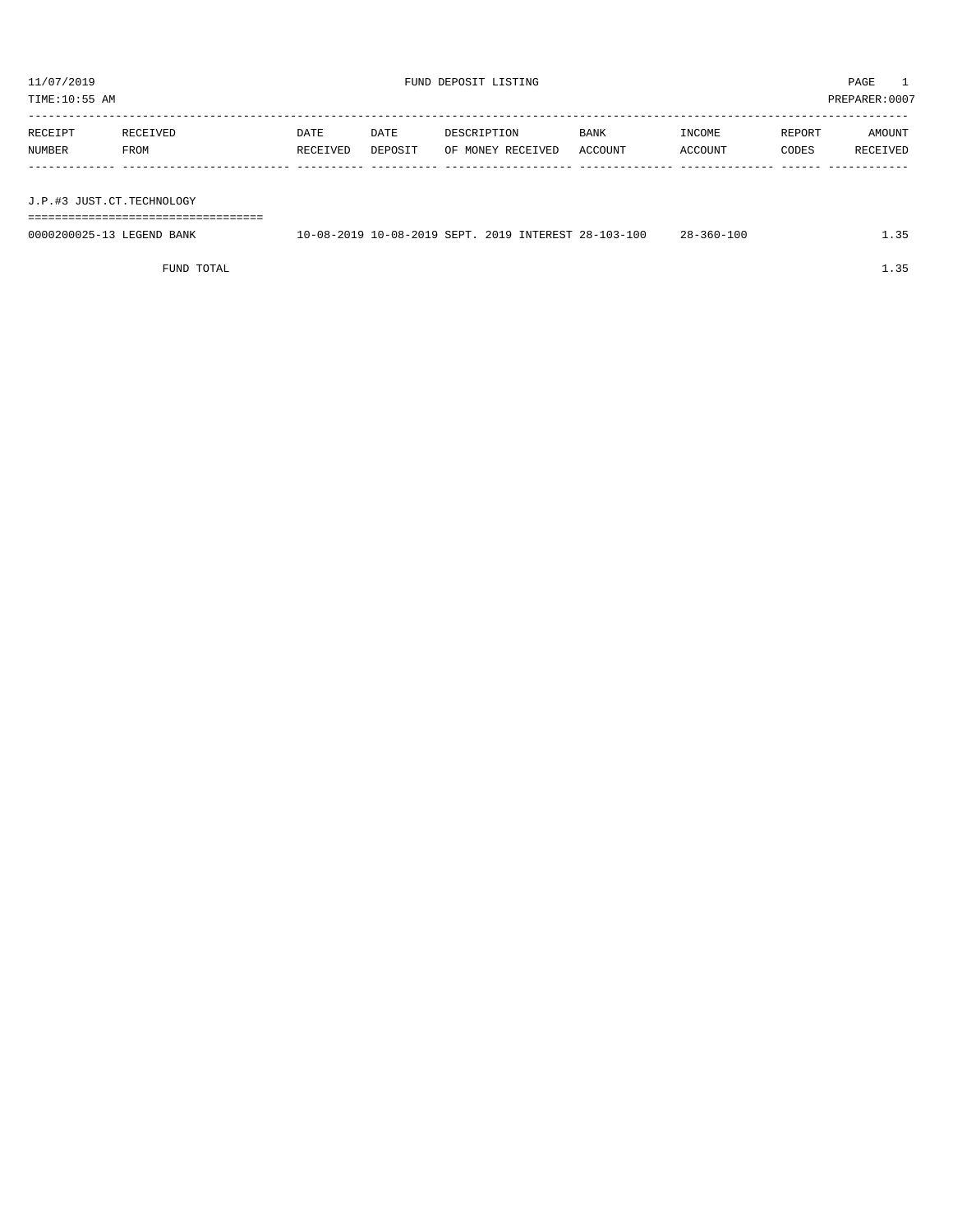TIME:10:55 AM PREPARER:0007

| RECEIPT | RECEIVED    | DATE     | DATE    | DESCRIPTION       | BANK    | INCOME  | REPORT | AMOUNT   |
|---------|-------------|----------|---------|-------------------|---------|---------|--------|----------|
| NUMBER  | <b>FROM</b> | RECEIVED | DEPOSIT | OF MONEY RECEIVED | ACCOUNT | ACCOUNT | CODES  | RECEIVED |
|         |             |          |         |                   |         |         |        |          |
|         |             |          |         |                   |         |         |        |          |

J.P.#3 JUST.CT.TECHNOLOGY

===================================

| 0000200025-13 LEGEND BANK | 10-08-2019 10-08-2019 SEPT, 2019 INTEREST 28-103-100 |  |  | $28 - 360 - 100$ |  |
|---------------------------|------------------------------------------------------|--|--|------------------|--|
|                           |                                                      |  |  |                  |  |

FUND TOTAL  $1.35$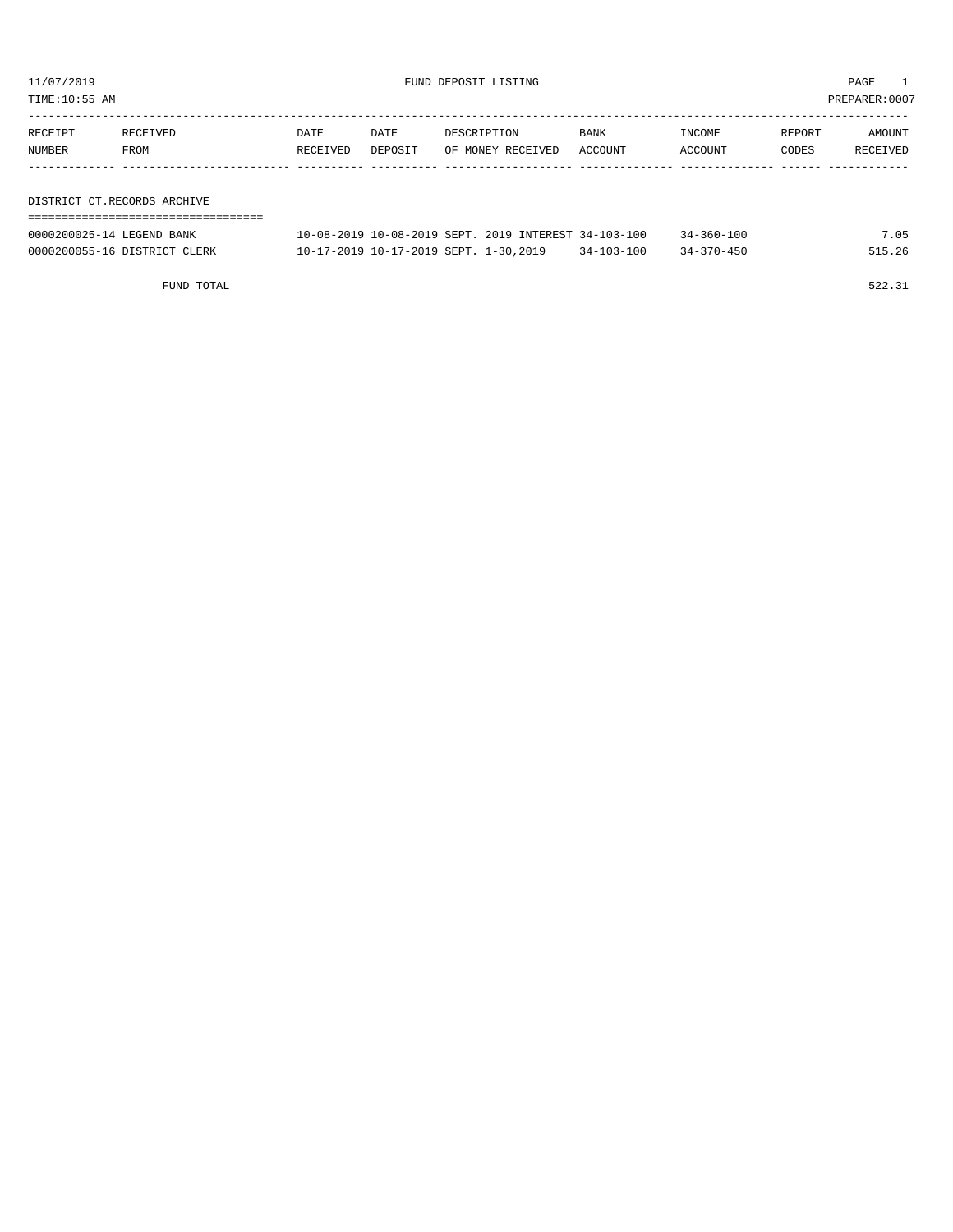TIME:10:55 AM PREPARER:0007

| RECEIPT | RECEIVED                    | DATE     | DATE    | DESCRIPTION       | <b>BANK</b> | INCOME  | REPORT | AMOUNT   |
|---------|-----------------------------|----------|---------|-------------------|-------------|---------|--------|----------|
| NUMBER  | FROM                        | RECEIVED | DEPOSIT | OF MONEY RECEIVED | ACCOUNT     | ACCOUNT | CODES  | RECEIVED |
|         |                             |          |         |                   |             |         |        |          |
|         |                             |          |         |                   |             |         |        |          |
|         | DISTRICT CT.RECORDS ARCHIVE |          |         |                   |             |         |        |          |

===================================

| 0000200025-14 LEGEND BANK    |                                       |  |  | 10-08-2019 10-08-2019 SEPT, 2019 INTEREST 34-103-100 | $34 - 360 - 100$ | 7.05   |
|------------------------------|---------------------------------------|--|--|------------------------------------------------------|------------------|--------|
| 0000200055-16 DISTRICT CLERK | 10-17-2019 10-17-2019 SEPT. 1-30,2019 |  |  | $34 - 103 - 100$                                     | $34 - 370 - 450$ | 515.26 |

FUND TOTAL 522.31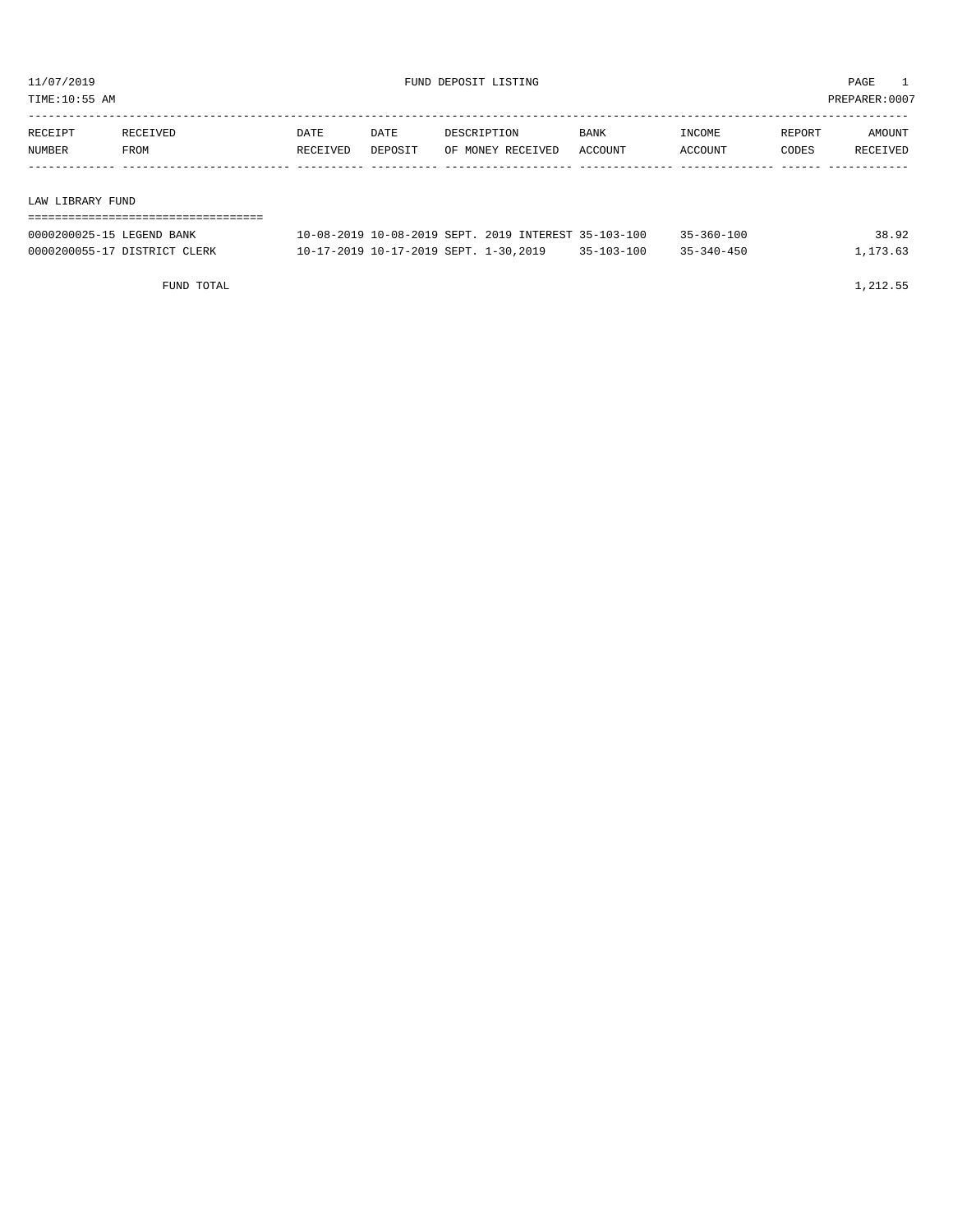TIME:10:55 AM PREPARER:0007

| RECEIPT | RECEIVED | DATE     | DATE    | DESCRIPTION       | BANK    | INCOME  | REPORT | AMOUNT   |
|---------|----------|----------|---------|-------------------|---------|---------|--------|----------|
| NUMBER  | FROM     | RECEIVED | DEPOSIT | OF MONEY RECEIVED | ACCOUNT | ACCOUNT | CODES  | RECEIVED |
|         |          |          |         |                   |         |         |        |          |
|         |          |          |         |                   |         |         |        |          |

#### LAW LIBRARY FUND

| ,,,,,,,,,,,,,,,,,,,,,,,,,,,,, |                                                      |                  |                  |          |
|-------------------------------|------------------------------------------------------|------------------|------------------|----------|
| 0000200025-15 LEGEND BANK     | 10-08-2019 10-08-2019 SEPT. 2019 INTEREST 35-103-100 |                  | $35 - 360 - 100$ | 38.92    |
| 0000200055-17 DISTRICT CLERK  | 10-17-2019 10-17-2019 SEPT. 1-30,2019                | $35 - 103 - 100$ | $35 - 340 - 450$ | 1,173.63 |

FUND TOTAL  $1,212.55$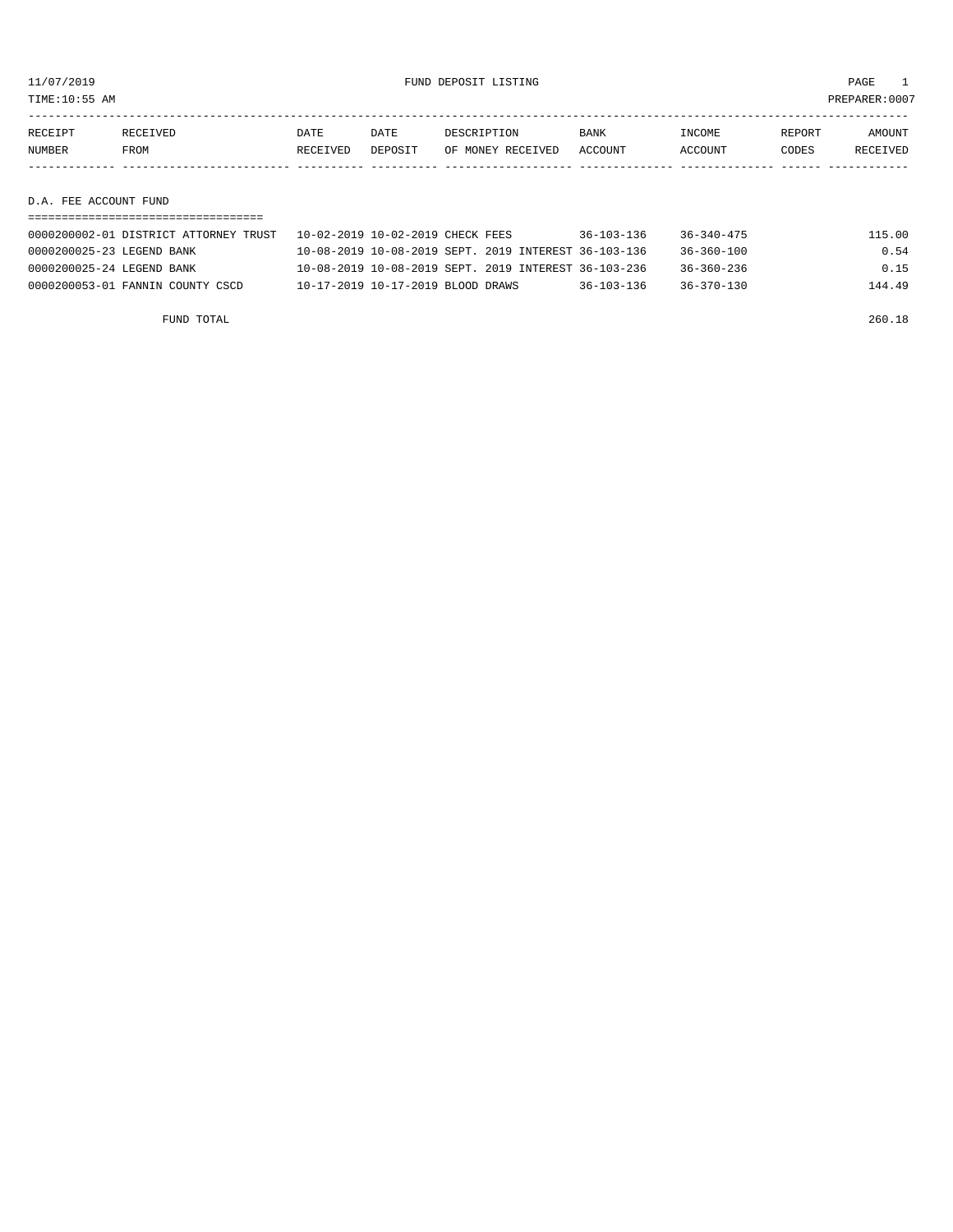TIME:10:55 AM PREPARER:0007

| RECEIPT | RECEIVED | DATE     | DATE    | DESCRIPTION       | <b>BANK</b> | INCOME  | REPORT | AMOUNT   |
|---------|----------|----------|---------|-------------------|-------------|---------|--------|----------|
| NUMBER  | FROM     | RECEIVED | DEPOSIT | OF MONEY RECEIVED | ACCOUNT     | ACCOUNT | CODES  | RECEIVED |
|         |          |          |         |                   |             |         |        |          |
|         |          |          |         |                   |             |         |        |          |

D.A. FEE ACCOUNT FUND

| 0000200002-01 DISTRICT ATTORNEY TRUST | 10-02-2019 10-02-2019 CHECK FEES                     | $36 - 103 - 136$ | $36 - 340 - 475$ | 115.00 |
|---------------------------------------|------------------------------------------------------|------------------|------------------|--------|
| 0000200025-23 LEGEND BANK             | 10-08-2019 10-08-2019 SEPT, 2019 INTEREST 36-103-136 |                  | $36 - 360 - 100$ | 0.54   |
| 0000200025-24 LEGEND BANK             | 10-08-2019 10-08-2019 SEPT, 2019 INTEREST 36-103-236 |                  | $36 - 360 - 236$ | 0.15   |
| 0000200053-01 FANNIN COUNTY CSCD      | 10-17-2019 10-17-2019 BLOOD DRAWS                    | $36 - 103 - 136$ | $36 - 370 - 130$ | 144.49 |

FUND TOTAL 260.18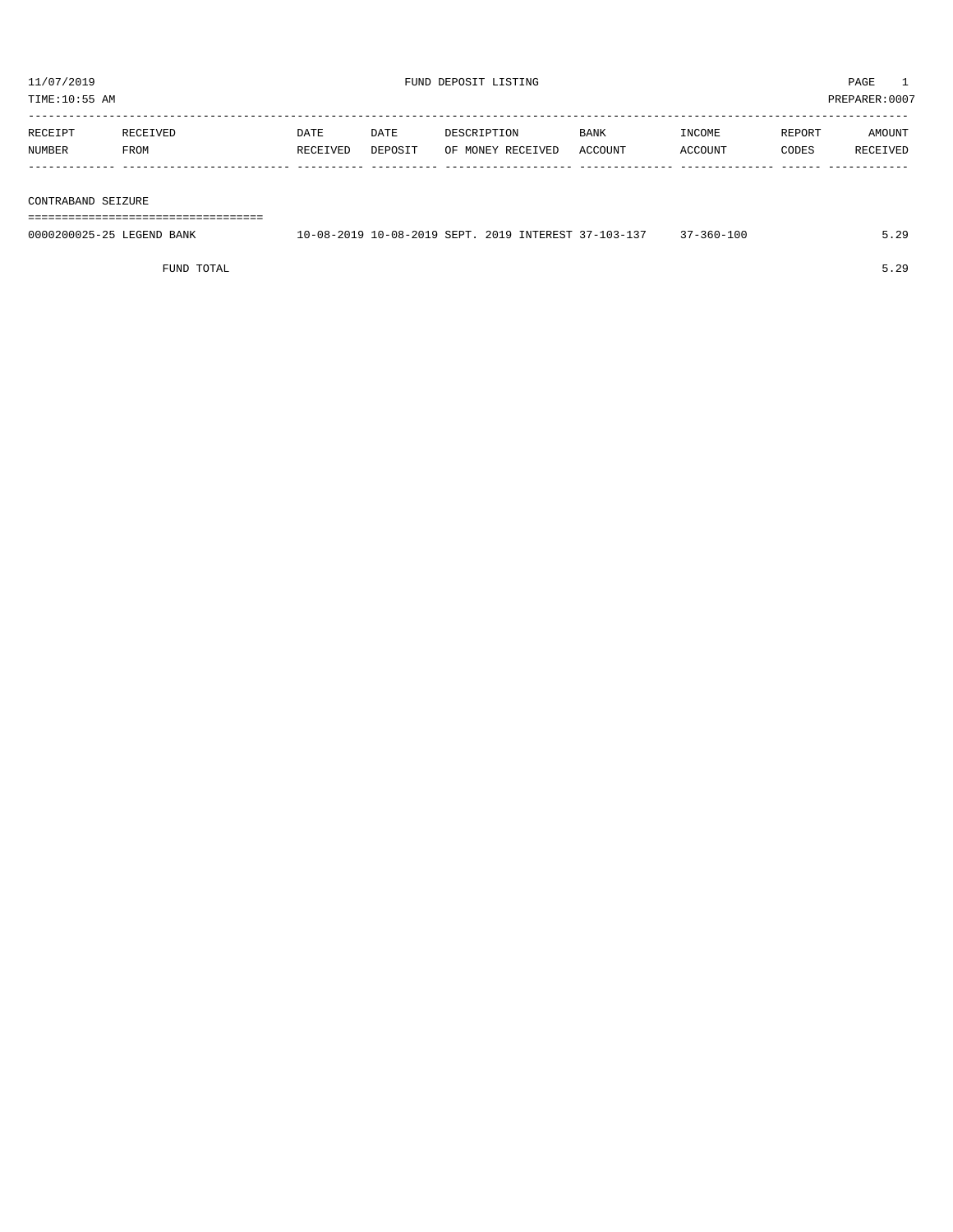| PREPARER: 0007<br>TIME:10:55 AM |          |          |         |                   |         |         |        |          |  |  |  |
|---------------------------------|----------|----------|---------|-------------------|---------|---------|--------|----------|--|--|--|
| RECEIPT                         | RECEIVED | DATE     | DATE    | DESCRIPTION       | BANK    | INCOME  | REPORT | AMOUNT   |  |  |  |
| NUMBER                          | FROM     | RECEIVED | DEPOSIT | OF MONEY RECEIVED | ACCOUNT | ACCOUNT | CODES  | RECEIVED |  |  |  |
|                                 |          |          |         |                   |         |         |        |          |  |  |  |

CONTRABAND SEIZURE

===================================

| 0000200025-25 LEGEND BANK | 10-08-2019 10-08-2019 SEPT, 2019 INTEREST 37-103-11 | -360-100 | $\sim$ |
|---------------------------|-----------------------------------------------------|----------|--------|
|                           |                                                     |          |        |
|                           |                                                     |          |        |

FUND TOTAL 5.29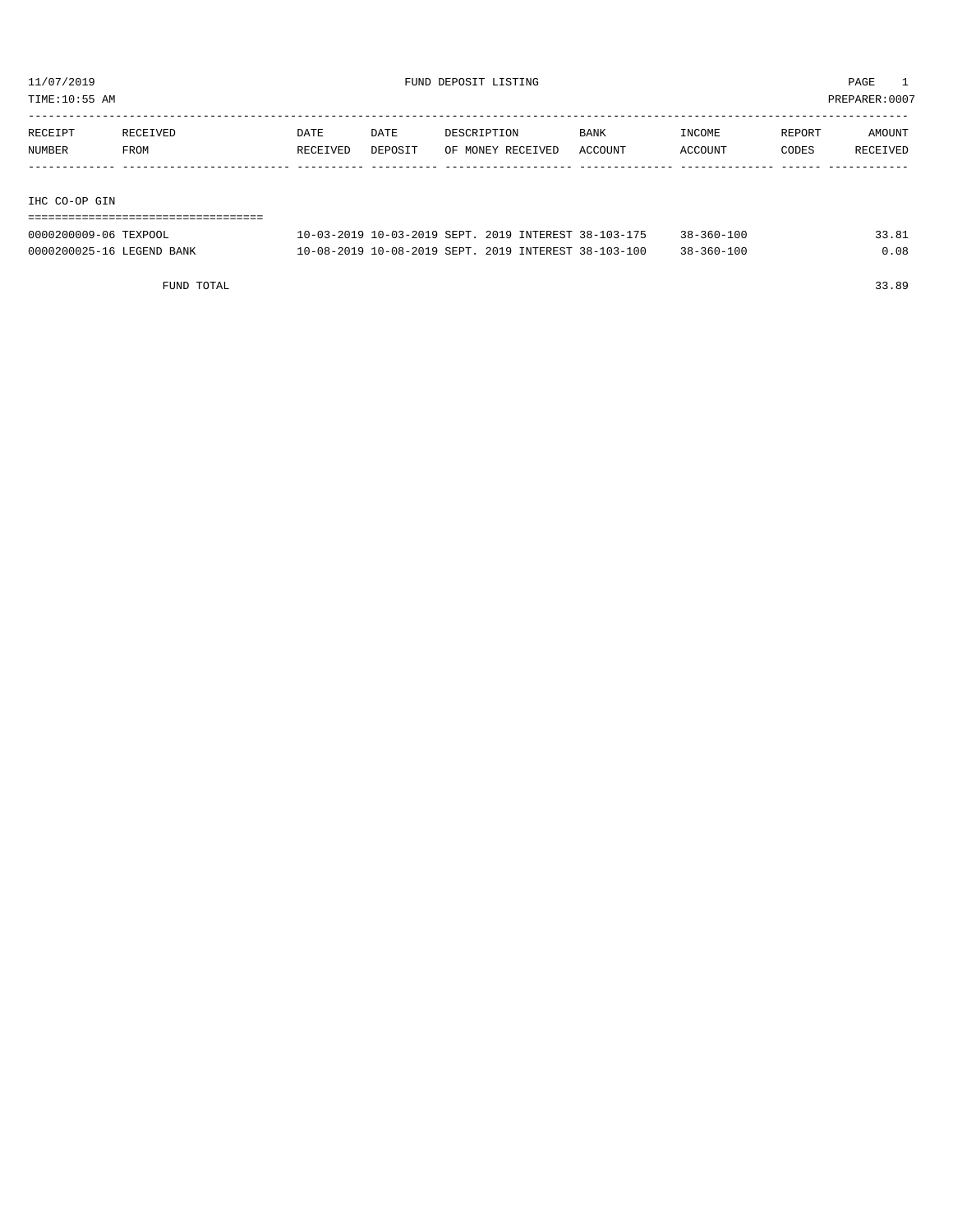TIME:10:55 AM PREPARER:0007

| RECEIPT       | RECEIVED | DATE     | DATE    | DESCRIPTION       | BANK    | INCOME  | REPORT | AMOUNT   |
|---------------|----------|----------|---------|-------------------|---------|---------|--------|----------|
| NUMBER        | FROM     | RECEIVED | DEPOSIT | OF MONEY RECEIVED | ACCOUNT | ACCOUNT | CODES  | RECEIVED |
|               |          |          |         |                   |         |         |        |          |
|               |          |          |         |                   |         |         |        |          |
| IHC CO-OP GIN |          |          |         |                   |         |         |        |          |

| -------------------------------------<br>-------------------------------------- |  |  |  |  |  |  |  |  |  |  |  |  |  |  |  |  |  |
|---------------------------------------------------------------------------------|--|--|--|--|--|--|--|--|--|--|--|--|--|--|--|--|--|

| 0000200009-06 TEXPOOL     |                                                      |  |  | 10-03-2019 10-03-2019 SEPT. 2019 INTEREST 38-103-175 | $38 - 360 - 100$ | 33.81 |
|---------------------------|------------------------------------------------------|--|--|------------------------------------------------------|------------------|-------|
| 0000200025-16 LEGEND BANK | 10-08-2019 10-08-2019 SEPT. 2019 INTEREST 38-103-100 |  |  |                                                      | $38 - 360 - 100$ | 0.08  |

FUND TOTAL 33.89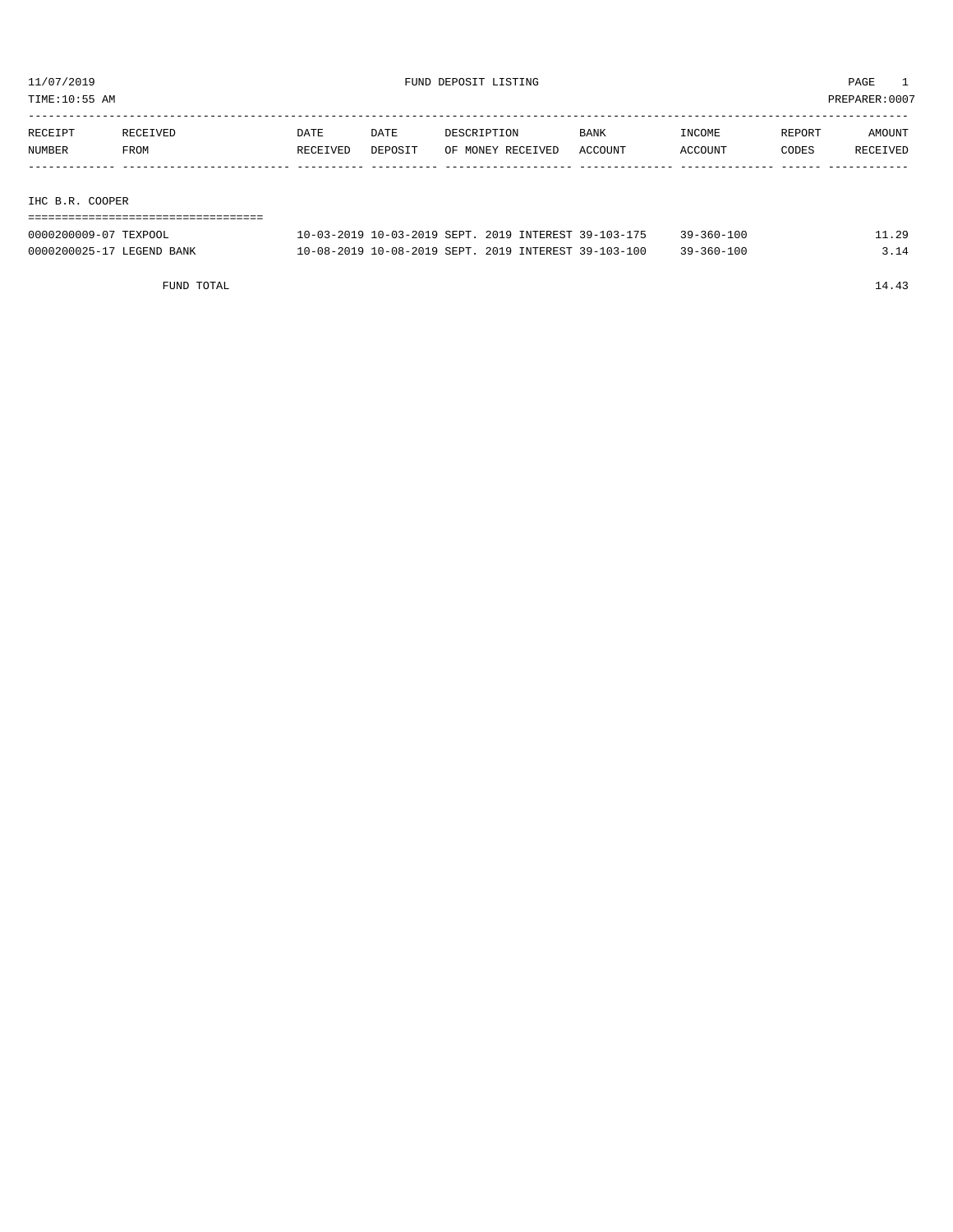TIME:10:55 AM PREPARER:0007

| RECEIPT | RECEIVED | DATE     | DATE    | DESCRIPTION       | BANK    | INCOME  | REPORT | AMOUNT   |
|---------|----------|----------|---------|-------------------|---------|---------|--------|----------|
| NUMBER  | FROM     | RECEIVED | DEPOSIT | OF MONEY RECEIVED | ACCOUNT | ACCOUNT | CODES  | RECEIVED |
|         |          |          |         |                   |         |         |        |          |
|         |          |          |         |                   |         |         |        |          |

#### IHC B.R. COOPER

| 0000200009-07 TEXPOOL     |  | 10-03-2019 10-03-2019 SEPT, 2019 INTEREST 39-103-175 | $39 - 360 - 100$ | 11.29 |
|---------------------------|--|------------------------------------------------------|------------------|-------|
| 0000200025-17 LEGEND BANK |  | 10-08-2019 10-08-2019 SEPT. 2019 INTEREST 39-103-100 | $39 - 360 - 100$ | 3.14  |

FUND TOTAL 14.43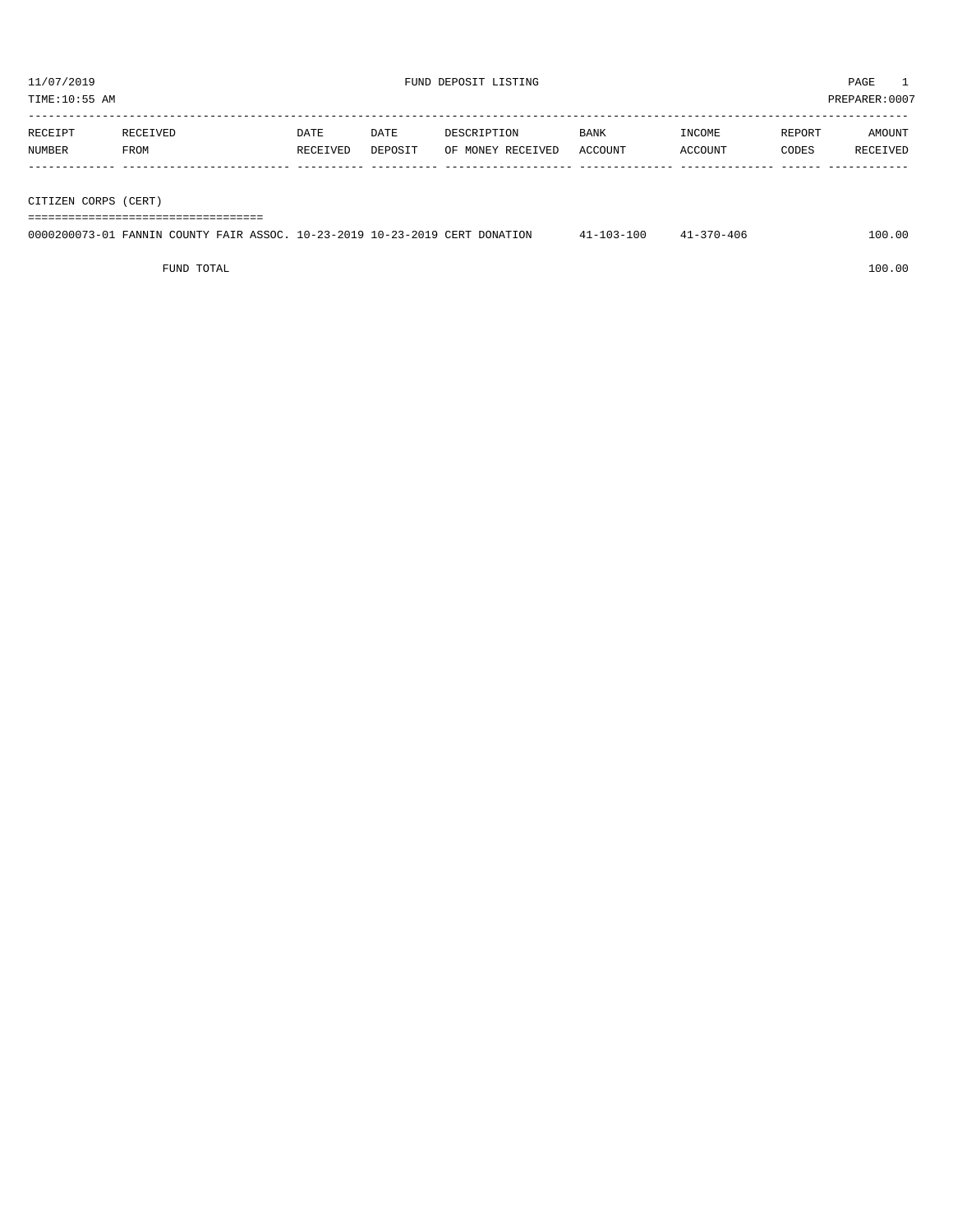| PREPARER: 0007<br>TIME:10:55 AM |          |          |         |                   |             |         |        |          |  |  |
|---------------------------------|----------|----------|---------|-------------------|-------------|---------|--------|----------|--|--|
|                                 |          |          |         |                   |             |         |        |          |  |  |
| RECEIPT                         | RECEIVED | DATE     | DATE    | DESCRIPTION       | <b>BANK</b> | INCOME  | REPORT | AMOUNT   |  |  |
| NUMBER                          | FROM     | RECEIVED | DEPOSIT | OF MONEY RECEIVED | ACCOUNT     | ACCOUNT | CODES  | RECEIVED |  |  |
|                                 |          |          |         |                   |             |         |        |          |  |  |
|                                 |          |          |         |                   |             |         |        |          |  |  |
| CITIZEN CORPS (CERT)            |          |          |         |                   |             |         |        |          |  |  |

===================================

|  |  |  | 0000200073-01 FANNIN COUNTY FAIR ASSOC, 10-23-2019 10-23-2019 CERT DONATION | $41 - 103 - 100$ | $41 - 370 - 406$ | 100.00 |
|--|--|--|-----------------------------------------------------------------------------|------------------|------------------|--------|
|  |  |  |                                                                             |                  |                  |        |

FUND TOTAL 100.00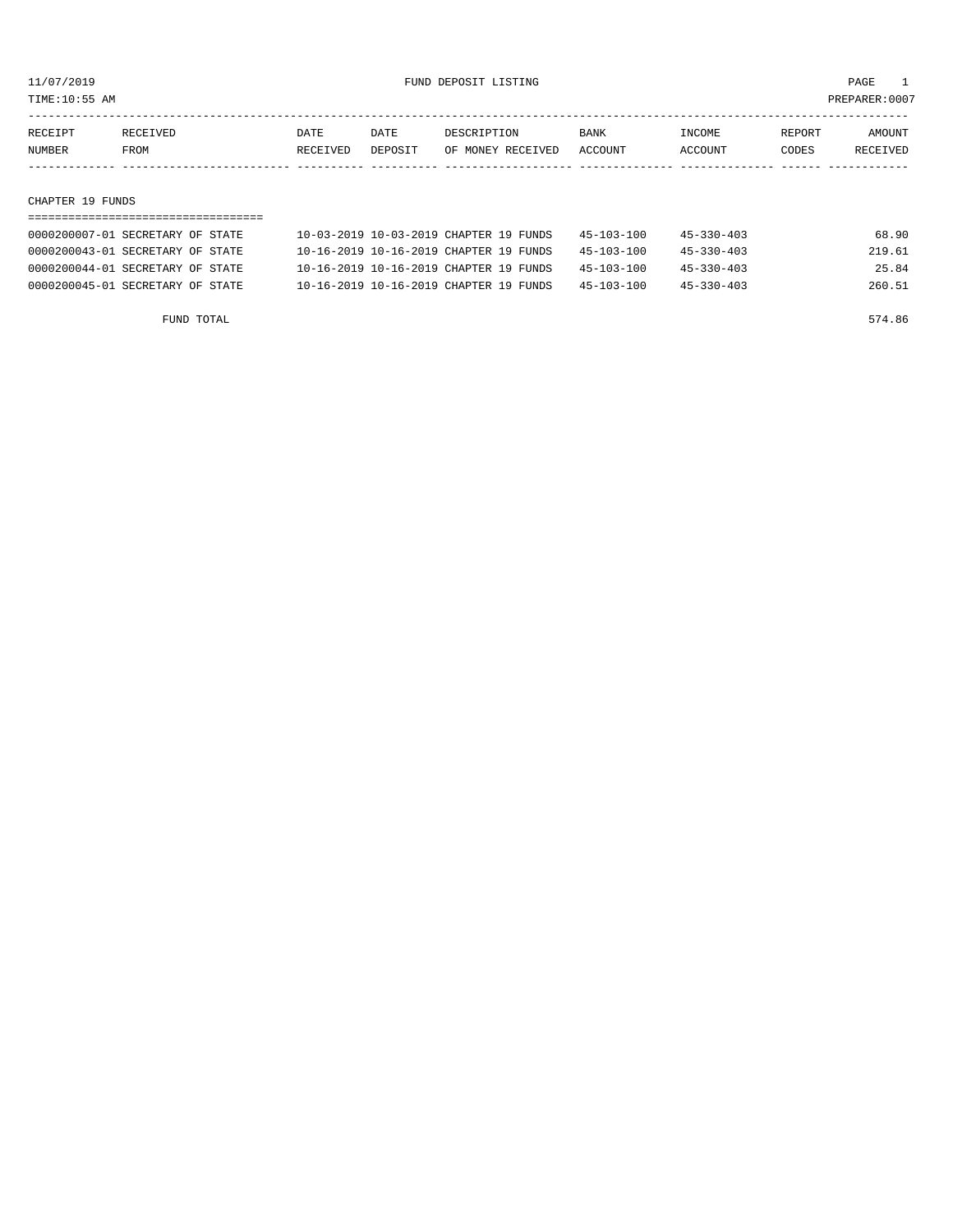TIME:10:55 AM PREPARER:0007

| RECEIPT | RECEIVED | DATE     | DATE    | DESCRIPTION       | <b>BANK</b> | <b>NCOME</b>  | REPORT | AMOUNT          |
|---------|----------|----------|---------|-------------------|-------------|---------------|--------|-----------------|
| NUMBER  | FROM     | RECEIVED | DEPOSIT | OF MONEY RECEIVED | ACCOUNT     | <b>CCOUNT</b> | CODES  | <b>RECEIVED</b> |
|         |          |          |         |                   |             |               |        |                 |

#### CHAPTER 19 FUNDS

| 0000200007-01 SECRETARY OF STATE | 10-03-2019 10-03-2019 CHAPTER 19 FUNDS | $45 - 103 - 100$ | $45 - 330 - 403$ | 68.90  |
|----------------------------------|----------------------------------------|------------------|------------------|--------|
| 0000200043-01 SECRETARY OF STATE | 10-16-2019 10-16-2019 CHAPTER 19 FUNDS | $45 - 103 - 100$ | $45 - 330 - 403$ | 219.61 |
| 0000200044-01 SECRETARY OF STATE | 10-16-2019 10-16-2019 CHAPTER 19 FUNDS | $45 - 103 - 100$ | $45 - 330 - 403$ | 25.84  |
| 0000200045-01 SECRETARY OF STATE | 10-16-2019 10-16-2019 CHAPTER 19 FUNDS | $45 - 103 - 100$ | $45 - 330 - 403$ | 260.51 |

FUND TOTAL 574.86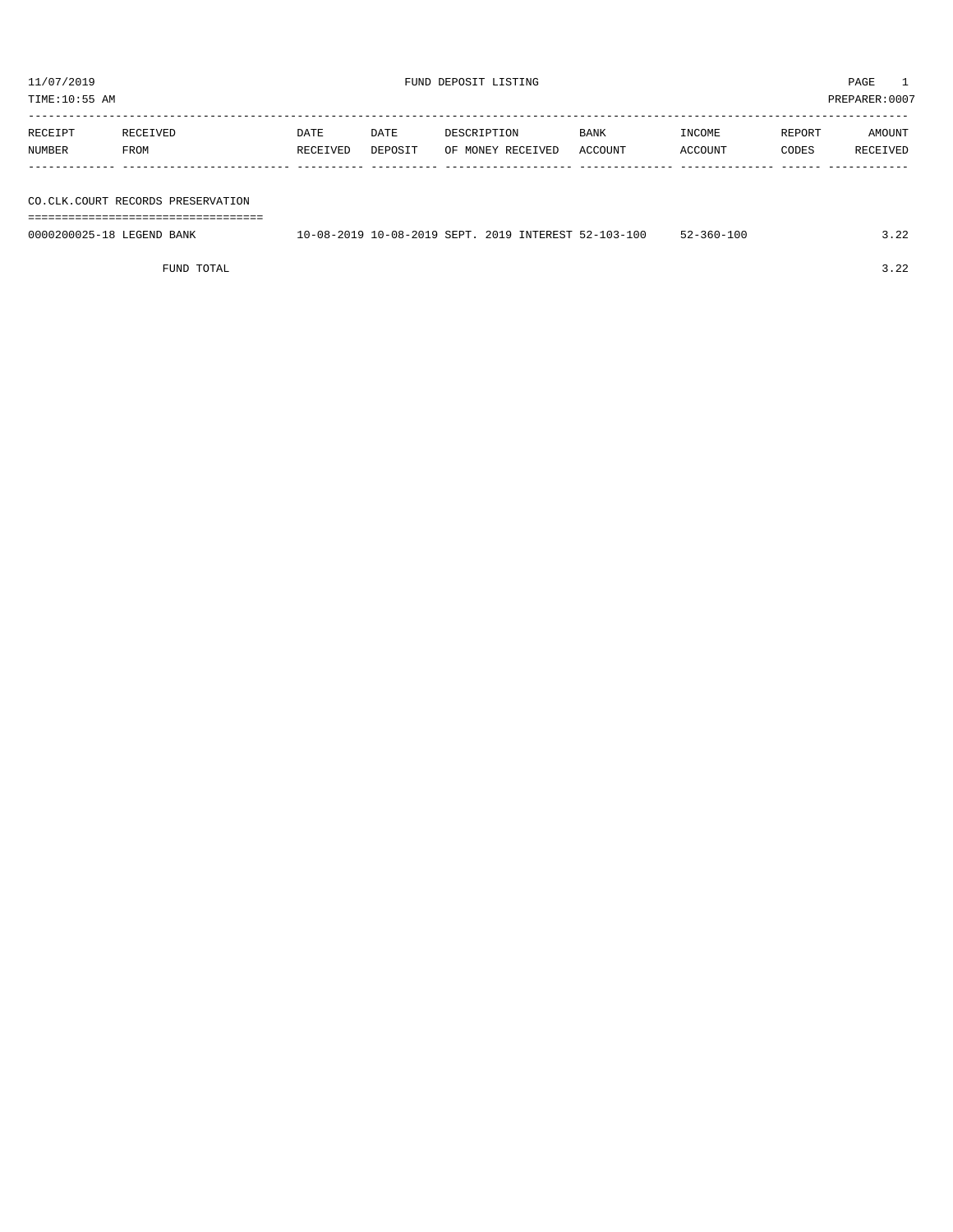TIME:10:55 AM PREPARER:0007

| RECEIPT       | RECEIVED | DATE     | DATE    | DESCRIPTION       | <b>BANK</b> | INCOME  | REPORT | AMOUNT   |
|---------------|----------|----------|---------|-------------------|-------------|---------|--------|----------|
| <b>NUMBER</b> | FROM     | RECEIVED | DEPOSIT | OF MONEY RECEIVED | ACCOUNT     | ACCOUNT | CODES  | RECEIVED |
|               |          |          |         |                   |             |         |        |          |

FUND TOTAL 3.22

| RECEIPT                   | RECEIVED                            | DATE     | DATE    | DESCRIPTION                                          | <b>BANK</b> | INCOME           | REPORT | AMOUNT   |
|---------------------------|-------------------------------------|----------|---------|------------------------------------------------------|-------------|------------------|--------|----------|
| NUMBER                    | FROM                                | RECEIVED | DEPOSIT | OF MONEY RECEIVED                                    | ACCOUNT     | ACCOUNT          | CODES  | RECEIVED |
|                           |                                     |          |         |                                                      |             |                  |        |          |
|                           |                                     |          |         |                                                      |             |                  |        |          |
|                           | CO. CLK. COURT RECORDS PRESERVATION |          |         |                                                      |             |                  |        |          |
|                           |                                     |          |         |                                                      |             |                  |        |          |
| 0000200025-18 LEGEND BANK |                                     |          |         | 10-08-2019 10-08-2019 SEPT, 2019 INTEREST 52-103-100 |             | $52 - 360 - 100$ |        | 3.22     |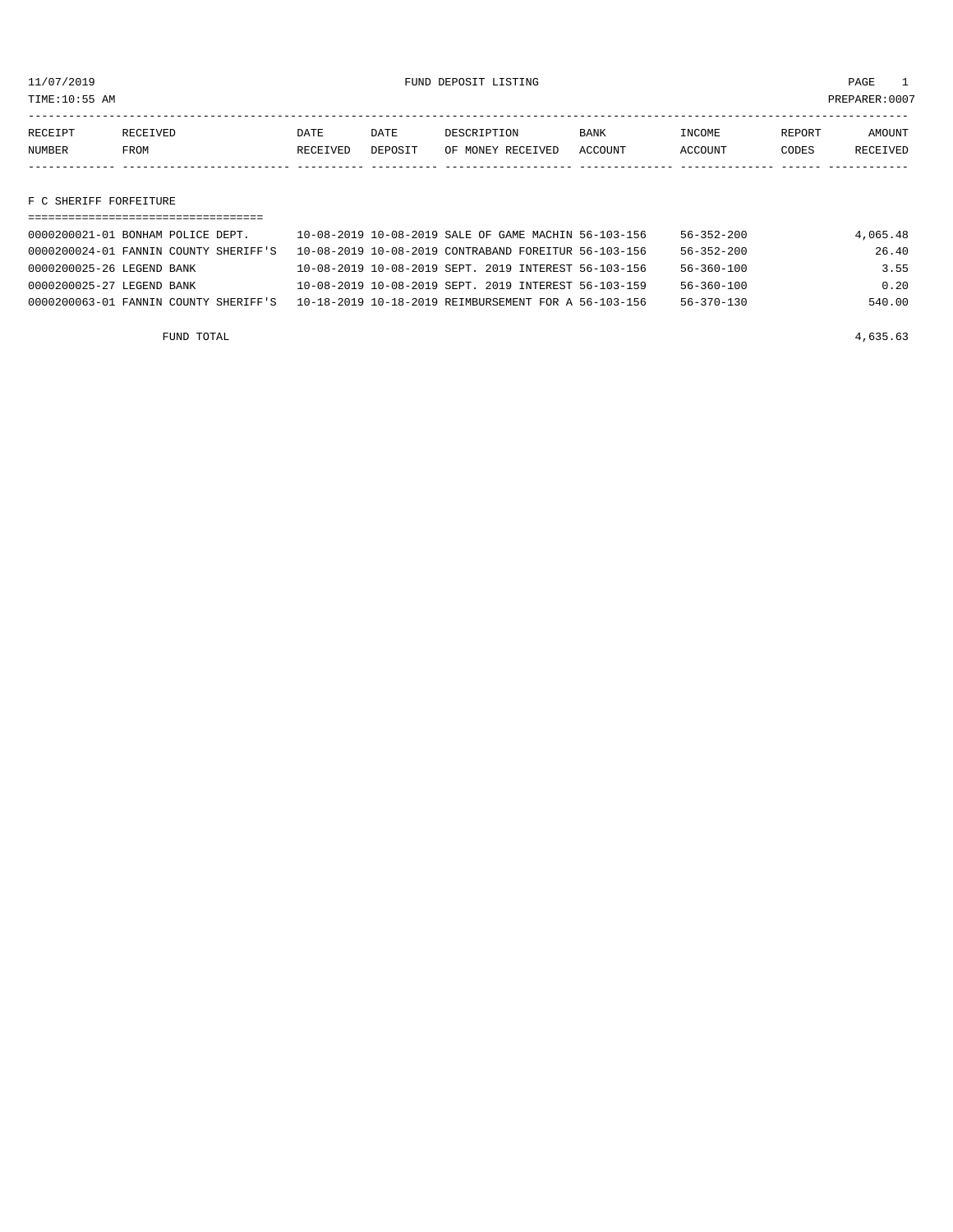11/07/2019 FUND DEPOSIT LISTING PAGE 1

| RECEIPT | <b>RECEIVED</b> | DATE            | DATE    | DESCRIPTION       | <b>BANK</b> | INCOME  | REPORT | AMOUNT   |
|---------|-----------------|-----------------|---------|-------------------|-------------|---------|--------|----------|
| NUMBER  | FROM            | <b>RECEIVED</b> | DEPOSIT | OF MONEY RECEIVED | ACCOUNT     | ACCOUNT | CODES  | RECEIVED |
|         |                 |                 |         |                   |             |         |        |          |

F C SHERIFF FORFEITURE

| 0000200021-01 BONHAM POLICE DEPT.     | 10-08-2019 10-08-2019 SALE OF GAME MACHIN 56-103-156 | $56 - 352 - 200$ | 4,065.48 |
|---------------------------------------|------------------------------------------------------|------------------|----------|
| 0000200024-01 FANNIN COUNTY SHERIFF'S | 10-08-2019 10-08-2019 CONTRABAND FOREITUR 56-103-156 | $56 - 352 - 200$ | 26.40    |
| 0000200025-26 LEGEND BANK             | 10-08-2019 10-08-2019 SEPT, 2019 INTEREST 56-103-156 | $56 - 360 - 100$ | 3.55     |
| 0000200025-27 LEGEND BANK             | 10-08-2019 10-08-2019 SEPT, 2019 INTEREST 56-103-159 | $56 - 360 - 100$ | 0.20     |
| 0000200063-01 FANNIN COUNTY SHERIFF'S | 10-18-2019 10-18-2019 REIMBURSEMENT FOR A 56-103-156 | $56 - 370 - 130$ | 540.00   |
|                                       |                                                      |                  |          |

FUND TOTAL  $4,635.63$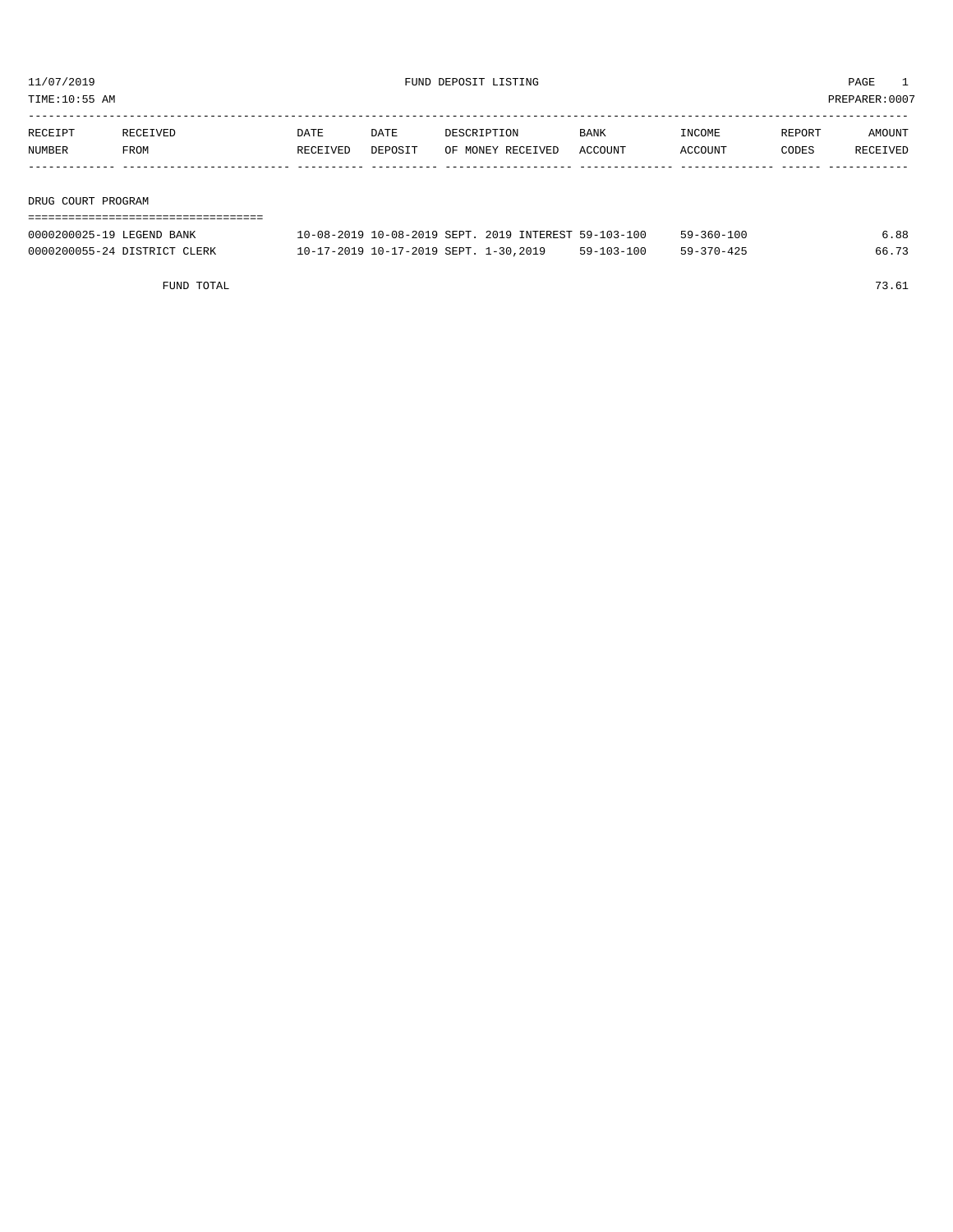TIME:10:55 AM PREPARER:0007

| RECEIPT           | RECEIVED | DATE     | DATE    | DESCRIPTION       | <b>BANK</b> | INCOME  | REPORT | AMOUNT   |
|-------------------|----------|----------|---------|-------------------|-------------|---------|--------|----------|
| <b>NUMBER</b>     | FROM     | RECEIVED | DEPOSIT | OF MONEY RECEIVED | ACCOUNT     | ACCOUNT | CODES  | RECEIVED |
|                   |          |          |         |                   |             |         |        |          |
|                   |          |          |         |                   |             |         |        |          |
| ______ ____ _____ |          |          |         |                   |             |         |        |          |

DRUG COURT PROGRAM

| 0000200025-19 LEGEND BANK    | 10-08-2019 10-08-2019 SEPT, 2019 INTEREST 59-103-100 |            | $59 - 360 - 100$ | 6.88  |
|------------------------------|------------------------------------------------------|------------|------------------|-------|
| 0000200055-24 DISTRICT CLERK | 10-17-2019 10-17-2019 SEPT. 1-30,2019                | 59-103-100 | $59 - 370 - 425$ | 66.73 |

FUND TOTAL 73.61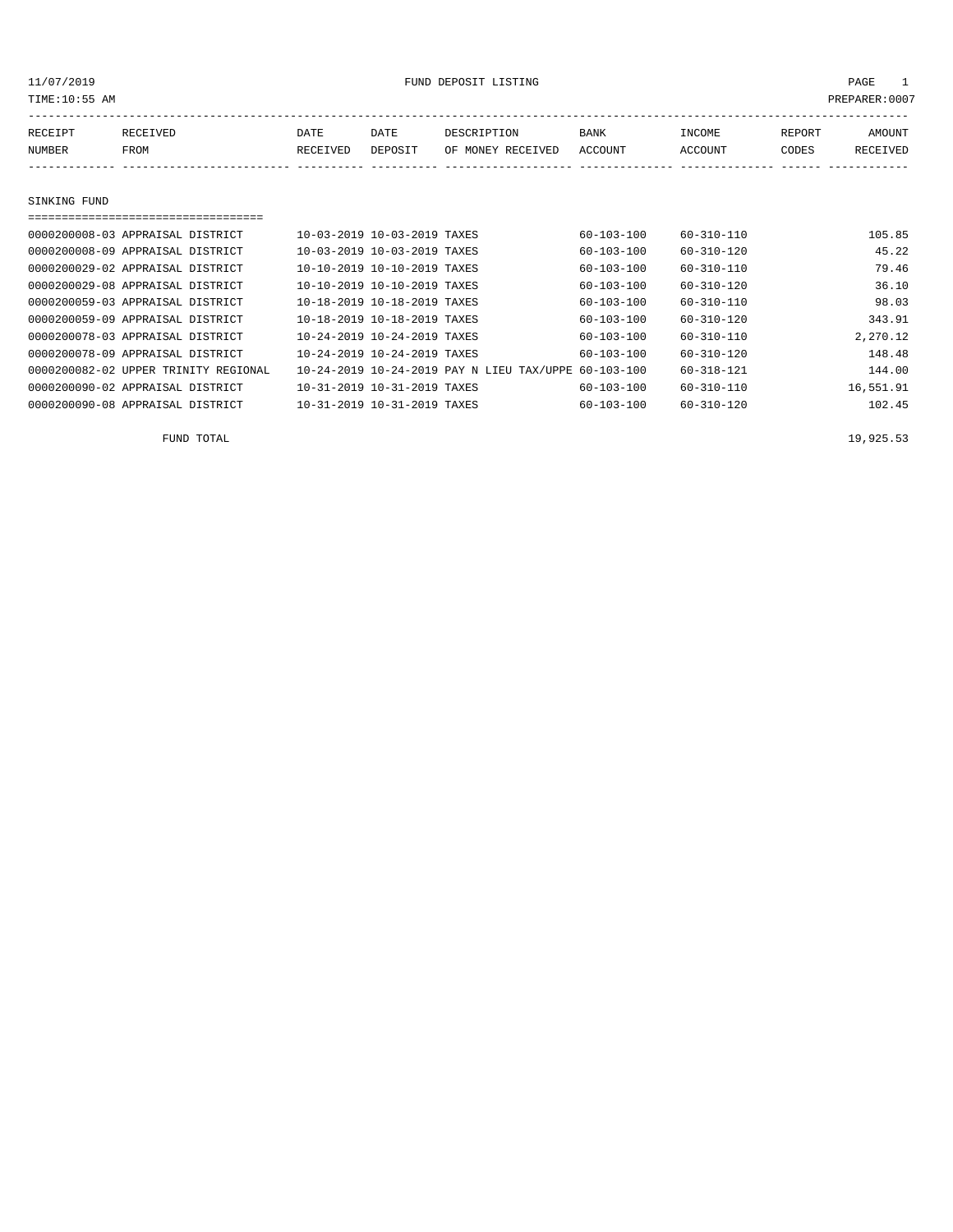11/07/2019 FUND DEPOSIT LISTING PAGE 1

| RECEIPT | RECEIVED | DATE     | DATE    | DESCRIPTION       | <b>BANK</b> | INCOME         | REPORT | AMOUNT   |
|---------|----------|----------|---------|-------------------|-------------|----------------|--------|----------|
| NUMBER  | FROM     | RECEIVED | DEPOSIT | OF MONEY RECEIVED | ACCOUNT     | <b>ACCOUNT</b> | CODES  | RECEIVED |
|         |          |          |         |                   |             |                |        |          |

SINKING FUND

| 0000200008-03 APPRAISAL DISTRICT     | 10-03-2019 10-03-2019 TAXES |                                                      | $60 - 103 - 100$ | $60 - 310 - 110$ | 105.85    |
|--------------------------------------|-----------------------------|------------------------------------------------------|------------------|------------------|-----------|
| 0000200008-09 APPRAISAL DISTRICT     | 10-03-2019 10-03-2019 TAXES |                                                      | $60 - 103 - 100$ | $60 - 310 - 120$ | 45.22     |
| 0000200029-02 APPRAISAL DISTRICT     | 10-10-2019 10-10-2019 TAXES |                                                      | 60-103-100       | $60 - 310 - 110$ | 79.46     |
| 0000200029-08 APPRAISAL DISTRICT     | 10-10-2019 10-10-2019 TAXES |                                                      | 60-103-100       | 60-310-120       | 36.10     |
| 0000200059-03 APPRAISAL DISTRICT     | 10-18-2019 10-18-2019 TAXES |                                                      | $60 - 103 - 100$ | $60 - 310 - 110$ | 98.03     |
| 0000200059-09 APPRAISAL DISTRICT     | 10-18-2019 10-18-2019 TAXES |                                                      | $60 - 103 - 100$ | $60 - 310 - 120$ | 343.91    |
| 0000200078-03 APPRAISAL DISTRICT     | 10-24-2019 10-24-2019 TAXES |                                                      | $60 - 103 - 100$ | $60 - 310 - 110$ | 2,270.12  |
| 0000200078-09 APPRAISAL DISTRICT     | 10-24-2019 10-24-2019 TAXES |                                                      | $60 - 103 - 100$ | $60 - 310 - 120$ | 148.48    |
| 0000200082-02 UPPER TRINITY REGIONAL |                             | 10-24-2019 10-24-2019 PAY N LIEU TAX/UPPE 60-103-100 |                  | $60 - 318 - 121$ | 144.00    |
| 0000200090-02 APPRAISAL DISTRICT     | 10-31-2019 10-31-2019 TAXES |                                                      | $60 - 103 - 100$ | $60 - 310 - 110$ | 16,551.91 |
| 0000200090-08 APPRAISAL DISTRICT     | 10-31-2019 10-31-2019 TAXES |                                                      | $60 - 103 - 100$ | $60 - 310 - 120$ | 102.45    |

FUND TOTAL  $19,925.53$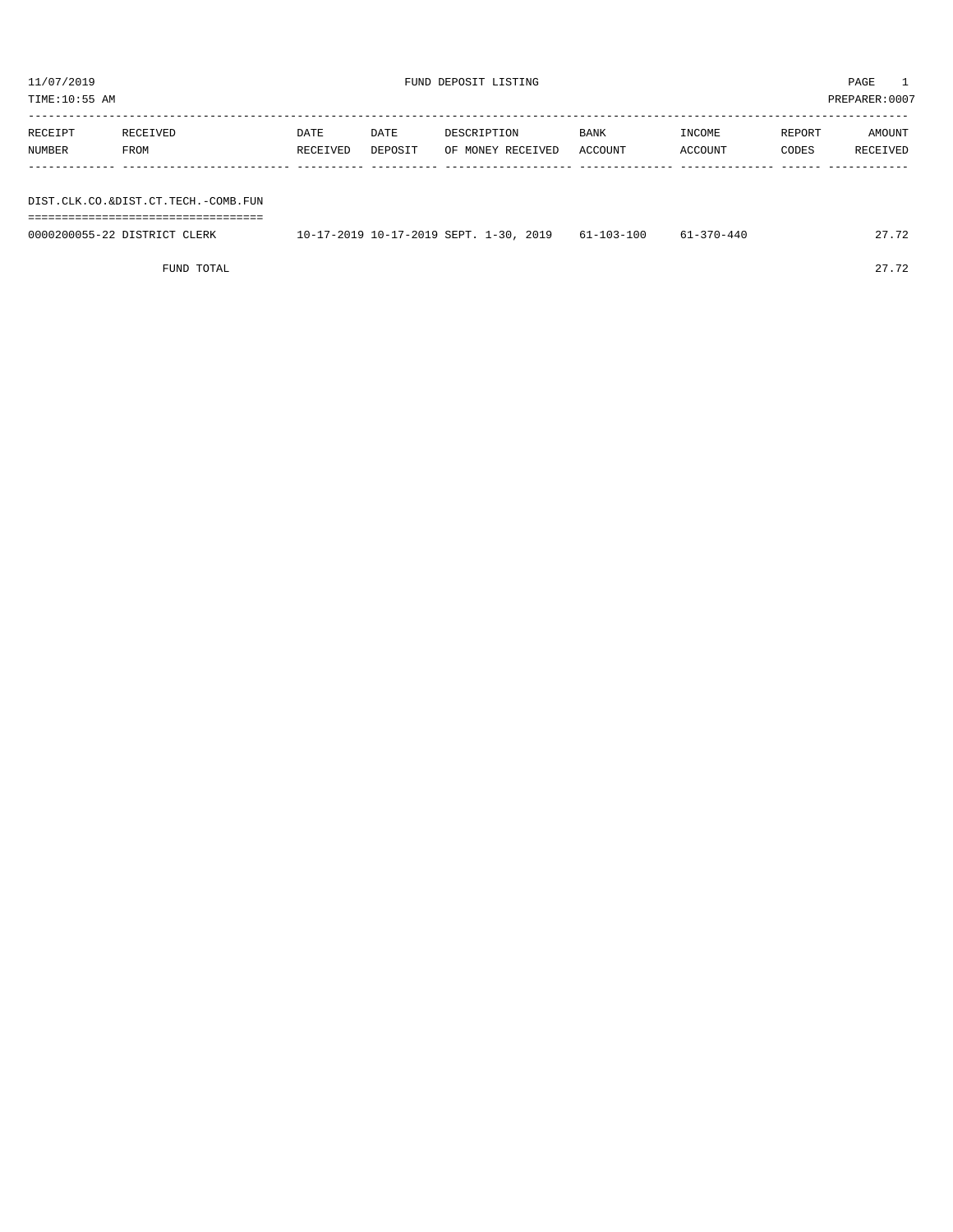| PREPARER:0007<br>TIME:10:55 AM      |          |          |         |                   |         |         |        |          |  |  |  |
|-------------------------------------|----------|----------|---------|-------------------|---------|---------|--------|----------|--|--|--|
| RECEIPT                             | RECEIVED | DATE     | DATE    | DESCRIPTION       | BANK    | INCOME  | REPORT | AMOUNT   |  |  |  |
|                                     |          |          |         |                   |         |         |        |          |  |  |  |
| NUMBER                              | FROM     | RECEIVED | DEPOSIT | OF MONEY RECEIVED | ACCOUNT | ACCOUNT | CODES  | RECEIVED |  |  |  |
|                                     |          |          |         |                   |         |         |        |          |  |  |  |
|                                     |          |          |         |                   |         |         |        |          |  |  |  |
| DIST.CLK.CO.&DIST.CT.TECH.-COMB.FUN |          |          |         |                   |         |         |        |          |  |  |  |
|                                     |          |          |         |                   |         |         |        |          |  |  |  |

| 0000200055-22 DISTRICT CLERK | $10-17-2019$ $10-17-2019$ SEPT. $1-30$ , 2019 61-103-100 | 61-370-440 | 27.72 |
|------------------------------|----------------------------------------------------------|------------|-------|

FUND TOTAL 27.72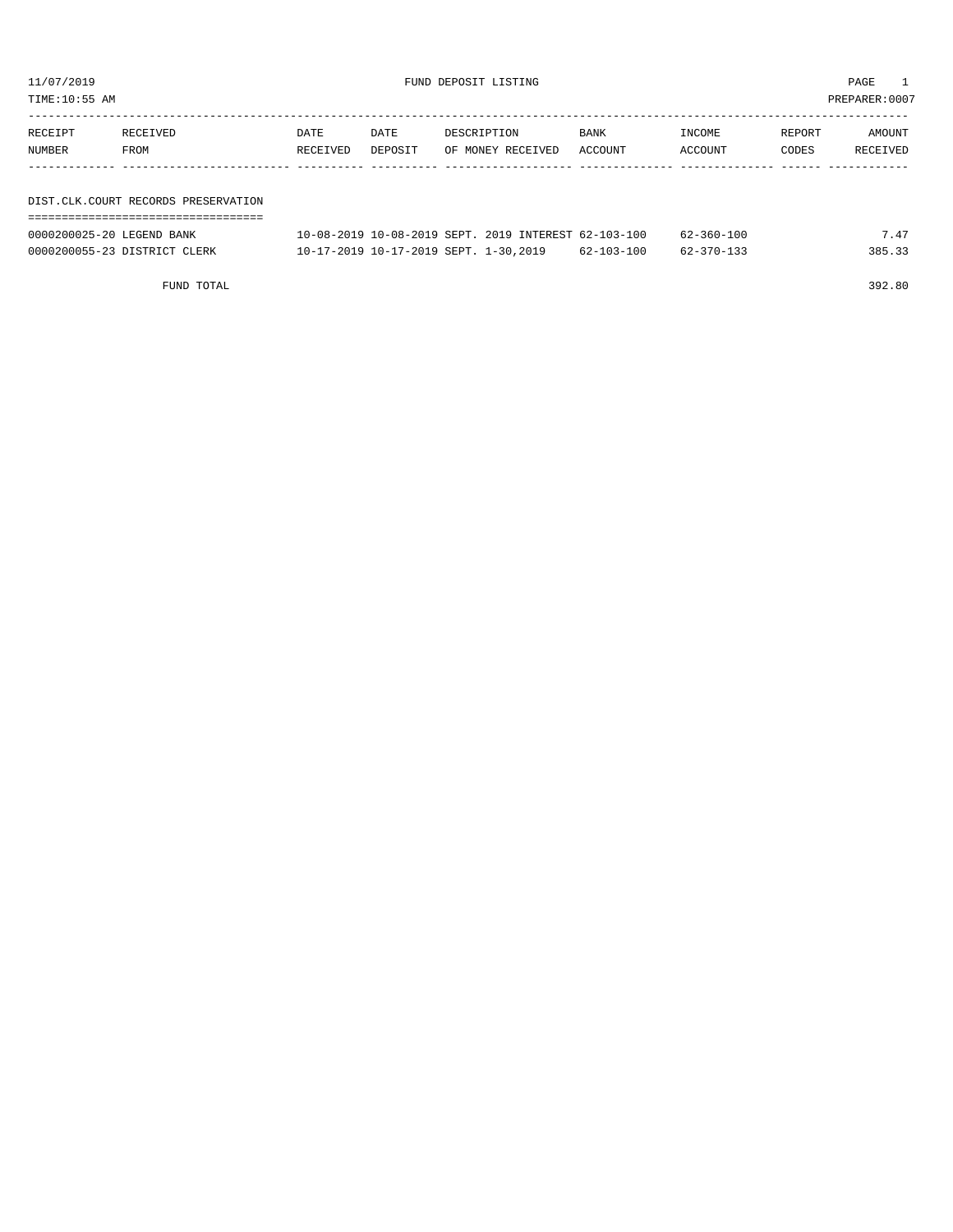TIME:10:55 AM PREPARER:0007

| RECEIPT | RECEIVED                            | DATE     | DATE    | DESCRIPTION       |  | <b>BANK</b> | INCOME  | REPORT | AMOUNT   |  |
|---------|-------------------------------------|----------|---------|-------------------|--|-------------|---------|--------|----------|--|
| NUMBER  | FROM                                | RECEIVED | DEPOSIT | OF MONEY RECEIVED |  | ACCOUNT     | ACCOUNT | CODES  | RECEIVED |  |
|         |                                     |          |         |                   |  |             |         |        |          |  |
|         |                                     |          |         |                   |  |             |         |        |          |  |
|         | DIST.CLK.COURT RECORDS PRESERVATION |          |         |                   |  |             |         |        |          |  |
|         |                                     |          |         |                   |  |             |         |        |          |  |

| 0000200025-20 LEGEND BANK    | 10-08-2019 10-08-2019 SEPT. 2019 INTEREST 62-103-100 |                  | 62-360-100 | 747    |
|------------------------------|------------------------------------------------------|------------------|------------|--------|
| 0000200055-23 DISTRICT CLERK | 10-17-2019 10-17-2019 SEPT. 1-30,2019                | $62 - 103 - 100$ | 62-370-133 | 385.33 |

FUND TOTAL 392.80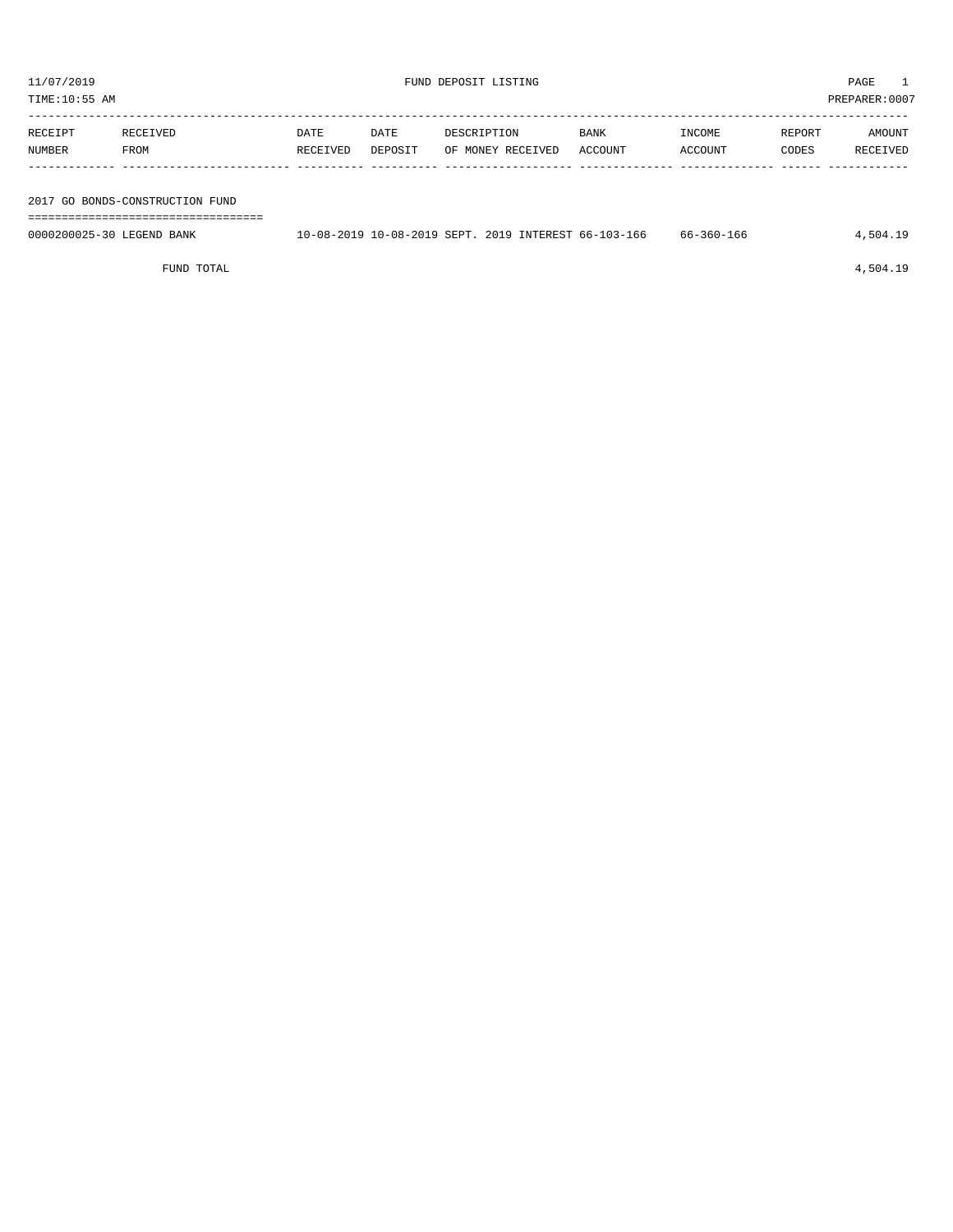| TIME:10:55 AM |                           |                                 |          |         |                                                      |             |            | PREPARER:0007 |          |
|---------------|---------------------------|---------------------------------|----------|---------|------------------------------------------------------|-------------|------------|---------------|----------|
|               |                           |                                 |          |         |                                                      |             |            |               |          |
|               | RECEIPT                   | RECEIVED                        | DATE     | DATE    | DESCRIPTION                                          | <b>BANK</b> | INCOME     | REPORT        | AMOUNT   |
|               | NUMBER                    | FROM                            | RECEIVED | DEPOSIT | OF MONEY RECEIVED                                    | ACCOUNT     | ACCOUNT    | CODES         | RECEIVED |
|               |                           |                                 |          |         |                                                      |             |            |               |          |
|               |                           |                                 |          |         |                                                      |             |            |               |          |
|               |                           | 2017 GO BONDS-CONSTRUCTION FUND |          |         |                                                      |             |            |               |          |
|               |                           |                                 |          |         |                                                      |             |            |               |          |
|               | 0000200025-30 LEGEND BANK |                                 |          |         | 10-08-2019 10-08-2019 SEPT, 2019 INTEREST 66-103-166 |             | 66-360-166 |               | 4,504.19 |
|               |                           |                                 |          |         |                                                      |             |            |               |          |

FUND TOTAL  $4,504.19$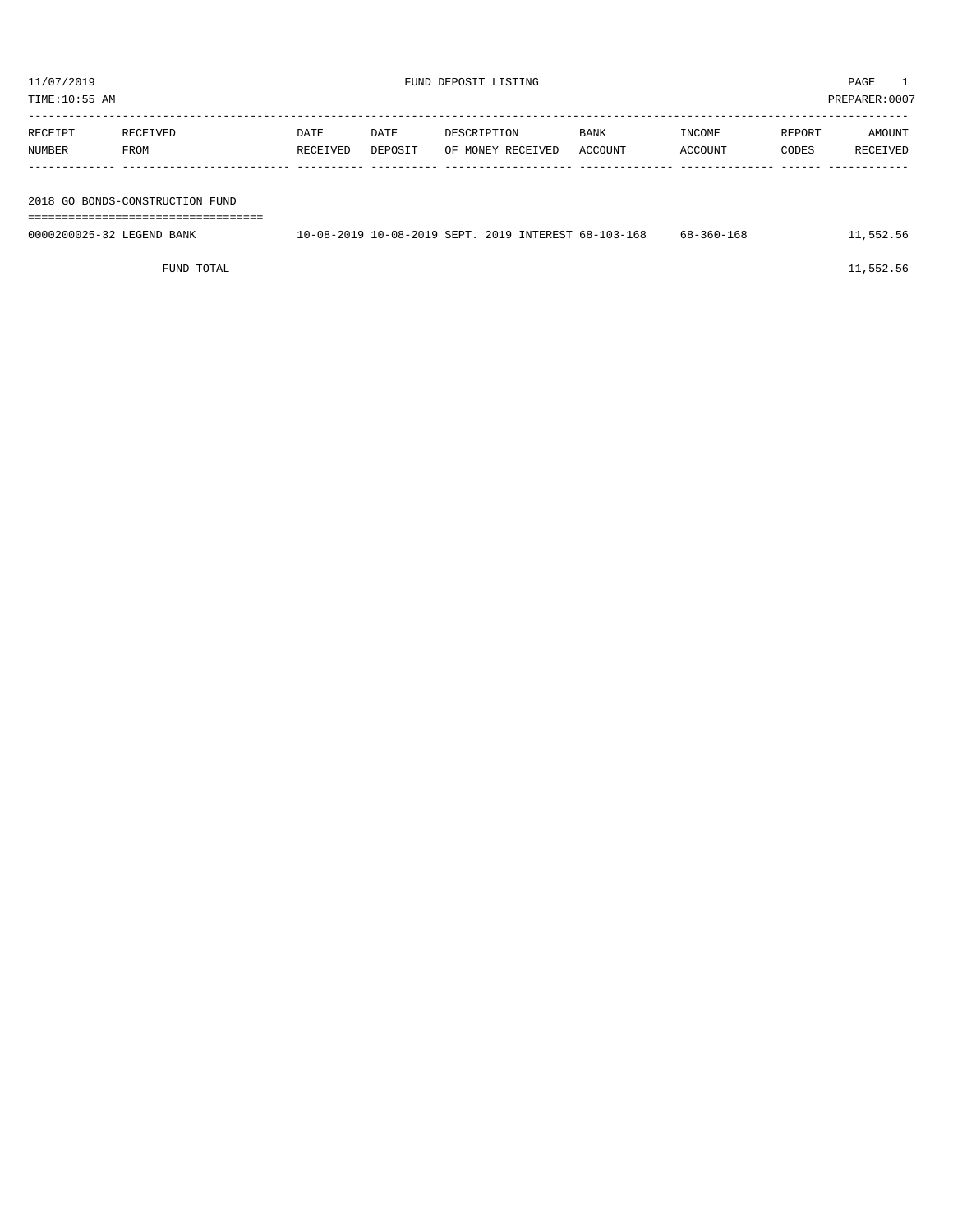|                                 | TIME:10:55 AM             |                               |                  |                 |                                                      |                 |                   |                 | PREPARER:0007      |
|---------------------------------|---------------------------|-------------------------------|------------------|-----------------|------------------------------------------------------|-----------------|-------------------|-----------------|--------------------|
|                                 | RECEIPT<br>NUMBER         | RECEIVED<br>FROM              | DATE<br>RECEIVED | DATE<br>DEPOSIT | DESCRIPTION<br>OF MONEY RECEIVED                     | BANK<br>ACCOUNT | INCOME<br>ACCOUNT | REPORT<br>CODES | AMOUNT<br>RECEIVED |
|                                 |                           |                               |                  |                 |                                                      |                 |                   |                 |                    |
| 2018 GO BONDS-CONSTRUCTION FUND |                           |                               |                  |                 |                                                      |                 |                   |                 |                    |
|                                 | 0000200025-32 LEGEND BANK | ----------------------------- |                  |                 | 10-08-2019 10-08-2019 SEPT, 2019 INTEREST 68-103-168 |                 | $68 - 360 - 168$  |                 | 11,552.56          |
|                                 |                           |                               |                  |                 |                                                      |                 |                   |                 |                    |

FUND TOTAL 11,552.56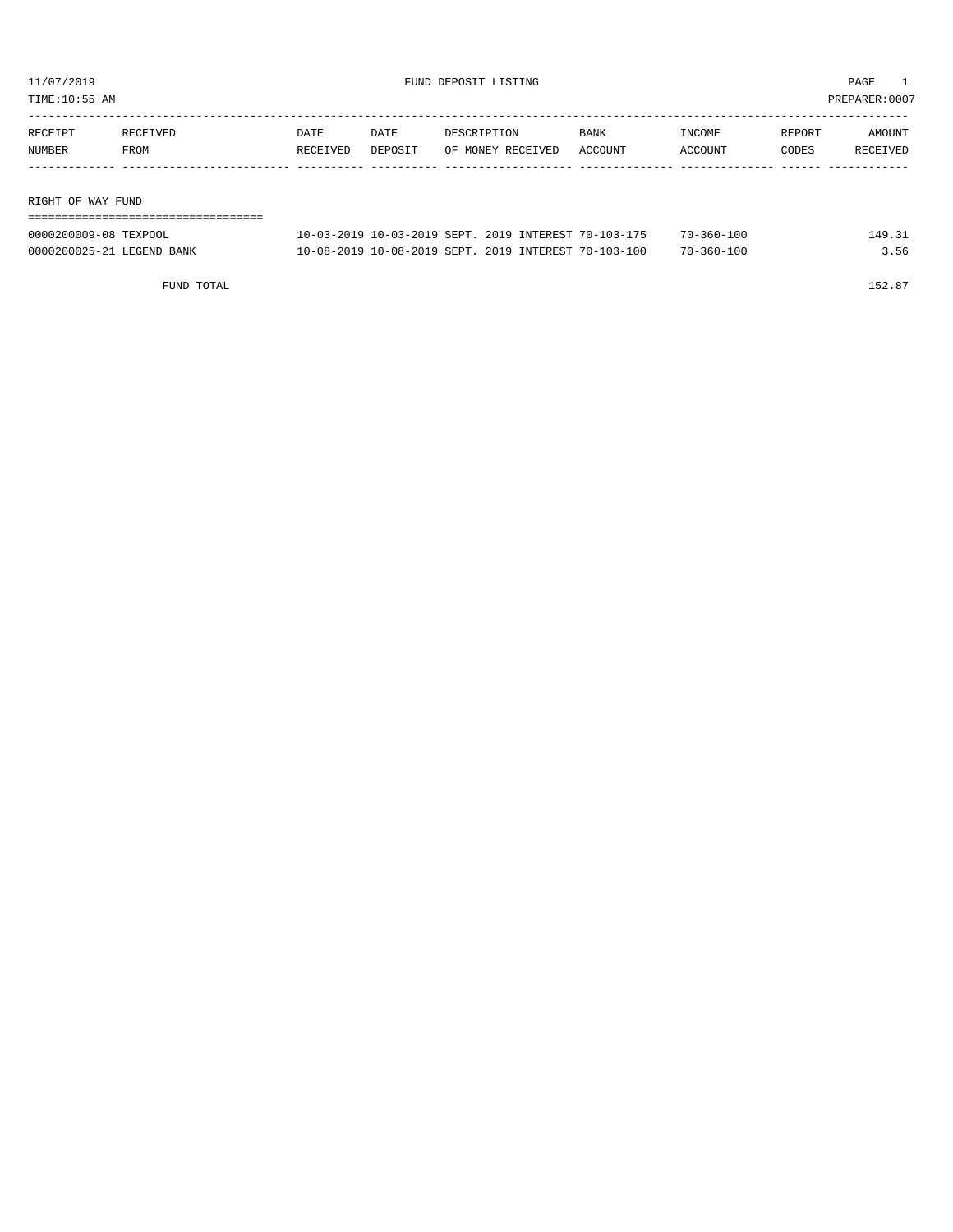TIME:10:55 AM PREPARER:0007

| RECEIPT             | RECEIVED | DATE     | DATE    | DESCRIPTION       | BANK    | INCOME  | REPORT | AMOUNT   |
|---------------------|----------|----------|---------|-------------------|---------|---------|--------|----------|
| NUMBER              | FROM     | RECEIVED | DEPOSIT | OF MONEY RECEIVED | ACCOUNT | ACCOUNT | CODES  | RECEIVED |
|                     |          |          |         |                   |         |         |        |          |
|                     |          |          |         |                   |         |         |        |          |
| תוחות עגש הם חוומדם |          |          |         |                   |         |         |        |          |

RIGHT OF WAY FUND

| ---------------------------<br>--------------------------- |                                                      |                  |        |
|------------------------------------------------------------|------------------------------------------------------|------------------|--------|
| 0000200009-08 TEXPOOL                                      | 10-03-2019 10-03-2019 SEPT, 2019 INTEREST 70-103-175 | $70 - 360 - 100$ | 149.31 |
| 0000200025-21 LEGEND BANK                                  | 10-08-2019 10-08-2019 SEPT, 2019 INTEREST 70-103-100 | $70 - 360 - 100$ | 3.56   |

FUND TOTAL  $152.87$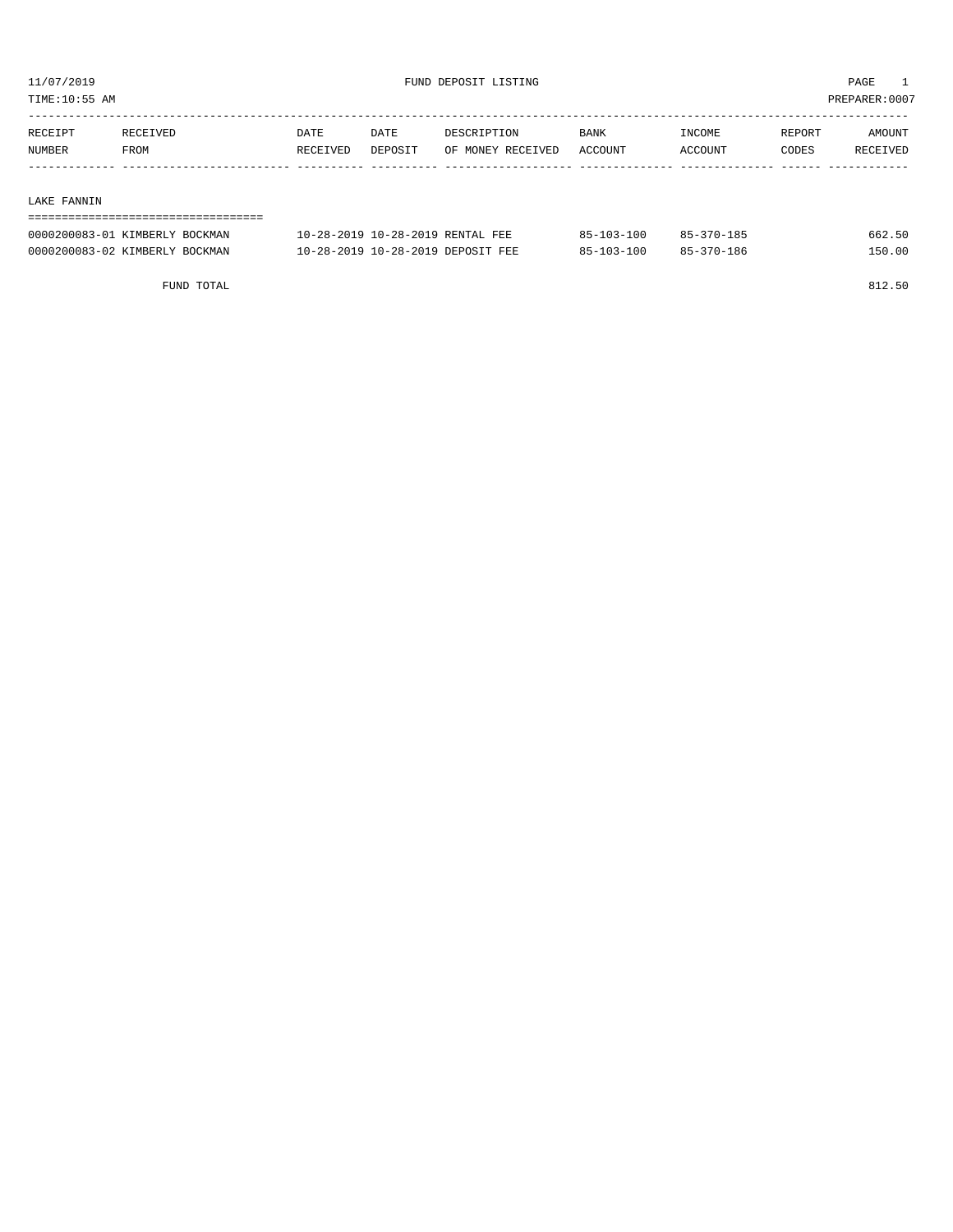TIME:10:55 AM PREPARER:0007

| RECEIPT | <b>RECEIVED</b> | DATE     | DATE    | DESCRIPTION       | <b>BANK</b> | <b>TNCOME</b> | REPORT | AMOUNT          |
|---------|-----------------|----------|---------|-------------------|-------------|---------------|--------|-----------------|
| NUMBER  | FROM            | RECEIVED | DEPOSIT | OF MONEY RECEIVED | ACCOUNT     | ACCOUNT       | CODES  | <b>RECEIVED</b> |
|         |                 |          |         |                   |             |               |        |                 |

#### LAKE FANNIN

| 0000200083-01 KIMBERLY BOCKMAN | 10-28-2019 10-28-2019 RENTAL FEE  | 85-103-100 | 85-370-185 | 662.50 |  |  |  |  |  |  |  |
|--------------------------------|-----------------------------------|------------|------------|--------|--|--|--|--|--|--|--|
| 0000200083-02 KIMBERLY BOCKMAN | 10-28-2019 10-28-2019 DEPOSIT FEE | 85-103-100 | 85-370-186 | 150.00 |  |  |  |  |  |  |  |

FUND TOTAL 812.50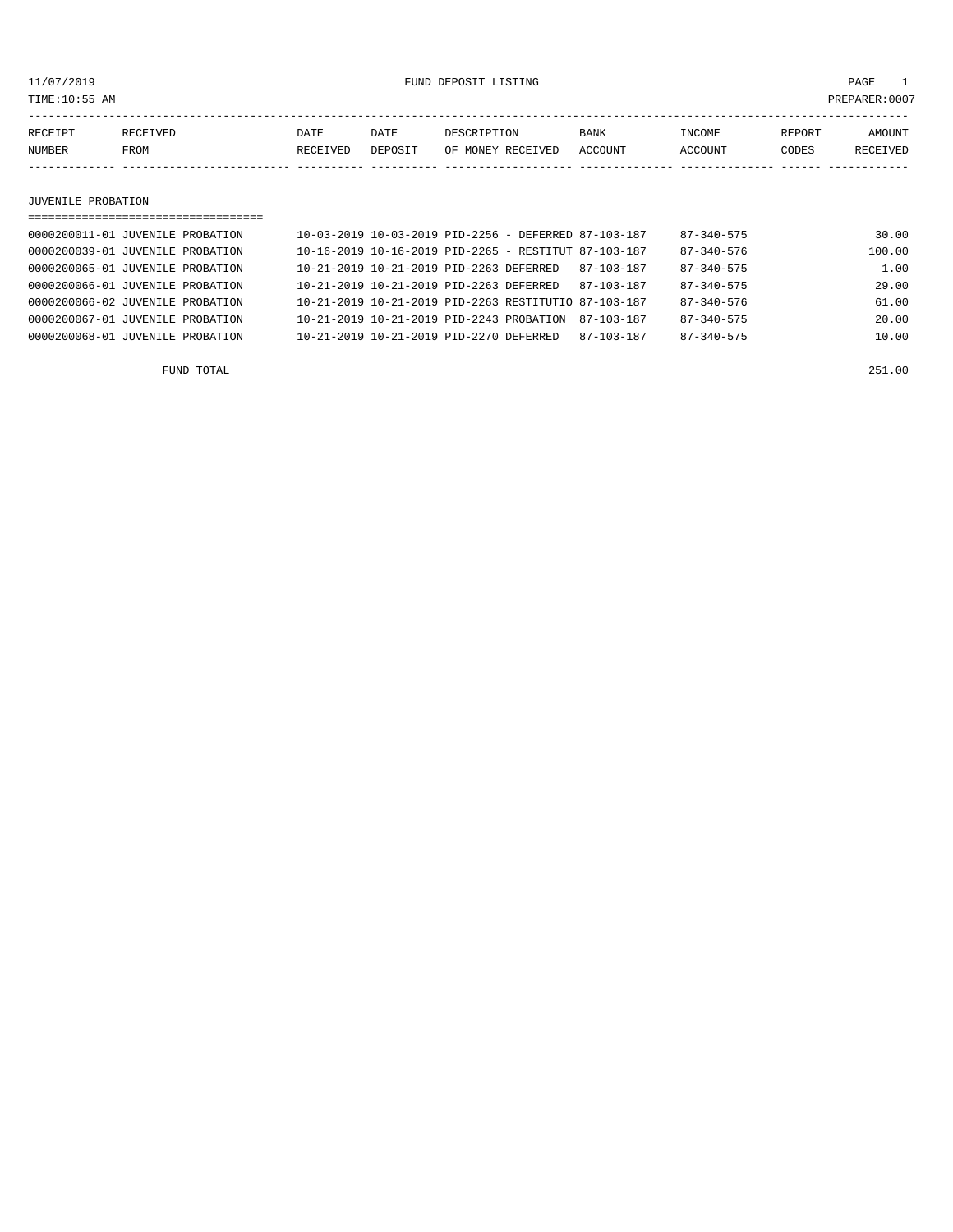11/07/2019 FUND DEPOSIT LISTING PAGE 1

| RECEIPT | CEIVED | DATE     | DATE    | DESCRIPTION       | <b>BANK</b> | <b>INCOME</b> | REPORT | <b>AMOUNT</b>   |
|---------|--------|----------|---------|-------------------|-------------|---------------|--------|-----------------|
| NUMBER  | FROM   | RECEIVED | DEPOSIT | OF MONEY RECEIVED | ACCOUNT     | ACCOUNT       | CODES  | <b>RECEIVED</b> |
|         |        |          |         |                   |             |               |        |                 |

#### JUVENILE PROBATION

| =================================== |                                                          |  |                  |                  |        |
|-------------------------------------|----------------------------------------------------------|--|------------------|------------------|--------|
| 0000200011-01 JUVENILE PROBATION    | $10-03-2019$ $10-03-2019$ PID-2256 - DEFERRED 87-103-187 |  |                  | $87 - 340 - 575$ | 30.00  |
| 0000200039-01 JUVENILE PROBATION    | $10-16-2019$ $10-16-2019$ PID-2265 - RESTITUT 87-103-187 |  |                  | $87 - 340 - 576$ | 100.00 |
| 0000200065-01 JUVENILE PROBATION    | 10-21-2019 10-21-2019 PID-2263 DEFERRED                  |  | 87-103-187       | $87 - 340 - 575$ | 1.00   |
| 0000200066-01 JUVENILE PROBATION    | 10-21-2019 10-21-2019 PID-2263 DEFERRED                  |  | $87 - 103 - 187$ | $87 - 340 - 575$ | 29.00  |
| 0000200066-02 JUVENILE PROBATION    | 10-21-2019 10-21-2019 PID-2263 RESTITUTIO 87-103-187     |  |                  | $87 - 340 - 576$ | 61.00  |
| 0000200067-01 JUVENILE PROBATION    | $10-21-2019$ $10-21-2019$ $PID-2243$ $PROBATION$         |  | 87-103-187       | $87 - 340 - 575$ | 20.00  |
| 0000200068-01 JUVENILE PROBATION    | 10-21-2019 10-21-2019 PID-2270 DEFERRED                  |  | $87 - 103 - 187$ | $87 - 340 - 575$ | 10.00  |
|                                     |                                                          |  |                  |                  |        |

FUND TOTAL 251.00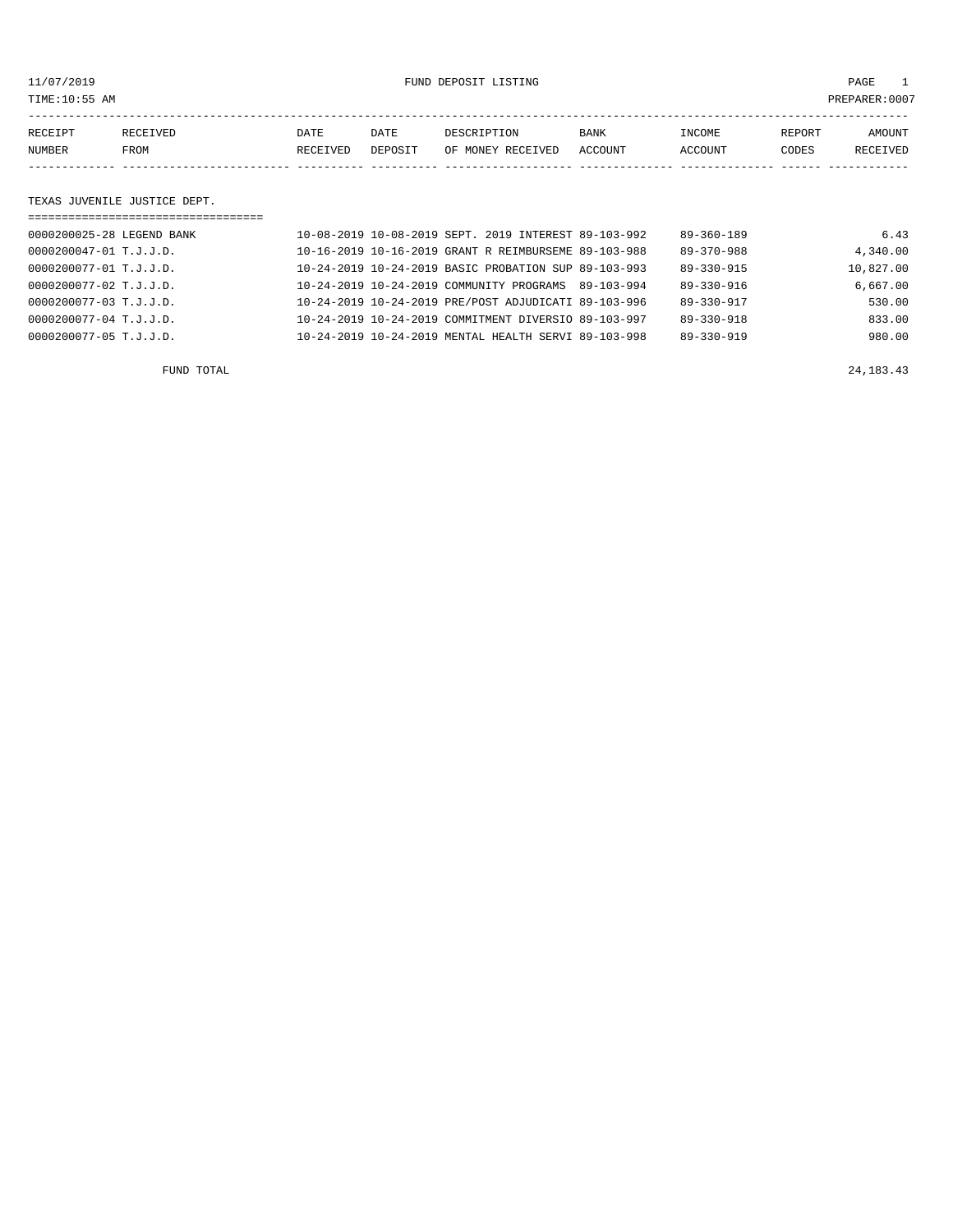11/07/2019 FUND DEPOSIT LISTING PAGE 1

| RECEIPT | <b>RECEIVED</b> | DATE     | DATE    | DESCRIPTION       | <b>BANK</b> | <b>TNCOME</b> | REPORT | AMOUNT          |
|---------|-----------------|----------|---------|-------------------|-------------|---------------|--------|-----------------|
| NUMBER  | FROM            | RECEIVED | DEPOSIT | OF MONEY RECEIVED | ACCOUNT     | ACCOUNT       | CODES  | <b>RECEIVED</b> |
|         |                 |          |         |                   |             |               |        |                 |

#### TEXAS JUVENILE JUSTICE DEPT.

| ================================== |                                                      |            |                  |           |
|------------------------------------|------------------------------------------------------|------------|------------------|-----------|
| 0000200025-28 LEGEND BANK          | 10-08-2019 10-08-2019 SEPT, 2019 INTEREST 89-103-992 |            | $89 - 360 - 189$ | 6.43      |
| 0000200047-01 T.J.J.D.             | 10-16-2019 10-16-2019 GRANT R REIMBURSEME 89-103-988 |            | $89 - 370 - 988$ | 4,340.00  |
| 0000200077-01 T.J.J.D.             | 10-24-2019 10-24-2019 BASIC PROBATION SUP 89-103-993 |            | $89 - 330 - 915$ | 10,827.00 |
| 0000200077-02 T.J.J.D.             | 10-24-2019 10-24-2019 COMMUNITY PROGRAMS             | 89-103-994 | 89-330-916       | 6,667.00  |
| 0000200077-03 T.J.J.D.             | 10-24-2019 10-24-2019 PRE/POST ADJUDICATI 89-103-996 |            | 89-330-917       | 530.00    |
| 0000200077-04 T.J.J.D.             | 10-24-2019 10-24-2019 COMMITMENT DIVERSIO 89-103-997 |            | $89 - 330 - 918$ | 833.00    |
| 0000200077-05 T.J.J.D.             | 10-24-2019 10-24-2019 MENTAL HEALTH SERVI 89-103-998 |            | $89 - 330 - 919$ | 980.00    |

FUND TOTAL 24,183.43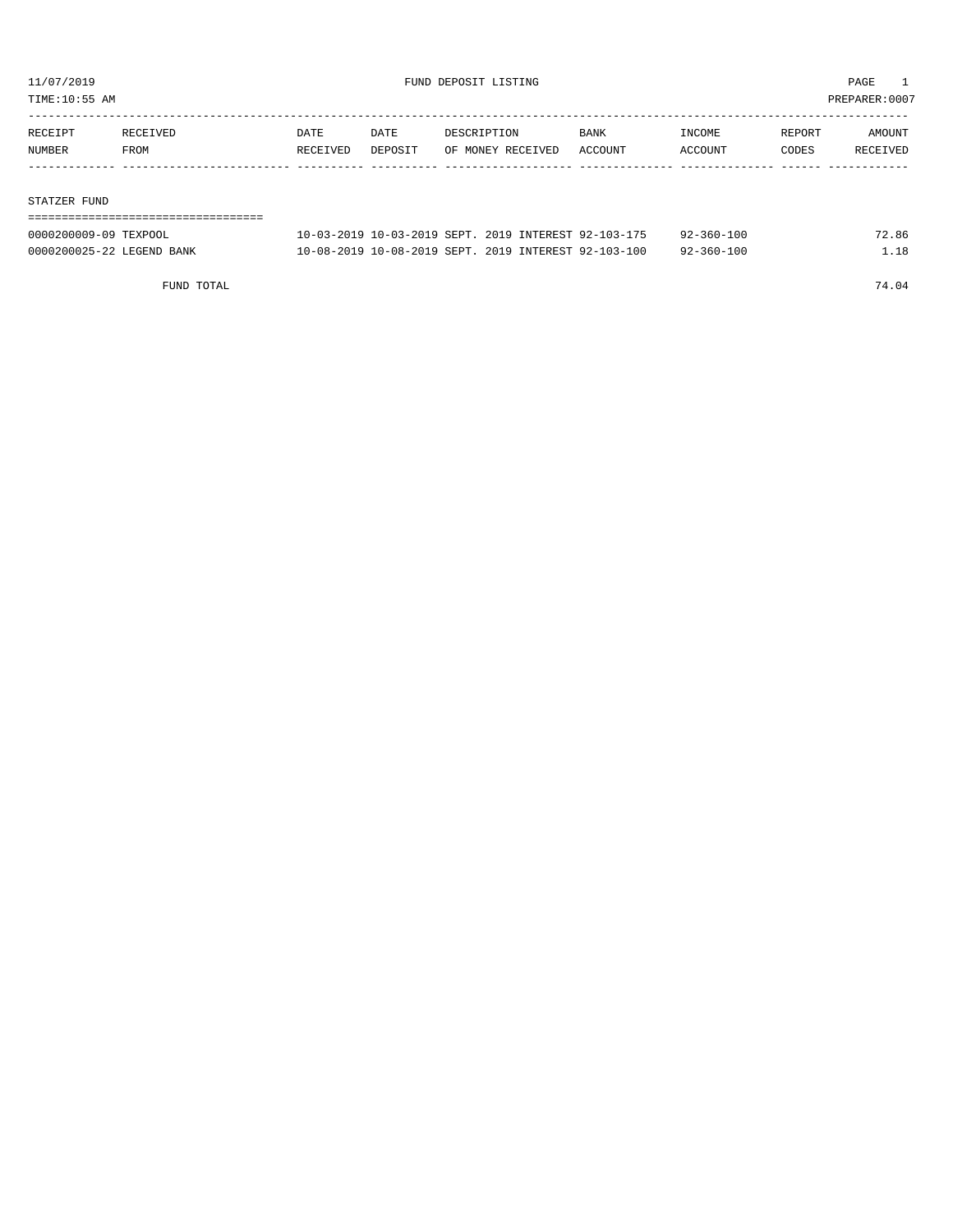TIME:10:55 AM PREPARER:0007

| RECEIPT | RECEIVED | DATE     | DATE    | DESCRIPTION       | <b>BANK</b> | INCOME  | REPORT | AMOUNT   |
|---------|----------|----------|---------|-------------------|-------------|---------|--------|----------|
| NUMBER  | FROM     | RECEIVED | DEPOSIT | OF MONEY RECEIVED | ACCOUNT     | ACCOUNT | CODES  | RECEIVED |
|         |          |          |         |                   |             |         |        |          |

#### STATZER FUND

| -------------------------------- |                                                      |  |                  |       |
|----------------------------------|------------------------------------------------------|--|------------------|-------|
| 0000200009-09 TEXPOOL            | 10-03-2019 10-03-2019 SEPT, 2019 INTEREST 92-103-175 |  | $92 - 360 - 100$ | 72.86 |
| 0000200025-22 LEGEND BANK        | 10-08-2019 10-08-2019 SEPT, 2019 INTEREST 92-103-100 |  | $92 - 360 - 100$ | 1.18  |

FUND TOTAL 74.04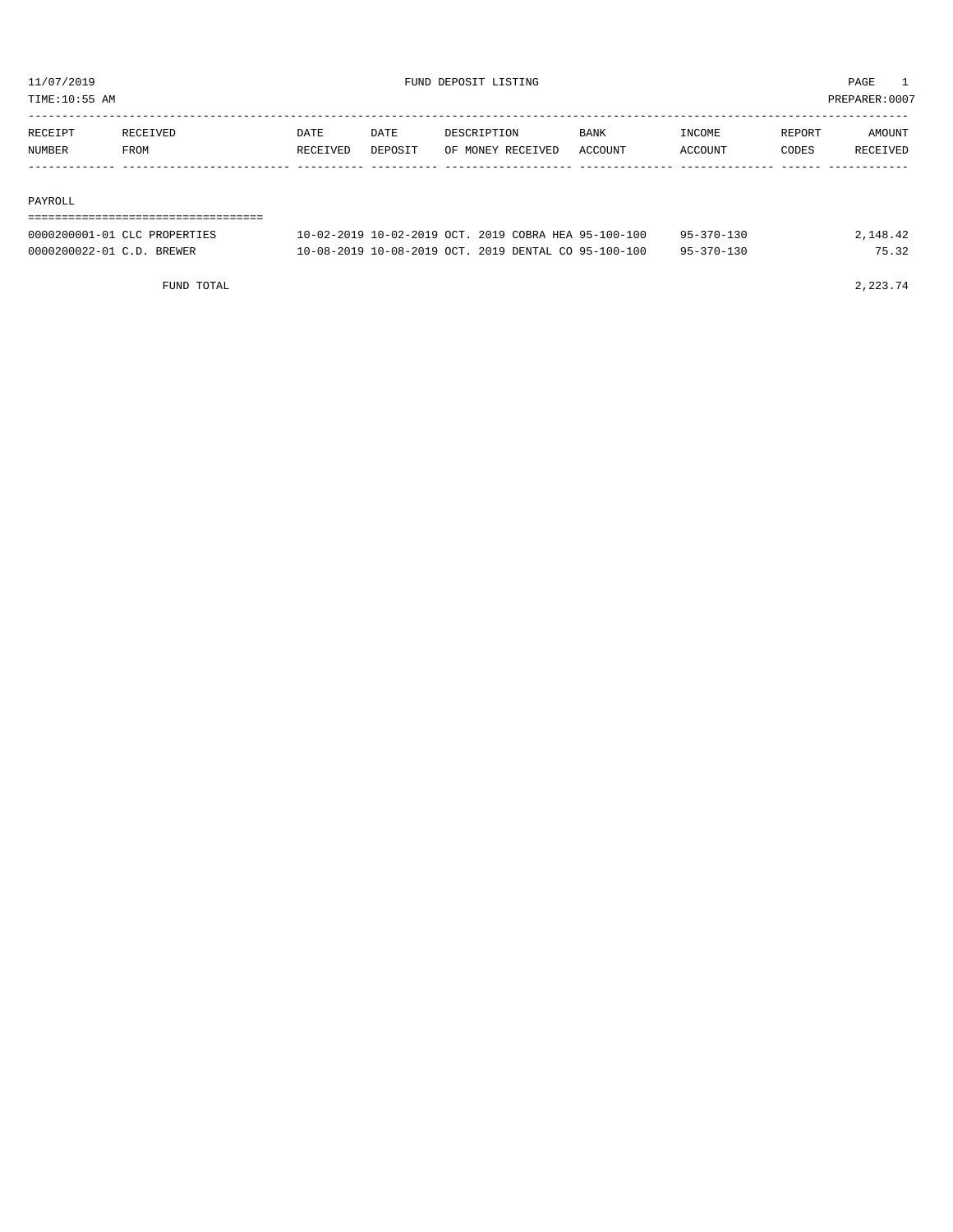TIME:10:55 AM PREPARER:0007

| RECEIPT | RECEIVED | DATE     | DATE    | DESCRIPTION       | <b>BANK</b> | INCOME  | REPORT | AMOUNT          |
|---------|----------|----------|---------|-------------------|-------------|---------|--------|-----------------|
| NUMBER  | FROM     | RECEIVED | DEPOSIT | OF MONEY RECEIVED | ACCOUNT     | ACCOUNT | CODES  | <b>RECEIVED</b> |
|         |          |          |         |                   |             |         |        |                 |

#### PAYROLL

### ===================================

| 0000200001-01 CLC PROPERTIES | $10-02-2019$ $10-02-2019$ OCT, $2019$ COBRA HEA $95-100-100$ | $95 - 370 - 130$ | 2,148.42 |
|------------------------------|--------------------------------------------------------------|------------------|----------|
| 0000200022-01 C.D. BREWER    | 10-08-2019 10-08-2019 OCT. 2019 DENTAL CO 95-100-100         | $95 - 370 - 130$ |          |

FUND TOTAL  $2,223.74$